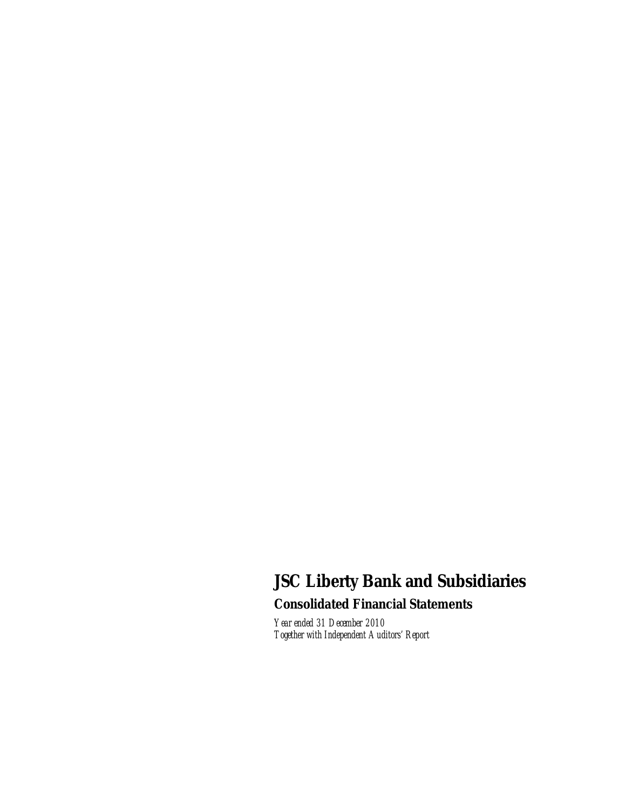# **JSC Liberty Bank and Subsidiaries**

**Consolidated Financial Statements** 

*Year ended 31 December 2010 Together with Independent Auditors' Report*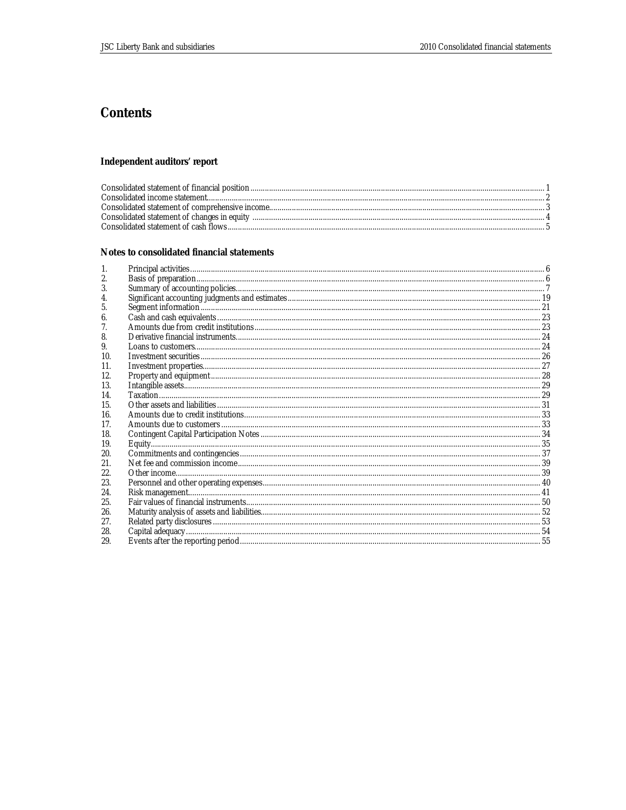## Contents

## Independent auditors' report

### Notes to consolidated financial statements

| 2.  |  |
|-----|--|
| 3.  |  |
|     |  |
| b.  |  |
| b.  |  |
|     |  |
| 8.  |  |
| 9.  |  |
| 10. |  |
| 11. |  |
| 12. |  |
| 13. |  |
| 14. |  |
| 15. |  |
| 16. |  |
| 17. |  |
| 18. |  |
| 19. |  |
| 20. |  |
| 21. |  |
| 22. |  |
| 23. |  |
| 24. |  |
| 25. |  |
| 26. |  |
| 27. |  |
| 28. |  |
| 29. |  |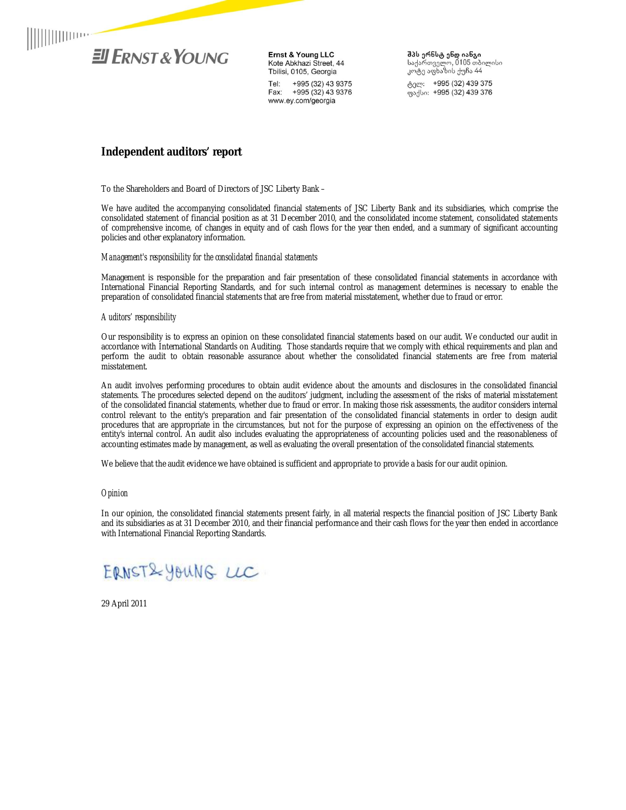

**Ernst & Young LLC** Kote Abkhazi Street, 44 Tbilisi, 0105, Georgia Tel: +995 (32) 43 9375 Fax: +995 (32) 43 9376 www.ey.com/georgia

**შპს ერნსტ ენდ იანგი**<br>საქართველო, 0105 თბილისი<br>კოტე აფხაზის ქუჩა 44

ტელ: +995 (32) 439 375 ფაქსი: +995 (32) 439 376

## **Independent auditors' report**

To the Shareholders and Board of Directors of JSC Liberty Bank –

We have audited the accompanying consolidated financial statements of JSC Liberty Bank and its subsidiaries, which comprise the consolidated statement of financial position as at 31 December 2010, and the consolidated income statement, consolidated statements of comprehensive income, of changes in equity and of cash flows for the year then ended, and a summary of significant accounting policies and other explanatory information.

#### *Management's responsibility for the consolidated financial statements*

Management is responsible for the preparation and fair presentation of these consolidated financial statements in accordance with International Financial Reporting Standards, and for such internal control as management determines is necessary to enable the preparation of consolidated financial statements that are free from material misstatement, whether due to fraud or error.

#### *Auditors' responsibility*

Our responsibility is to express an opinion on these consolidated financial statements based on our audit. We conducted our audit in accordance with International Standards on Auditing. Those standards require that we comply with ethical requirements and plan and perform the audit to obtain reasonable assurance about whether the consolidated financial statements are free from material misstatement.

An audit involves performing procedures to obtain audit evidence about the amounts and disclosures in the consolidated financial statements. The procedures selected depend on the auditors' judgment, including the assessment of the risks of material misstatement of the consolidated financial statements, whether due to fraud or error. In making those risk assessments, the auditor considers internal control relevant to the entity's preparation and fair presentation of the consolidated financial statements in order to design audit procedures that are appropriate in the circumstances, but not for the purpose of expressing an opinion on the effectiveness of the entity's internal control. An audit also includes evaluating the appropriateness of accounting policies used and the reasonableness of accounting estimates made by management, as well as evaluating the overall presentation of the consolidated financial statements.

We believe that the audit evidence we have obtained is sufficient and appropriate to provide a basis for our audit opinion.

#### *Opinion*

In our opinion, the consolidated financial statements present fairly, in all material respects the financial position of JSC Liberty Bank and its subsidiaries as at 31 December 2010, and their financial performance and their cash flows for the year then ended in accordance with International Financial Reporting Standards.

ERNST2-YOUNG LLC

29 April 2011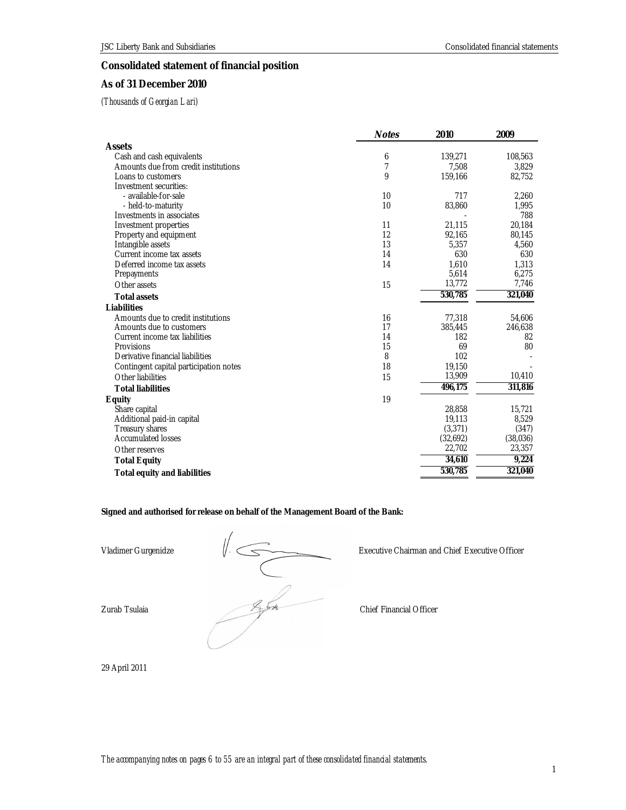## **Consolidated statement of financial position**

## **As of 31 December 2010**

*(Thousands of Georgian Lari)* 

|                                        | <b>Notes</b> | 2010     | 2009     |
|----------------------------------------|--------------|----------|----------|
| Assets                                 |              |          |          |
| Cash and cash equivalents              | 6            | 139,271  | 108,563  |
| Amounts due from credit institutions   | 7            | 7,508    | 3,829    |
| Loans to customers                     | 9            | 159,166  | 82,752   |
| Investment securities:                 |              |          |          |
| - available-for-sale                   | 10           | 717      | 2,260    |
| - held-to-maturity                     | 10           | 83,860   | 1,995    |
| Investments in associates              |              |          | 788      |
| Investment properties                  | 11           | 21,115   | 20,184   |
| Property and equipment                 | 12           | 92,165   | 80,145   |
| Intangible assets                      | 13           | 5,357    | 4,560    |
| Current income tax assets              | 14           | 630      | 630      |
| Deferred income tax assets             | 14           | 1,610    | 1,313    |
| Prepayments                            |              | 5,614    | 6,275    |
| Other assets                           | 15           | 13,772   | 7,746    |
| <b>Total assets</b>                    |              | 530,785  | 321,040  |
| Liabilities                            |              |          |          |
| Amounts due to credit institutions     | 16           | 77,318   | 54,606   |
| Amounts due to customers               | 17           | 385,445  | 246,638  |
| Current income tax liabilities         | 14           | 182      | 82       |
| Provisions                             | 15           | 69       | 80       |
| Derivative financial liabilities       | 8            | 102      |          |
| Contingent capital participation notes | 18           | 19,150   |          |
| Other liabilities                      | 15           | 13,909   | 10,410   |
| <b>Total liabilities</b>               |              | 496,175  | 311,816  |
| Equity                                 | 19           |          |          |
| Share capital                          |              | 28,858   | 15,721   |
| Additional paid-in capital             |              | 19,113   | 8,529    |
| Treasury shares                        |              | (3,371)  | (347)    |
| <b>Accumulated losses</b>              |              | (32,692) | (38,036) |
| Other reserves                         |              | 22,702   | 23,357   |
| <b>Total Equity</b>                    |              | 34,610   | 9,224    |
| Total equity and liabilities           |              | 530,785  | 321,040  |
|                                        |              |          |          |

**Signed and authorised for release on behalf of the Management Board of the Bank:** 

Vladimer Gurgenidze<br>
Zurab Tsulaia<br>
Zurab Tsulaia<br>
Chief Financial Officer

Vladimer Gurgenidze  $\| \leq$  Executive Chairman and Chief Executive Officer

29 April 2011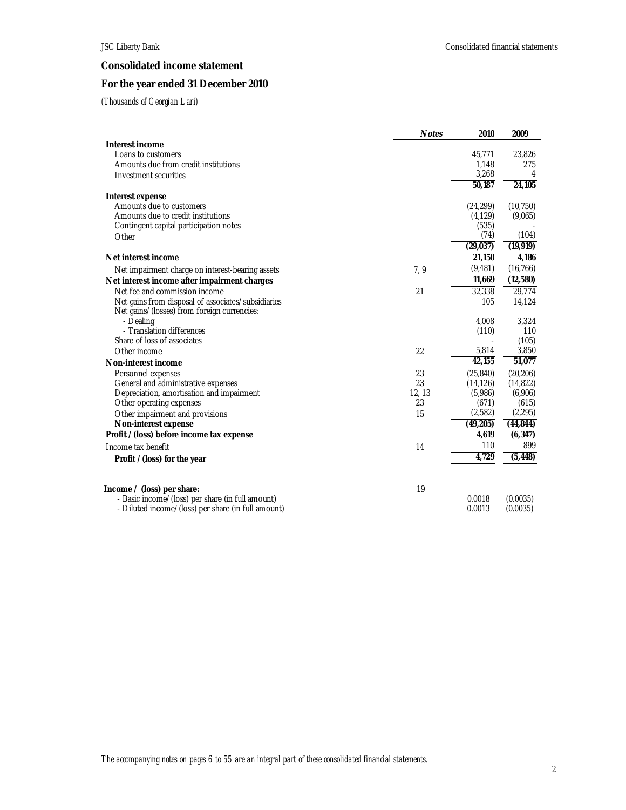## **Consolidated income statement**

## **For the year ended 31 December 2010**

## *(Thousands of Georgian Lari)*

|                                                    | <b>Notes</b> | 2010      | 2009      |
|----------------------------------------------------|--------------|-----------|-----------|
| Interest income                                    |              |           |           |
| Loans to customers                                 |              | 45,771    | 23,826    |
| Amounts due from credit institutions               |              | 1,148     | 275       |
| Investment securities                              |              | 3,268     | 4         |
|                                                    |              | 50,187    | 24,105    |
| Interest expense                                   |              |           |           |
| Amounts due to customers                           |              | (24, 299) | (10, 750) |
| Amounts due to credit institutions                 |              | (4, 129)  | (9,065)   |
| Contingent capital participation notes             |              | (535)     |           |
| Other                                              |              | (74)      | (104)     |
|                                                    |              | (29, 037) | (19, 919) |
| Net interest income                                |              | 21,150    | 4,186     |
| Net impairment charge on interest-bearing assets   | 7,9          | (9, 481)  | (16, 766) |
| Net interest income after impairment charges       |              | 11,669    | (12,580)  |
| Net fee and commission income                      | 21           | 32,338    | 29,774    |
| Net gains from disposal of associates/subsidiaries |              | 105       | 14,124    |
| Net gains/(losses) from foreign currencies:        |              |           |           |
| - Dealing                                          |              | 4,008     | 3,324     |
| - Translation differences                          |              | (110)     | 110       |
| Share of loss of associates                        |              |           | (105)     |
| Other income                                       | 22           | 5,814     | 3,850     |
| Non-interest income                                |              | 42,155    | 51,077    |
| Personnel expenses                                 | 23           | (25, 840) | (20, 206) |
| General and administrative expenses                | 23           | (14, 126) | (14, 822) |
| Depreciation, amortisation and impairment          | 12, 13       | (5,986)   | (6,906)   |
| Other operating expenses                           | 23           | (671)     | (615)     |
| Other impairment and provisions                    | 15           | (2,582)   | (2, 295)  |
| Non-interest expense                               |              | (49, 205) | (44, 844) |
| Profit /(loss) before income tax expense           |              | 4,619     | (6, 347)  |
| Income tax benefit                                 | 14           | 110       | 899       |
| Profit /(loss) for the year                        |              | 4,729     | (5, 448)  |
|                                                    |              |           |           |
| Income / (loss) per share:                         | 19           |           |           |
| - Basic income/(loss) per share (in full amount)   |              | 0.0018    | (0.0035)  |
| - Diluted income/(loss) per share (in full amount) |              | 0.0013    | (0.0035)  |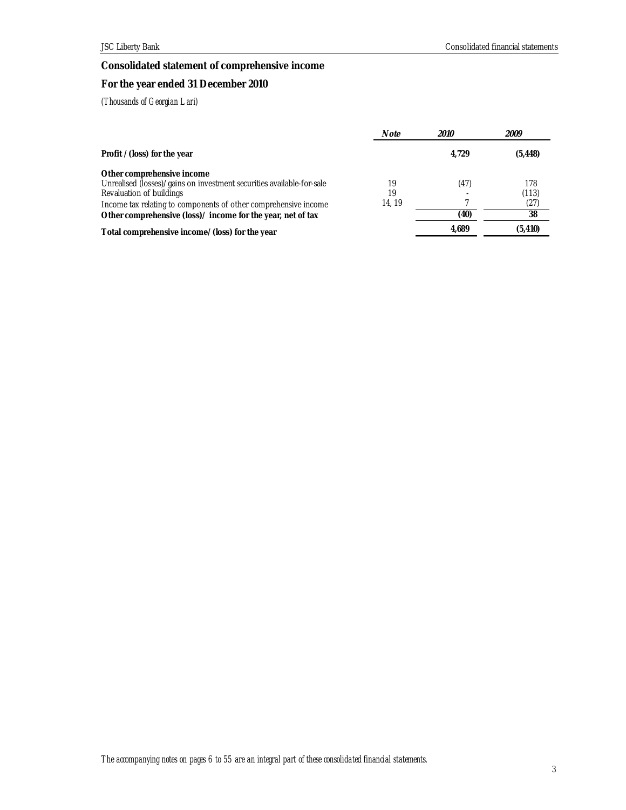## **Consolidated statement of comprehensive income**

## **For the year ended 31 December 2010**

*(Thousands of Georgian Lari)* 

|                                                                                                                                                                                                                                                                   | Note               | 2010         | 2009                       |
|-------------------------------------------------------------------------------------------------------------------------------------------------------------------------------------------------------------------------------------------------------------------|--------------------|--------------|----------------------------|
| Profit /(loss) for the year                                                                                                                                                                                                                                       |                    | 4.729        | (5, 448)                   |
| Other comprehensive income<br>Unrealised (losses)/gains on investment securities available-for-sale<br>Revaluation of buildings<br>Income tax relating to components of other comprehensive income<br>Other comprehensive (loss)/ income for the year, net of tax | 19<br>19<br>14, 19 | (47)<br>(40) | 178<br>(113)<br>(27)<br>38 |
| Total comprehensive income/(loss) for the year                                                                                                                                                                                                                    |                    | 4.689        | (5, 410)                   |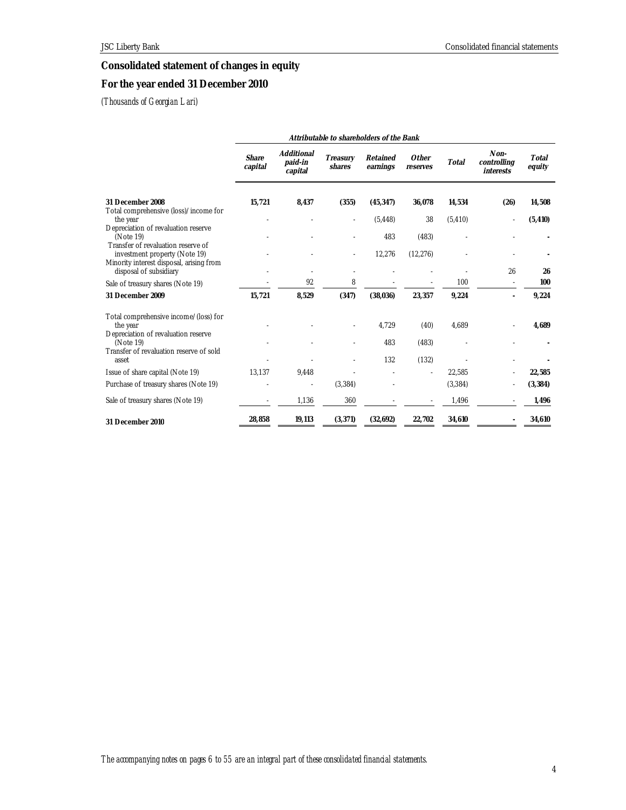## **Consolidated statement of changes in equity**

## **For the year ended 31 December 2010**

*(Thousands of Georgian Lari)* 

|                                                                                        | Attributable to shareholders of the Bank |                                  |                    |                      |                   |          |                                  |                 |
|----------------------------------------------------------------------------------------|------------------------------------------|----------------------------------|--------------------|----------------------|-------------------|----------|----------------------------------|-----------------|
|                                                                                        | Share<br>capital                         | Additional<br>paid-in<br>capital | Treasury<br>shares | Retained<br>earnings | Other<br>reserves | Total    | Non-<br>controlling<br>interests | Total<br>equity |
|                                                                                        |                                          |                                  |                    |                      |                   |          |                                  |                 |
| 31 December 2008                                                                       | 15,721                                   | 8,437                            | (355)              | (45, 347)            | 36,078            | 14,534   | (26)                             | 14,508          |
| Total comprehensive (loss)/income for<br>the year                                      |                                          |                                  |                    | (5, 448)             | 38                | (5, 410) |                                  | (5, 410)        |
| Depreciation of revaluation reserve<br>(Note 19)<br>Transfer of revaluation reserve of |                                          |                                  |                    | 483                  | (483)             |          |                                  |                 |
| investment property (Note 19)<br>Minority interest disposal, arising from              |                                          |                                  |                    | 12,276               | (12, 276)         |          |                                  |                 |
| disposal of subsidiary                                                                 |                                          |                                  |                    |                      |                   |          | 26                               | 26              |
| Sale of treasury shares (Note 19)                                                      |                                          | 92                               | 8                  |                      |                   | 100      |                                  | 100             |
| 31 December 2009                                                                       | 15,721                                   | 8,529                            | (347)              | (38, 036)            | 23,357            | 9,224    | ٠                                | 9,224           |
| Total comprehensive income/(loss) for<br>the year                                      |                                          |                                  |                    | 4,729                | (40)              | 4,689    |                                  | 4,689           |
| Depreciation of revaluation reserve<br>(Note 19)                                       |                                          |                                  |                    | 483                  | (483)             |          |                                  |                 |
| Transfer of revaluation reserve of sold<br>asset                                       |                                          |                                  |                    | 132                  | (132)             |          |                                  |                 |
| Issue of share capital (Note 19)                                                       | 13,137                                   | 9,448                            |                    |                      |                   | 22,585   |                                  | 22,585          |
| Purchase of treasury shares (Note 19)                                                  |                                          |                                  | (3, 384)           |                      |                   | (3,384)  |                                  | (3, 384)        |
| Sale of treasury shares (Note 19)                                                      |                                          | 1,136                            | 360                |                      |                   | 1,496    |                                  | 1,496           |
| 31 December 2010                                                                       | 28,858                                   | 19,113                           | (3, 371)           | (32,692)             | 22,702            | 34,610   |                                  | 34,610          |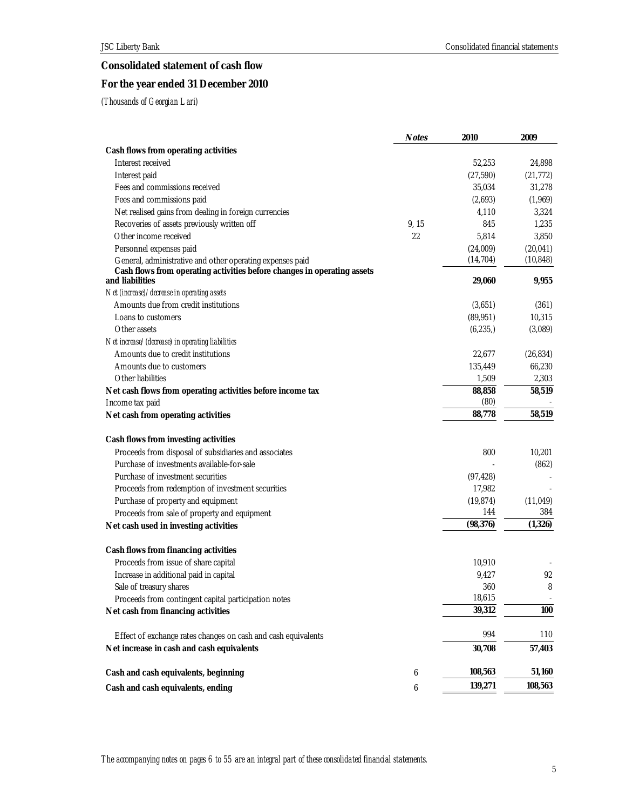## **Consolidated statement of cash flow**

## **For the year ended 31 December 2010**

*(Thousands of Georgian Lari)* 

| Cash flows from operating activities<br>Interest received<br>24,898<br>52,253<br>(27, 590)<br>Interest paid<br>(21, 772)<br>Fees and commissions received<br>35,034<br>31,278<br>(1,969)<br>Fees and commissions paid<br>(2,693)<br>Net realised gains from dealing in foreign currencies<br>3,324<br>4,110<br>Recoveries of assets previously written off<br>1,235<br>9, 15<br>845<br>22<br>Other income received<br>5,814<br>3,850<br>(24,009)<br>(20, 041)<br>Personnel expenses paid<br>(14, 704)<br>(10, 848)<br>General, administrative and other operating expenses paid<br>Cash flows from operating activities before changes in operating assets<br>and liabilities<br>9,955<br>29,060<br>Net (increase)/decrease in operating assets<br>Amounts due from credit institutions<br>(3,651)<br>(361)<br>Loans to customers<br>(89, 951)<br>10,315<br>(6, 235, )<br>(3,089)<br>Other assets<br>Net increase/(decrease) in operating liabilities<br>Amounts due to credit institutions<br>(26, 834)<br>22,677<br>135,449<br>66,230<br>Amounts due to customers<br>Other liabilities<br>2,303<br>1,509<br>88,858<br>58,519<br>Net cash flows from operating activities before income tax<br>(80)<br>Income tax paid<br>58,519<br>88,778<br>Net cash from operating activities<br>Cash flows from investing activities<br>Proceeds from disposal of subsidiaries and associates<br>800<br>10,201<br>Purchase of investments available-for-sale<br>(862)<br>Purchase of investment securities<br>(97, 428)<br>Proceeds from redemption of investment securities<br>17,982<br>Purchase of property and equipment<br>(19, 874)<br>(11, 049)<br>144<br>384<br>Proceeds from sale of property and equipment<br>(98, 376)<br>(1, 326)<br>Net cash used in investing activities<br>Cash flows from financing activities<br>Proceeds from issue of share capital<br>10,910<br>Increase in additional paid in capital<br>92<br>9,427<br>Sale of treasury shares<br>360<br>8<br>18,615<br>Proceeds from contingent capital participation notes<br>39,312<br>100<br>Net cash from financing activities<br>994<br>110<br>Effect of exchange rates changes on cash and cash equivalents<br>Net increase in cash and cash equivalents<br>30,708<br>57,403<br>108,563<br>51,160<br>Cash and cash equivalents, beginning<br>6<br>139,271<br>108,563<br>Cash and cash equivalents, ending<br>6 | <b>Notes</b> | 2010 | 2009 |
|----------------------------------------------------------------------------------------------------------------------------------------------------------------------------------------------------------------------------------------------------------------------------------------------------------------------------------------------------------------------------------------------------------------------------------------------------------------------------------------------------------------------------------------------------------------------------------------------------------------------------------------------------------------------------------------------------------------------------------------------------------------------------------------------------------------------------------------------------------------------------------------------------------------------------------------------------------------------------------------------------------------------------------------------------------------------------------------------------------------------------------------------------------------------------------------------------------------------------------------------------------------------------------------------------------------------------------------------------------------------------------------------------------------------------------------------------------------------------------------------------------------------------------------------------------------------------------------------------------------------------------------------------------------------------------------------------------------------------------------------------------------------------------------------------------------------------------------------------------------------------------------------------------------------------------------------------------------------------------------------------------------------------------------------------------------------------------------------------------------------------------------------------------------------------------------------------------------------------------------------------------------------------------------------------------------------------------------------------------------------------------|--------------|------|------|
|                                                                                                                                                                                                                                                                                                                                                                                                                                                                                                                                                                                                                                                                                                                                                                                                                                                                                                                                                                                                                                                                                                                                                                                                                                                                                                                                                                                                                                                                                                                                                                                                                                                                                                                                                                                                                                                                                                                                                                                                                                                                                                                                                                                                                                                                                                                                                                                  |              |      |      |
|                                                                                                                                                                                                                                                                                                                                                                                                                                                                                                                                                                                                                                                                                                                                                                                                                                                                                                                                                                                                                                                                                                                                                                                                                                                                                                                                                                                                                                                                                                                                                                                                                                                                                                                                                                                                                                                                                                                                                                                                                                                                                                                                                                                                                                                                                                                                                                                  |              |      |      |
|                                                                                                                                                                                                                                                                                                                                                                                                                                                                                                                                                                                                                                                                                                                                                                                                                                                                                                                                                                                                                                                                                                                                                                                                                                                                                                                                                                                                                                                                                                                                                                                                                                                                                                                                                                                                                                                                                                                                                                                                                                                                                                                                                                                                                                                                                                                                                                                  |              |      |      |
|                                                                                                                                                                                                                                                                                                                                                                                                                                                                                                                                                                                                                                                                                                                                                                                                                                                                                                                                                                                                                                                                                                                                                                                                                                                                                                                                                                                                                                                                                                                                                                                                                                                                                                                                                                                                                                                                                                                                                                                                                                                                                                                                                                                                                                                                                                                                                                                  |              |      |      |
|                                                                                                                                                                                                                                                                                                                                                                                                                                                                                                                                                                                                                                                                                                                                                                                                                                                                                                                                                                                                                                                                                                                                                                                                                                                                                                                                                                                                                                                                                                                                                                                                                                                                                                                                                                                                                                                                                                                                                                                                                                                                                                                                                                                                                                                                                                                                                                                  |              |      |      |
|                                                                                                                                                                                                                                                                                                                                                                                                                                                                                                                                                                                                                                                                                                                                                                                                                                                                                                                                                                                                                                                                                                                                                                                                                                                                                                                                                                                                                                                                                                                                                                                                                                                                                                                                                                                                                                                                                                                                                                                                                                                                                                                                                                                                                                                                                                                                                                                  |              |      |      |
|                                                                                                                                                                                                                                                                                                                                                                                                                                                                                                                                                                                                                                                                                                                                                                                                                                                                                                                                                                                                                                                                                                                                                                                                                                                                                                                                                                                                                                                                                                                                                                                                                                                                                                                                                                                                                                                                                                                                                                                                                                                                                                                                                                                                                                                                                                                                                                                  |              |      |      |
|                                                                                                                                                                                                                                                                                                                                                                                                                                                                                                                                                                                                                                                                                                                                                                                                                                                                                                                                                                                                                                                                                                                                                                                                                                                                                                                                                                                                                                                                                                                                                                                                                                                                                                                                                                                                                                                                                                                                                                                                                                                                                                                                                                                                                                                                                                                                                                                  |              |      |      |
|                                                                                                                                                                                                                                                                                                                                                                                                                                                                                                                                                                                                                                                                                                                                                                                                                                                                                                                                                                                                                                                                                                                                                                                                                                                                                                                                                                                                                                                                                                                                                                                                                                                                                                                                                                                                                                                                                                                                                                                                                                                                                                                                                                                                                                                                                                                                                                                  |              |      |      |
|                                                                                                                                                                                                                                                                                                                                                                                                                                                                                                                                                                                                                                                                                                                                                                                                                                                                                                                                                                                                                                                                                                                                                                                                                                                                                                                                                                                                                                                                                                                                                                                                                                                                                                                                                                                                                                                                                                                                                                                                                                                                                                                                                                                                                                                                                                                                                                                  |              |      |      |
|                                                                                                                                                                                                                                                                                                                                                                                                                                                                                                                                                                                                                                                                                                                                                                                                                                                                                                                                                                                                                                                                                                                                                                                                                                                                                                                                                                                                                                                                                                                                                                                                                                                                                                                                                                                                                                                                                                                                                                                                                                                                                                                                                                                                                                                                                                                                                                                  |              |      |      |
|                                                                                                                                                                                                                                                                                                                                                                                                                                                                                                                                                                                                                                                                                                                                                                                                                                                                                                                                                                                                                                                                                                                                                                                                                                                                                                                                                                                                                                                                                                                                                                                                                                                                                                                                                                                                                                                                                                                                                                                                                                                                                                                                                                                                                                                                                                                                                                                  |              |      |      |
|                                                                                                                                                                                                                                                                                                                                                                                                                                                                                                                                                                                                                                                                                                                                                                                                                                                                                                                                                                                                                                                                                                                                                                                                                                                                                                                                                                                                                                                                                                                                                                                                                                                                                                                                                                                                                                                                                                                                                                                                                                                                                                                                                                                                                                                                                                                                                                                  |              |      |      |
|                                                                                                                                                                                                                                                                                                                                                                                                                                                                                                                                                                                                                                                                                                                                                                                                                                                                                                                                                                                                                                                                                                                                                                                                                                                                                                                                                                                                                                                                                                                                                                                                                                                                                                                                                                                                                                                                                                                                                                                                                                                                                                                                                                                                                                                                                                                                                                                  |              |      |      |
|                                                                                                                                                                                                                                                                                                                                                                                                                                                                                                                                                                                                                                                                                                                                                                                                                                                                                                                                                                                                                                                                                                                                                                                                                                                                                                                                                                                                                                                                                                                                                                                                                                                                                                                                                                                                                                                                                                                                                                                                                                                                                                                                                                                                                                                                                                                                                                                  |              |      |      |
|                                                                                                                                                                                                                                                                                                                                                                                                                                                                                                                                                                                                                                                                                                                                                                                                                                                                                                                                                                                                                                                                                                                                                                                                                                                                                                                                                                                                                                                                                                                                                                                                                                                                                                                                                                                                                                                                                                                                                                                                                                                                                                                                                                                                                                                                                                                                                                                  |              |      |      |
|                                                                                                                                                                                                                                                                                                                                                                                                                                                                                                                                                                                                                                                                                                                                                                                                                                                                                                                                                                                                                                                                                                                                                                                                                                                                                                                                                                                                                                                                                                                                                                                                                                                                                                                                                                                                                                                                                                                                                                                                                                                                                                                                                                                                                                                                                                                                                                                  |              |      |      |
|                                                                                                                                                                                                                                                                                                                                                                                                                                                                                                                                                                                                                                                                                                                                                                                                                                                                                                                                                                                                                                                                                                                                                                                                                                                                                                                                                                                                                                                                                                                                                                                                                                                                                                                                                                                                                                                                                                                                                                                                                                                                                                                                                                                                                                                                                                                                                                                  |              |      |      |
|                                                                                                                                                                                                                                                                                                                                                                                                                                                                                                                                                                                                                                                                                                                                                                                                                                                                                                                                                                                                                                                                                                                                                                                                                                                                                                                                                                                                                                                                                                                                                                                                                                                                                                                                                                                                                                                                                                                                                                                                                                                                                                                                                                                                                                                                                                                                                                                  |              |      |      |
|                                                                                                                                                                                                                                                                                                                                                                                                                                                                                                                                                                                                                                                                                                                                                                                                                                                                                                                                                                                                                                                                                                                                                                                                                                                                                                                                                                                                                                                                                                                                                                                                                                                                                                                                                                                                                                                                                                                                                                                                                                                                                                                                                                                                                                                                                                                                                                                  |              |      |      |
|                                                                                                                                                                                                                                                                                                                                                                                                                                                                                                                                                                                                                                                                                                                                                                                                                                                                                                                                                                                                                                                                                                                                                                                                                                                                                                                                                                                                                                                                                                                                                                                                                                                                                                                                                                                                                                                                                                                                                                                                                                                                                                                                                                                                                                                                                                                                                                                  |              |      |      |
|                                                                                                                                                                                                                                                                                                                                                                                                                                                                                                                                                                                                                                                                                                                                                                                                                                                                                                                                                                                                                                                                                                                                                                                                                                                                                                                                                                                                                                                                                                                                                                                                                                                                                                                                                                                                                                                                                                                                                                                                                                                                                                                                                                                                                                                                                                                                                                                  |              |      |      |
|                                                                                                                                                                                                                                                                                                                                                                                                                                                                                                                                                                                                                                                                                                                                                                                                                                                                                                                                                                                                                                                                                                                                                                                                                                                                                                                                                                                                                                                                                                                                                                                                                                                                                                                                                                                                                                                                                                                                                                                                                                                                                                                                                                                                                                                                                                                                                                                  |              |      |      |
|                                                                                                                                                                                                                                                                                                                                                                                                                                                                                                                                                                                                                                                                                                                                                                                                                                                                                                                                                                                                                                                                                                                                                                                                                                                                                                                                                                                                                                                                                                                                                                                                                                                                                                                                                                                                                                                                                                                                                                                                                                                                                                                                                                                                                                                                                                                                                                                  |              |      |      |
|                                                                                                                                                                                                                                                                                                                                                                                                                                                                                                                                                                                                                                                                                                                                                                                                                                                                                                                                                                                                                                                                                                                                                                                                                                                                                                                                                                                                                                                                                                                                                                                                                                                                                                                                                                                                                                                                                                                                                                                                                                                                                                                                                                                                                                                                                                                                                                                  |              |      |      |
|                                                                                                                                                                                                                                                                                                                                                                                                                                                                                                                                                                                                                                                                                                                                                                                                                                                                                                                                                                                                                                                                                                                                                                                                                                                                                                                                                                                                                                                                                                                                                                                                                                                                                                                                                                                                                                                                                                                                                                                                                                                                                                                                                                                                                                                                                                                                                                                  |              |      |      |
|                                                                                                                                                                                                                                                                                                                                                                                                                                                                                                                                                                                                                                                                                                                                                                                                                                                                                                                                                                                                                                                                                                                                                                                                                                                                                                                                                                                                                                                                                                                                                                                                                                                                                                                                                                                                                                                                                                                                                                                                                                                                                                                                                                                                                                                                                                                                                                                  |              |      |      |
|                                                                                                                                                                                                                                                                                                                                                                                                                                                                                                                                                                                                                                                                                                                                                                                                                                                                                                                                                                                                                                                                                                                                                                                                                                                                                                                                                                                                                                                                                                                                                                                                                                                                                                                                                                                                                                                                                                                                                                                                                                                                                                                                                                                                                                                                                                                                                                                  |              |      |      |
|                                                                                                                                                                                                                                                                                                                                                                                                                                                                                                                                                                                                                                                                                                                                                                                                                                                                                                                                                                                                                                                                                                                                                                                                                                                                                                                                                                                                                                                                                                                                                                                                                                                                                                                                                                                                                                                                                                                                                                                                                                                                                                                                                                                                                                                                                                                                                                                  |              |      |      |
|                                                                                                                                                                                                                                                                                                                                                                                                                                                                                                                                                                                                                                                                                                                                                                                                                                                                                                                                                                                                                                                                                                                                                                                                                                                                                                                                                                                                                                                                                                                                                                                                                                                                                                                                                                                                                                                                                                                                                                                                                                                                                                                                                                                                                                                                                                                                                                                  |              |      |      |
|                                                                                                                                                                                                                                                                                                                                                                                                                                                                                                                                                                                                                                                                                                                                                                                                                                                                                                                                                                                                                                                                                                                                                                                                                                                                                                                                                                                                                                                                                                                                                                                                                                                                                                                                                                                                                                                                                                                                                                                                                                                                                                                                                                                                                                                                                                                                                                                  |              |      |      |
|                                                                                                                                                                                                                                                                                                                                                                                                                                                                                                                                                                                                                                                                                                                                                                                                                                                                                                                                                                                                                                                                                                                                                                                                                                                                                                                                                                                                                                                                                                                                                                                                                                                                                                                                                                                                                                                                                                                                                                                                                                                                                                                                                                                                                                                                                                                                                                                  |              |      |      |
|                                                                                                                                                                                                                                                                                                                                                                                                                                                                                                                                                                                                                                                                                                                                                                                                                                                                                                                                                                                                                                                                                                                                                                                                                                                                                                                                                                                                                                                                                                                                                                                                                                                                                                                                                                                                                                                                                                                                                                                                                                                                                                                                                                                                                                                                                                                                                                                  |              |      |      |
|                                                                                                                                                                                                                                                                                                                                                                                                                                                                                                                                                                                                                                                                                                                                                                                                                                                                                                                                                                                                                                                                                                                                                                                                                                                                                                                                                                                                                                                                                                                                                                                                                                                                                                                                                                                                                                                                                                                                                                                                                                                                                                                                                                                                                                                                                                                                                                                  |              |      |      |
|                                                                                                                                                                                                                                                                                                                                                                                                                                                                                                                                                                                                                                                                                                                                                                                                                                                                                                                                                                                                                                                                                                                                                                                                                                                                                                                                                                                                                                                                                                                                                                                                                                                                                                                                                                                                                                                                                                                                                                                                                                                                                                                                                                                                                                                                                                                                                                                  |              |      |      |
|                                                                                                                                                                                                                                                                                                                                                                                                                                                                                                                                                                                                                                                                                                                                                                                                                                                                                                                                                                                                                                                                                                                                                                                                                                                                                                                                                                                                                                                                                                                                                                                                                                                                                                                                                                                                                                                                                                                                                                                                                                                                                                                                                                                                                                                                                                                                                                                  |              |      |      |
|                                                                                                                                                                                                                                                                                                                                                                                                                                                                                                                                                                                                                                                                                                                                                                                                                                                                                                                                                                                                                                                                                                                                                                                                                                                                                                                                                                                                                                                                                                                                                                                                                                                                                                                                                                                                                                                                                                                                                                                                                                                                                                                                                                                                                                                                                                                                                                                  |              |      |      |
|                                                                                                                                                                                                                                                                                                                                                                                                                                                                                                                                                                                                                                                                                                                                                                                                                                                                                                                                                                                                                                                                                                                                                                                                                                                                                                                                                                                                                                                                                                                                                                                                                                                                                                                                                                                                                                                                                                                                                                                                                                                                                                                                                                                                                                                                                                                                                                                  |              |      |      |
|                                                                                                                                                                                                                                                                                                                                                                                                                                                                                                                                                                                                                                                                                                                                                                                                                                                                                                                                                                                                                                                                                                                                                                                                                                                                                                                                                                                                                                                                                                                                                                                                                                                                                                                                                                                                                                                                                                                                                                                                                                                                                                                                                                                                                                                                                                                                                                                  |              |      |      |
|                                                                                                                                                                                                                                                                                                                                                                                                                                                                                                                                                                                                                                                                                                                                                                                                                                                                                                                                                                                                                                                                                                                                                                                                                                                                                                                                                                                                                                                                                                                                                                                                                                                                                                                                                                                                                                                                                                                                                                                                                                                                                                                                                                                                                                                                                                                                                                                  |              |      |      |
|                                                                                                                                                                                                                                                                                                                                                                                                                                                                                                                                                                                                                                                                                                                                                                                                                                                                                                                                                                                                                                                                                                                                                                                                                                                                                                                                                                                                                                                                                                                                                                                                                                                                                                                                                                                                                                                                                                                                                                                                                                                                                                                                                                                                                                                                                                                                                                                  |              |      |      |

*The accompanying notes on pages 6 to 55 are an integral part of these consolidated financial statements.*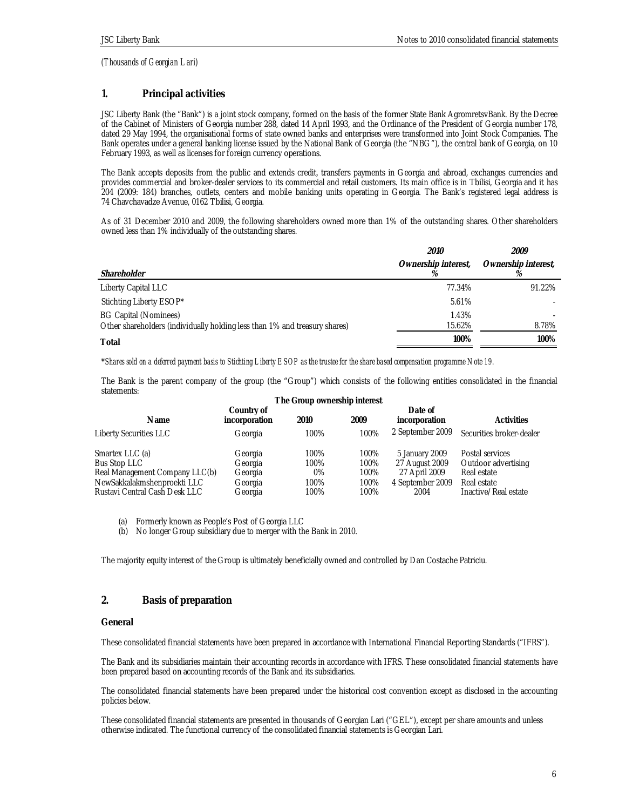### **1. Principal activities**

JSC Liberty Bank (the "Bank") is a joint stock company, formed on the basis of the former State Bank AgromretsvBank. By the Decree of the Cabinet of Ministers of Georgia number 288, dated 14 April 1993, and the Ordinance of the President of Georgia number 178, dated 29 May 1994, the organisational forms of state owned banks and enterprises were transformed into Joint Stock Companies. The Bank operates under a general banking license issued by the National Bank of Georgia (the "NBG"), the central bank of Georgia, on 10 February 1993, as well as licenses for foreign currency operations.

The Bank accepts deposits from the public and extends credit, transfers payments in Georgia and abroad, exchanges currencies and provides commercial and broker-dealer services to its commercial and retail customers. Its main office is in Tbilisi, Georgia and it has 204 (2009: 184) branches, outlets, centers and mobile banking units operating in Georgia. The Bank's registered legal address is 74 Chavchavadze Avenue, 0162 Tbilisi, Georgia.

As of 31 December 2010 and 2009, the following shareholders owned more than 1% of the outstanding shares. Other shareholders owned less than 1% individually of the outstanding shares.

|                                                                                                            | 2010                | 2009                |
|------------------------------------------------------------------------------------------------------------|---------------------|---------------------|
| Shareholder                                                                                                | Ownership interest, | Ownership interest, |
| Liberty Capital LLC                                                                                        | 77.34%              | 91.22%              |
| Stichting Liberty ESOP*                                                                                    | 5.61%               |                     |
| <b>BG Capital (Nominees)</b><br>Other shareholders (individually holding less than 1% and treasury shares) | 1.43%<br>15.62%     | 8.78%               |
| Total                                                                                                      | 100%                | 100%                |

\**Shares sold on a deferred payment basis to Stichting Liberty ESOP as the trustee for the share based compensation programme Note 19.* 

The Bank is the parent company of the group (the "Group") which consists of the following entities consolidated in the financial statements:

|                                |                             | The Group ownership interest |      |                          |                          |
|--------------------------------|-----------------------------|------------------------------|------|--------------------------|--------------------------|
| Name                           | Country of<br>incorporation | 2010                         | 2009 | Date of<br>incorporation | Activities               |
| Liberty Securities LLC         | Georgia                     | 100%                         | 100% | 2 September 2009         | Securities broker-dealer |
| Smartex LLC (a)                | Georgia                     | 100%                         | 100% | 5 January 2009           | Postal services          |
| Bus Stop LLC                   | Georgia                     | 100%                         | 100% | 27 August 2009           | Outdoor advertising      |
| Real Management Company LLC(b) | Georgia                     | $0\%$                        | 100% | 27 April 2009            | Real estate              |
| NewSakkalakmshenproekti LLC    | Georgia                     | 100%                         | 100% | 4 September 2009         | Real estate              |
| Rustavi Central Cash Desk LLC  | Georgia                     | 100%                         | 100% | 2004                     | Inactive/Real estate     |

(a) Formerly known as People's Post of Georgia LLC

(b) No longer Group subsidiary due to merger with the Bank in 2010.

The majority equity interest of the Group is ultimately beneficially owned and controlled by Dan Costache Patriciu.

### **2. Basis of preparation**

#### **General**

These consolidated financial statements have been prepared in accordance with International Financial Reporting Standards ("IFRS").

The Bank and its subsidiaries maintain their accounting records in accordance with IFRS. These consolidated financial statements have been prepared based on accounting records of the Bank and its subsidiaries.

The consolidated financial statements have been prepared under the historical cost convention except as disclosed in the accounting policies below.

These consolidated financial statements are presented in thousands of Georgian Lari ("GEL"), except per share amounts and unless otherwise indicated. The functional currency of the consolidated financial statements is Georgian Lari.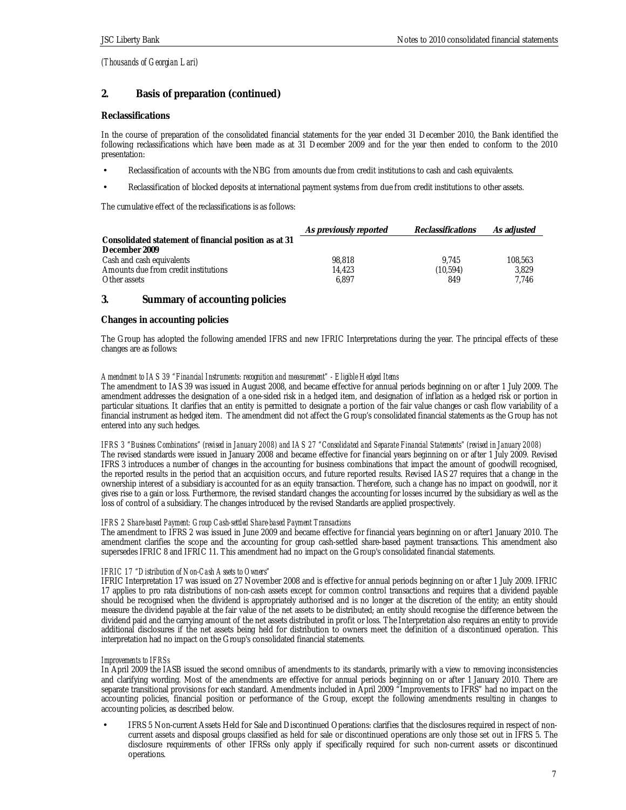### **2. Basis of preparation (continued)**

#### **Reclassifications**

In the course of preparation of the consolidated financial statements for the year ended 31 December 2010, the Bank identified the following reclassifications which have been made as at 31 December 2009 and for the year then ended to conform to the 2010 presentation:

- Reclassification of accounts with the NBG from amounts due from credit institutions to cash and cash equivalents.
- Reclassification of blocked deposits at international payment systems from due from credit institutions to other assets.

The cumulative effect of the reclassifications is as follows:

|                                                       | As previously reported | Reclassifications | As adjusted |
|-------------------------------------------------------|------------------------|-------------------|-------------|
| Consolidated statement of financial position as at 31 |                        |                   |             |
| December 2009                                         |                        |                   |             |
| Cash and cash equivalents                             | 98.818                 | 9.745             | 108.563     |
| Amounts due from credit institutions                  | 14.423                 | (10.594)          | 3,829       |
| Other assets                                          | 6.897                  | 849               | 7.746       |

### **3. Summary of accounting policies**

#### **Changes in accounting policies**

The Group has adopted the following amended IFRS and new IFRIC Interpretations during the year. The principal effects of these changes are as follows:

#### *Amendment to IAS 39 "Financial Instruments: recognition and measurement" - Eligible Hedged Items*

The amendment to IAS 39 was issued in August 2008, and became effective for annual periods beginning on or after 1 July 2009. The amendment addresses the designation of a one-sided risk in a hedged item, and designation of inflation as a hedged risk or portion in particular situations. It clarifies that an entity is permitted to designate a portion of the fair value changes or cash flow variability of a financial instrument as hedged item. The amendment did not affect the Group's consolidated financial statements as the Group has not entered into any such hedges.

#### *IFRS 3 "Business Combinations" (revised in January 2008) and IAS 27 "Consolidated and Separate Financial Statements" (revised in January 2008)*  The revised standards were issued in January 2008 and became effective for financial years beginning on or after 1 July 2009. Revised IFRS 3 introduces a number of changes in the accounting for business combinations that impact the amount of goodwill recognised, the reported results in the period that an acquisition occurs, and future reported results. Revised IAS 27 requires that a change in the ownership interest of a subsidiary is accounted for as an equity transaction. Therefore, such a change has no impact on goodwill, nor it gives rise to a gain or loss. Furthermore, the revised standard changes the accounting for losses incurred by the subsidiary as well as the loss of control of a subsidiary. The changes introduced by the revised Standards are applied prospectively.

#### *IFRS 2 Share-based Payment: Group Cash-settled Share-based Payment Transactions*

The amendment to IFRS 2 was issued in June 2009 and became effective for financial years beginning on or after1 January 2010. The amendment clarifies the scope and the accounting for group cash-settled share-based payment transactions. This amendment also supersedes IFRIC 8 and IFRIC 11. This amendment had no impact on the Group's consolidated financial statements.

#### *IFRIC 17 "Distribution of Non-Cash Assets to Owners"*

IFRIC Interpretation 17 was issued on 27 November 2008 and is effective for annual periods beginning on or after 1 July 2009. IFRIC 17 applies to pro rata distributions of non-cash assets except for common control transactions and requires that a dividend payable should be recognised when the dividend is appropriately authorised and is no longer at the discretion of the entity; an entity should measure the dividend payable at the fair value of the net assets to be distributed; an entity should recognise the difference between the dividend paid and the carrying amount of the net assets distributed in profit or loss. The Interpretation also requires an entity to provide additional disclosures if the net assets being held for distribution to owners meet the definition of a discontinued operation. This interpretation had no impact on the Group's consolidated financial statements.

#### *Improvements to IFRSs*

In April 2009 the IASB issued the second omnibus of amendments to its standards, primarily with a view to removing inconsistencies and clarifying wording. Most of the amendments are effective for annual periods beginning on or after 1 January 2010. There are separate transitional provisions for each standard. Amendments included in April 2009 "Improvements to IFRS" had no impact on the accounting policies, financial position or performance of the Group, except the following amendments resulting in changes to accounting policies, as described below.

• IFRS 5 Non-current Assets Held for Sale and Discontinued Operations: clarifies that the disclosures required in respect of noncurrent assets and disposal groups classified as held for sale or discontinued operations are only those set out in IFRS 5. The disclosure requirements of other IFRSs only apply if specifically required for such non-current assets or discontinued operations.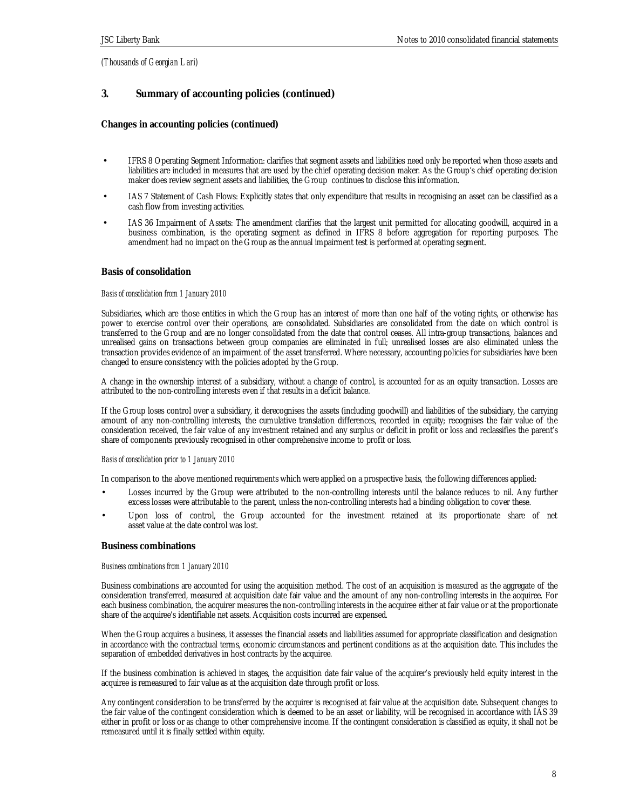### **3. Summary of accounting policies (continued)**

**Changes in accounting policies (continued)** 

- IFRS 8 Operating Segment Information: clarifies that segment assets and liabilities need only be reported when those assets and liabilities are included in measures that are used by the chief operating decision maker. As the Group's chief operating decision maker does review segment assets and liabilities, the Group continues to disclose this information.
- IAS 7 Statement of Cash Flows: Explicitly states that only expenditure that results in recognising an asset can be classified as a cash flow from investing activities.
- IAS 36 Impairment of Assets: The amendment clarifies that the largest unit permitted for allocating goodwill, acquired in a business combination, is the operating segment as defined in IFRS 8 before aggregation for reporting purposes. The amendment had no impact on the Group as the annual impairment test is performed at operating segment.

#### **Basis of consolidation**

#### *Basis of consolidation from 1 January 2010*

Subsidiaries, which are those entities in which the Group has an interest of more than one half of the voting rights, or otherwise has power to exercise control over their operations, are consolidated. Subsidiaries are consolidated from the date on which control is transferred to the Group and are no longer consolidated from the date that control ceases. All intra-group transactions, balances and unrealised gains on transactions between group companies are eliminated in full; unrealised losses are also eliminated unless the transaction provides evidence of an impairment of the asset transferred. Where necessary, accounting policies for subsidiaries have been changed to ensure consistency with the policies adopted by the Group.

A change in the ownership interest of a subsidiary, without a change of control, is accounted for as an equity transaction. Losses are attributed to the non-controlling interests even if that results in a deficit balance.

If the Group loses control over a subsidiary, it derecognises the assets (including goodwill) and liabilities of the subsidiary, the carrying amount of any non-controlling interests, the cumulative translation differences, recorded in equity; recognises the fair value of the consideration received, the fair value of any investment retained and any surplus or deficit in profit or loss and reclassifies the parent's share of components previously recognised in other comprehensive income to profit or loss.

#### *Basis of consolidation prior to 1 January 2010*

In comparison to the above mentioned requirements which were applied on a prospective basis, the following differences applied:

- Losses incurred by the Group were attributed to the non-controlling interests until the balance reduces to nil. Any further excess losses were attributable to the parent, unless the non-controlling interests had a binding obligation to cover these.
- Upon loss of control, the Group accounted for the investment retained at its proportionate share of net asset value at the date control was lost.

#### **Business combinations**

#### *Business combinations from 1 January 2010*

Business combinations are accounted for using the acquisition method. The cost of an acquisition is measured as the aggregate of the consideration transferred, measured at acquisition date fair value and the amount of any non-controlling interests in the acquiree. For each business combination, the acquirer measures the non-controlling interests in the acquiree either at fair value or at the proportionate share of the acquiree's identifiable net assets. Acquisition costs incurred are expensed.

When the Group acquires a business, it assesses the financial assets and liabilities assumed for appropriate classification and designation in accordance with the contractual terms, economic circumstances and pertinent conditions as at the acquisition date. This includes the separation of embedded derivatives in host contracts by the acquiree.

If the business combination is achieved in stages, the acquisition date fair value of the acquirer's previously held equity interest in the acquiree is remeasured to fair value as at the acquisition date through profit or loss.

Any contingent consideration to be transferred by the acquirer is recognised at fair value at the acquisition date. Subsequent changes to the fair value of the contingent consideration which is deemed to be an asset or liability, will be recognised in accordance with IAS 39 either in profit or loss or as change to other comprehensive income. If the contingent consideration is classified as equity, it shall not be remeasured until it is finally settled within equity.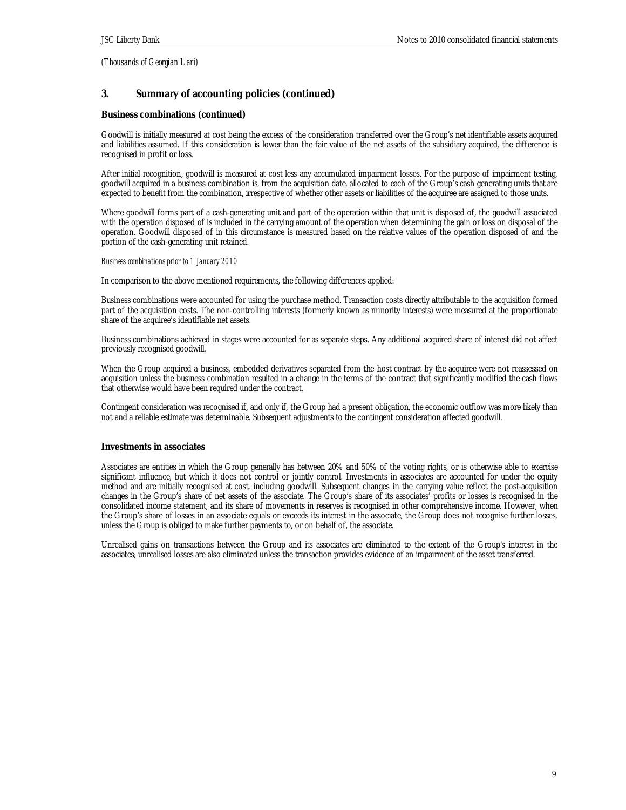### **3. Summary of accounting policies (continued)**

#### **Business combinations (continued)**

Goodwill is initially measured at cost being the excess of the consideration transferred over the Group's net identifiable assets acquired and liabilities assumed. If this consideration is lower than the fair value of the net assets of the subsidiary acquired, the difference is recognised in profit or loss.

After initial recognition, goodwill is measured at cost less any accumulated impairment losses. For the purpose of impairment testing, goodwill acquired in a business combination is, from the acquisition date, allocated to each of the Group's cash generating units that are expected to benefit from the combination, irrespective of whether other assets or liabilities of the acquiree are assigned to those units.

Where goodwill forms part of a cash-generating unit and part of the operation within that unit is disposed of, the goodwill associated with the operation disposed of is included in the carrying amount of the operation when determining the gain or loss on disposal of the operation. Goodwill disposed of in this circumstance is measured based on the relative values of the operation disposed of and the portion of the cash-generating unit retained.

#### *Business combinations prior to 1 January 2010*

In comparison to the above mentioned requirements, the following differences applied:

Business combinations were accounted for using the purchase method. Transaction costs directly attributable to the acquisition formed part of the acquisition costs. The non-controlling interests (formerly known as minority interests) were measured at the proportionate share of the acquiree's identifiable net assets.

Business combinations achieved in stages were accounted for as separate steps. Any additional acquired share of interest did not affect previously recognised goodwill.

When the Group acquired a business, embedded derivatives separated from the host contract by the acquiree were not reassessed on acquisition unless the business combination resulted in a change in the terms of the contract that significantly modified the cash flows that otherwise would have been required under the contract.

Contingent consideration was recognised if, and only if, the Group had a present obligation, the economic outflow was more likely than not and a reliable estimate was determinable. Subsequent adjustments to the contingent consideration affected goodwill.

#### **Investments in associates**

Associates are entities in which the Group generally has between 20% and 50% of the voting rights, or is otherwise able to exercise significant influence, but which it does not control or jointly control. Investments in associates are accounted for under the equity method and are initially recognised at cost, including goodwill. Subsequent changes in the carrying value reflect the post-acquisition changes in the Group's share of net assets of the associate. The Group's share of its associates' profits or losses is recognised in the consolidated income statement, and its share of movements in reserves is recognised in other comprehensive income. However, when the Group's share of losses in an associate equals or exceeds its interest in the associate, the Group does not recognise further losses, unless the Group is obliged to make further payments to, or on behalf of, the associate.

Unrealised gains on transactions between the Group and its associates are eliminated to the extent of the Group's interest in the associates; unrealised losses are also eliminated unless the transaction provides evidence of an impairment of the asset transferred.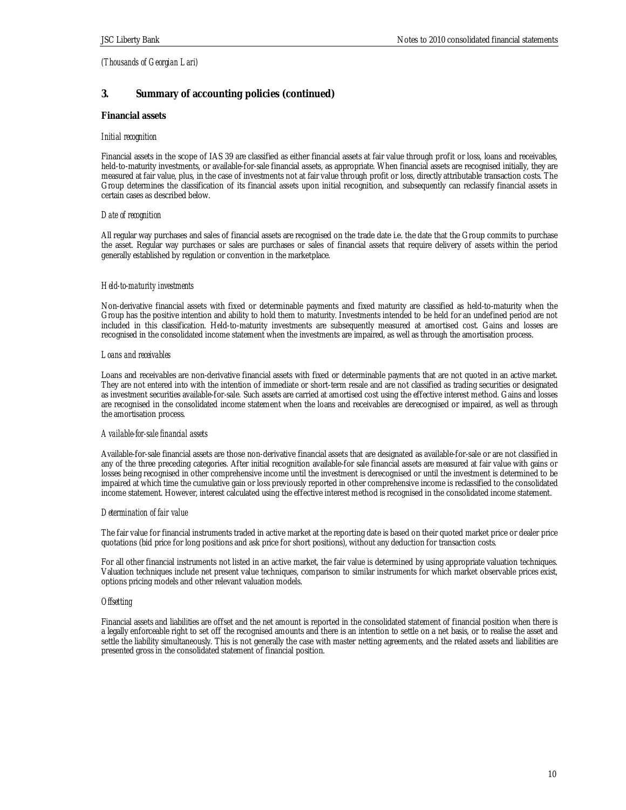### **3. Summary of accounting policies (continued)**

#### **Financial assets**

#### *Initial recognition*

Financial assets in the scope of IAS 39 are classified as either financial assets at fair value through profit or loss, loans and receivables, held-to-maturity investments, or available-for-sale financial assets, as appropriate. When financial assets are recognised initially, they are measured at fair value, plus, in the case of investments not at fair value through profit or loss, directly attributable transaction costs. The Group determines the classification of its financial assets upon initial recognition, and subsequently can reclassify financial assets in certain cases as described below.

#### *Date of recognition*

All regular way purchases and sales of financial assets are recognised on the trade date i.e. the date that the Group commits to purchase the asset. Regular way purchases or sales are purchases or sales of financial assets that require delivery of assets within the period generally established by regulation or convention in the marketplace.

#### *Held-to-maturity investments*

Non-derivative financial assets with fixed or determinable payments and fixed maturity are classified as held-to-maturity when the Group has the positive intention and ability to hold them to maturity. Investments intended to be held for an undefined period are not included in this classification. Held-to-maturity investments are subsequently measured at amortised cost. Gains and losses are recognised in the consolidated income statement when the investments are impaired, as well as through the amortisation process.

#### *Loans and receivables*

Loans and receivables are non-derivative financial assets with fixed or determinable payments that are not quoted in an active market. They are not entered into with the intention of immediate or short-term resale and are not classified as trading securities or designated as investment securities available-for-sale. Such assets are carried at amortised cost using the effective interest method. Gains and losses are recognised in the consolidated income statement when the loans and receivables are derecognised or impaired, as well as through the amortisation process.

#### *Available-for-sale financial assets*

Available-for-sale financial assets are those non-derivative financial assets that are designated as available-for-sale or are not classified in any of the three preceding categories. After initial recognition available-for sale financial assets are measured at fair value with gains or losses being recognised in other comprehensive income until the investment is derecognised or until the investment is determined to be impaired at which time the cumulative gain or loss previously reported in other comprehensive income is reclassified to the consolidated income statement. However, interest calculated using the effective interest method is recognised in the consolidated income statement.

#### *Determination of fair value*

The fair value for financial instruments traded in active market at the reporting date is based on their quoted market price or dealer price quotations (bid price for long positions and ask price for short positions), without any deduction for transaction costs.

For all other financial instruments not listed in an active market, the fair value is determined by using appropriate valuation techniques. Valuation techniques include net present value techniques, comparison to similar instruments for which market observable prices exist, options pricing models and other relevant valuation models.

#### *Offsetting*

Financial assets and liabilities are offset and the net amount is reported in the consolidated statement of financial position when there is a legally enforceable right to set off the recognised amounts and there is an intention to settle on a net basis, or to realise the asset and settle the liability simultaneously. This is not generally the case with master netting agreements, and the related assets and liabilities are presented gross in the consolidated statement of financial position.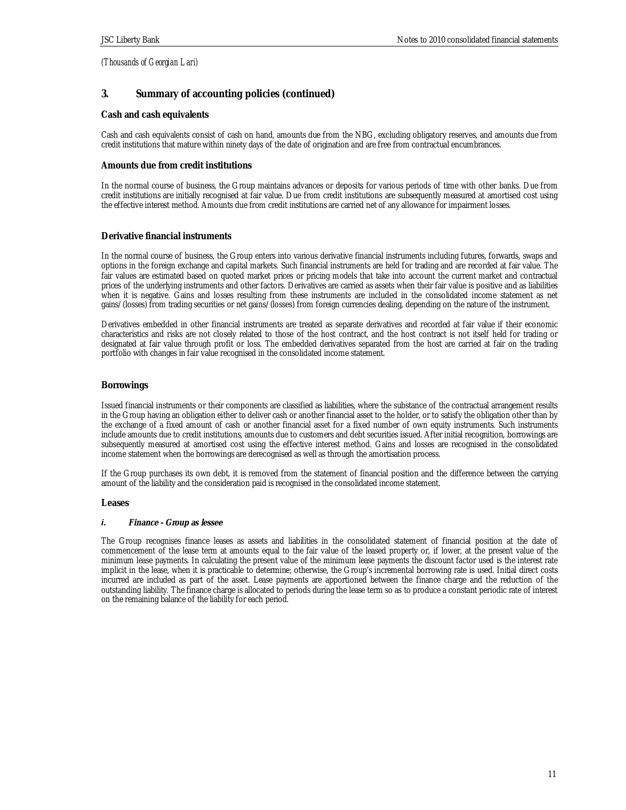## **3. Summary of accounting policies (continued)**

#### **Cash and cash equivalents**

Cash and cash equivalents consist of cash on hand, amounts due from the NBG, excluding obligatory reserves, and amounts due from credit institutions that mature within ninety days of the date of origination and are free from contractual encumbrances.

#### **Amounts due from credit institutions**

In the normal course of business, the Group maintains advances or deposits for various periods of time with other banks. Due from credit institutions are initially recognised at fair value. Due from credit institutions are subsequently measured at amortised cost using the effective interest method. Amounts due from credit institutions are carried net of any allowance for impairment losses.

### **Derivative financial instruments**

In the normal course of business, the Group enters into various derivative financial instruments including futures, forwards, swaps and options in the foreign exchange and capital markets. Such financial instruments are held for trading and are recorded at fair value. The fair values are estimated based on quoted market prices or pricing models that take into account the current market and contractual prices of the underlying instruments and other factors. Derivatives are carried as assets when their fair value is positive and as liabilities when it is negative. Gains and losses resulting from these instruments are included in the consolidated income statement as net gains/(losses) from trading securities or net gains/(losses) from foreign currencies dealing, depending on the nature of the instrument.

Derivatives embedded in other financial instruments are treated as separate derivatives and recorded at fair value if their economic characteristics and risks are not closely related to those of the host contract, and the host contract is not itself held for trading or designated at fair value through profit or loss. The embedded derivatives separated from the host are carried at fair on the trading portfolio with changes in fair value recognised in the consolidated income statement.

#### **Borrowings**

Issued financial instruments or their components are classified as liabilities, where the substance of the contractual arrangement results in the Group having an obligation either to deliver cash or another financial asset to the holder, or to satisfy the obligation other than by the exchange of a fixed amount of cash or another financial asset for a fixed number of own equity instruments. Such instruments include amounts due to credit institutions, amounts due to customers and debt securities issued. After initial recognition, borrowings are subsequently measured at amortised cost using the effective interest method. Gains and losses are recognised in the consolidated income statement when the borrowings are derecognised as well as through the amortisation process.

If the Group purchases its own debt, it is removed from the statement of financial position and the difference between the carrying amount of the liability and the consideration paid is recognised in the consolidated income statement.

#### **Leases**

#### *i.* **Finance - Group as lessee**

The Group recognises finance leases as assets and liabilities in the consolidated statement of financial position at the date of commencement of the lease term at amounts equal to the fair value of the leased property or, if lower, at the present value of the minimum lease payments. In calculating the present value of the minimum lease payments the discount factor used is the interest rate implicit in the lease, when it is practicable to determine; otherwise, the Group's incremental borrowing rate is used. Initial direct costs incurred are included as part of the asset. Lease payments are apportioned between the finance charge and the reduction of the outstanding liability. The finance charge is allocated to periods during the lease term so as to produce a constant periodic rate of interest on the remaining balance of the liability for each period.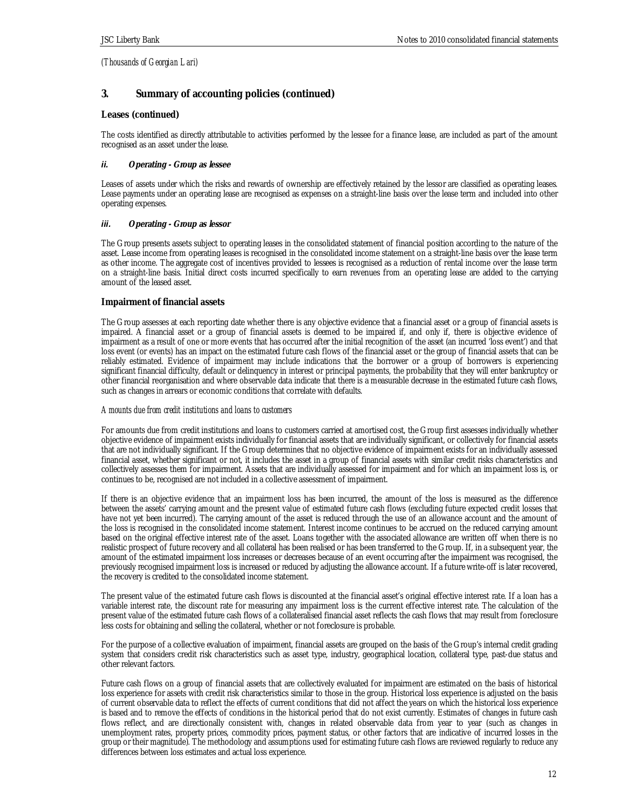## **3. Summary of accounting policies (continued)**

### **Leases (continued)**

The costs identified as directly attributable to activities performed by the lessee for a finance lease, are included as part of the amount recognised as an asset under the lease.

#### *ii.* **Operating - Group as lessee**

Leases of assets under which the risks and rewards of ownership are effectively retained by the lessor are classified as operating leases. Lease payments under an operating lease are recognised as expenses on a straight-line basis over the lease term and included into other operating expenses.

#### *iii.* **Operating - Group as lessor**

The Group presents assets subject to operating leases in the consolidated statement of financial position according to the nature of the asset. Lease income from operating leases is recognised in the consolidated income statement on a straight-line basis over the lease term as other income. The aggregate cost of incentives provided to lessees is recognised as a reduction of rental income over the lease term on a straight-line basis. Initial direct costs incurred specifically to earn revenues from an operating lease are added to the carrying amount of the leased asset.

#### **Impairment of financial assets**

The Group assesses at each reporting date whether there is any objective evidence that a financial asset or a group of financial assets is impaired. A financial asset or a group of financial assets is deemed to be impaired if, and only if, there is objective evidence of impairment as a result of one or more events that has occurred after the initial recognition of the asset (an incurred 'loss event') and that loss event (or events) has an impact on the estimated future cash flows of the financial asset or the group of financial assets that can be reliably estimated. Evidence of impairment may include indications that the borrower or a group of borrowers is experiencing significant financial difficulty, default or delinquency in interest or principal payments, the probability that they will enter bankruptcy or other financial reorganisation and where observable data indicate that there is a measurable decrease in the estimated future cash flows, such as changes in arrears or economic conditions that correlate with defaults.

#### *Amounts due from credit institutions and loans to customers*

For amounts due from credit institutions and loans to customers carried at amortised cost, the Group first assesses individually whether objective evidence of impairment exists individually for financial assets that are individually significant, or collectively for financial assets that are not individually significant. If the Group determines that no objective evidence of impairment exists for an individually assessed financial asset, whether significant or not, it includes the asset in a group of financial assets with similar credit risks characteristics and collectively assesses them for impairment. Assets that are individually assessed for impairment and for which an impairment loss is, or continues to be, recognised are not included in a collective assessment of impairment.

If there is an objective evidence that an impairment loss has been incurred, the amount of the loss is measured as the difference between the assets' carrying amount and the present value of estimated future cash flows (excluding future expected credit losses that have not yet been incurred). The carrying amount of the asset is reduced through the use of an allowance account and the amount of the loss is recognised in the consolidated income statement. Interest income continues to be accrued on the reduced carrying amount based on the original effective interest rate of the asset. Loans together with the associated allowance are written off when there is no realistic prospect of future recovery and all collateral has been realised or has been transferred to the Group. If, in a subsequent year, the amount of the estimated impairment loss increases or decreases because of an event occurring after the impairment was recognised, the previously recognised impairment loss is increased or reduced by adjusting the allowance account. If a future write-off is later recovered, the recovery is credited to the consolidated income statement.

The present value of the estimated future cash flows is discounted at the financial asset's original effective interest rate. If a loan has a variable interest rate, the discount rate for measuring any impairment loss is the current effective interest rate. The calculation of the present value of the estimated future cash flows of a collateralised financial asset reflects the cash flows that may result from foreclosure less costs for obtaining and selling the collateral, whether or not foreclosure is probable.

For the purpose of a collective evaluation of impairment, financial assets are grouped on the basis of the Group's internal credit grading system that considers credit risk characteristics such as asset type, industry, geographical location, collateral type, past-due status and other relevant factors.

Future cash flows on a group of financial assets that are collectively evaluated for impairment are estimated on the basis of historical loss experience for assets with credit risk characteristics similar to those in the group. Historical loss experience is adjusted on the basis of current observable data to reflect the effects of current conditions that did not affect the years on which the historical loss experience is based and to remove the effects of conditions in the historical period that do not exist currently. Estimates of changes in future cash flows reflect, and are directionally consistent with, changes in related observable data from year to year (such as changes in unemployment rates, property prices, commodity prices, payment status, or other factors that are indicative of incurred losses in the group or their magnitude). The methodology and assumptions used for estimating future cash flows are reviewed regularly to reduce any differences between loss estimates and actual loss experience.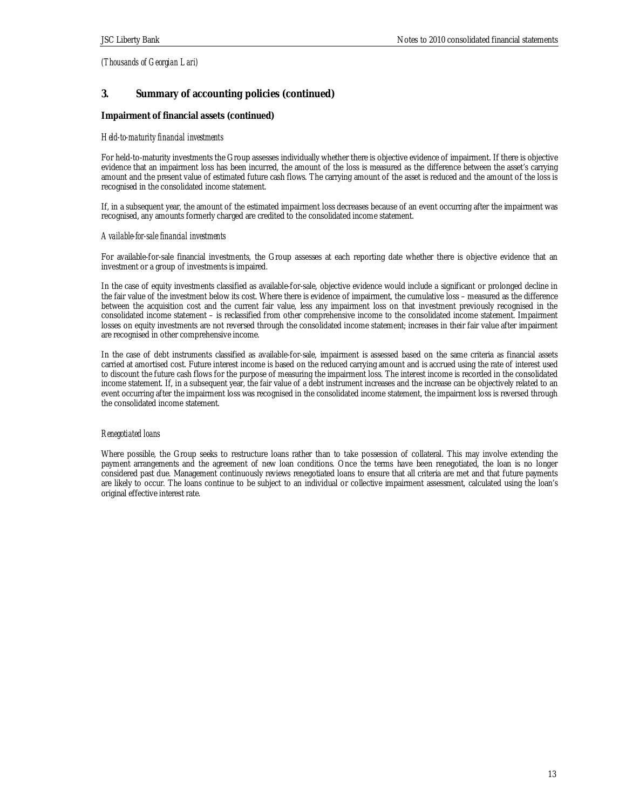## **3. Summary of accounting policies (continued)**

#### **Impairment of financial assets (continued)**

#### *Held-to-maturity financial investments*

For held-to-maturity investments the Group assesses individually whether there is objective evidence of impairment. If there is objective evidence that an impairment loss has been incurred, the amount of the loss is measured as the difference between the asset's carrying amount and the present value of estimated future cash flows. The carrying amount of the asset is reduced and the amount of the loss is recognised in the consolidated income statement.

If, in a subsequent year, the amount of the estimated impairment loss decreases because of an event occurring after the impairment was recognised, any amounts formerly charged are credited to the consolidated income statement.

#### *Available-for-sale financial investments*

For available-for-sale financial investments, the Group assesses at each reporting date whether there is objective evidence that an investment or a group of investments is impaired.

In the case of equity investments classified as available-for-sale, objective evidence would include a significant or prolonged decline in the fair value of the investment below its cost. Where there is evidence of impairment, the cumulative loss – measured as the difference between the acquisition cost and the current fair value, less any impairment loss on that investment previously recognised in the consolidated income statement – is reclassified from other comprehensive income to the consolidated income statement. Impairment losses on equity investments are not reversed through the consolidated income statement; increases in their fair value after impairment are recognised in other comprehensive income.

In the case of debt instruments classified as available-for-sale, impairment is assessed based on the same criteria as financial assets carried at amortised cost. Future interest income is based on the reduced carrying amount and is accrued using the rate of interest used to discount the future cash flows for the purpose of measuring the impairment loss. The interest income is recorded in the consolidated income statement. If, in a subsequent year, the fair value of a debt instrument increases and the increase can be objectively related to an event occurring after the impairment loss was recognised in the consolidated income statement, the impairment loss is reversed through the consolidated income statement.

#### *Renegotiated loans*

Where possible, the Group seeks to restructure loans rather than to take possession of collateral. This may involve extending the payment arrangements and the agreement of new loan conditions. Once the terms have been renegotiated, the loan is no longer considered past due. Management continuously reviews renegotiated loans to ensure that all criteria are met and that future payments are likely to occur. The loans continue to be subject to an individual or collective impairment assessment, calculated using the loan's original effective interest rate.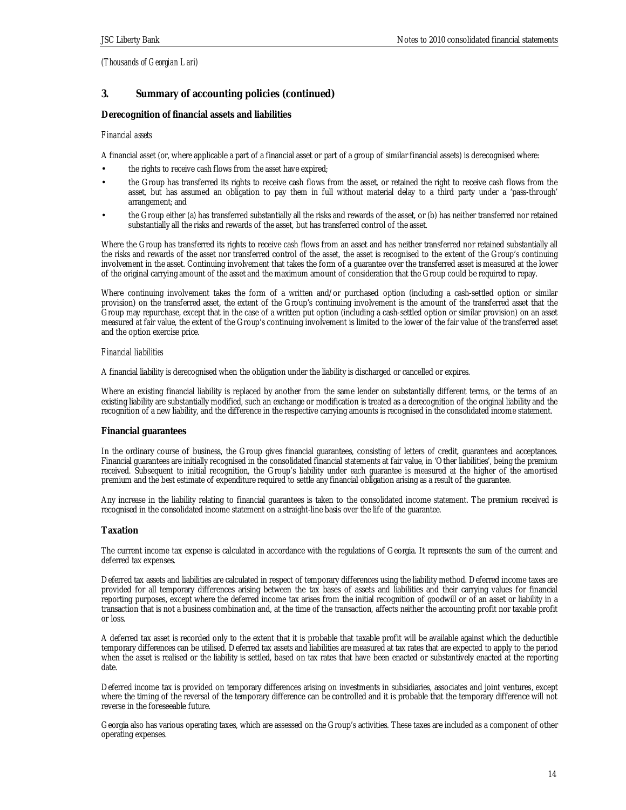## **3. Summary of accounting policies (continued)**

**Derecognition of financial assets and liabilities** 

#### *Financial assets*

A financial asset (or, where applicable a part of a financial asset or part of a group of similar financial assets) is derecognised where:

- the rights to receive cash flows from the asset have expired;
- the Group has transferred its rights to receive cash flows from the asset, or retained the right to receive cash flows from the asset, but has assumed an obligation to pay them in full without material delay to a third party under a 'pass-through' arrangement; and
- the Group either (a) has transferred substantially all the risks and rewards of the asset, or (b) has neither transferred nor retained substantially all the risks and rewards of the asset, but has transferred control of the asset.

Where the Group has transferred its rights to receive cash flows from an asset and has neither transferred nor retained substantially all the risks and rewards of the asset nor transferred control of the asset, the asset is recognised to the extent of the Group's continuing involvement in the asset. Continuing involvement that takes the form of a guarantee over the transferred asset is measured at the lower of the original carrying amount of the asset and the maximum amount of consideration that the Group could be required to repay.

Where continuing involvement takes the form of a written and/or purchased option (including a cash-settled option or similar provision) on the transferred asset, the extent of the Group's continuing involvement is the amount of the transferred asset that the Group may repurchase, except that in the case of a written put option (including a cash-settled option or similar provision) on an asset measured at fair value, the extent of the Group's continuing involvement is limited to the lower of the fair value of the transferred asset and the option exercise price.

#### *Financial liabilities*

A financial liability is derecognised when the obligation under the liability is discharged or cancelled or expires.

Where an existing financial liability is replaced by another from the same lender on substantially different terms, or the terms of an existing liability are substantially modified, such an exchange or modification is treated as a derecognition of the original liability and the recognition of a new liability, and the difference in the respective carrying amounts is recognised in the consolidated income statement.

#### **Financial guarantees**

In the ordinary course of business, the Group gives financial guarantees, consisting of letters of credit, guarantees and acceptances. Financial guarantees are initially recognised in the consolidated financial statements at fair value, in 'Other liabilities', being the premium received. Subsequent to initial recognition, the Group's liability under each guarantee is measured at the higher of the amortised premium and the best estimate of expenditure required to settle any financial obligation arising as a result of the guarantee.

Any increase in the liability relating to financial guarantees is taken to the consolidated income statement. The premium received is recognised in the consolidated income statement on a straight-line basis over the life of the guarantee.

#### **Taxation**

The current income tax expense is calculated in accordance with the regulations of Georgia. It represents the sum of the current and deferred tax expenses.

Deferred tax assets and liabilities are calculated in respect of temporary differences using the liability method. Deferred income taxes are provided for all temporary differences arising between the tax bases of assets and liabilities and their carrying values for financial reporting purposes, except where the deferred income tax arises from the initial recognition of goodwill or of an asset or liability in a transaction that is not a business combination and, at the time of the transaction, affects neither the accounting profit nor taxable profit or loss.

A deferred tax asset is recorded only to the extent that it is probable that taxable profit will be available against which the deductible temporary differences can be utilised. Deferred tax assets and liabilities are measured at tax rates that are expected to apply to the period when the asset is realised or the liability is settled, based on tax rates that have been enacted or substantively enacted at the reporting date.

Deferred income tax is provided on temporary differences arising on investments in subsidiaries, associates and joint ventures, except where the timing of the reversal of the temporary difference can be controlled and it is probable that the temporary difference will not reverse in the foreseeable future.

Georgia also has various operating taxes, which are assessed on the Group's activities. These taxes are included as a component of other operating expenses.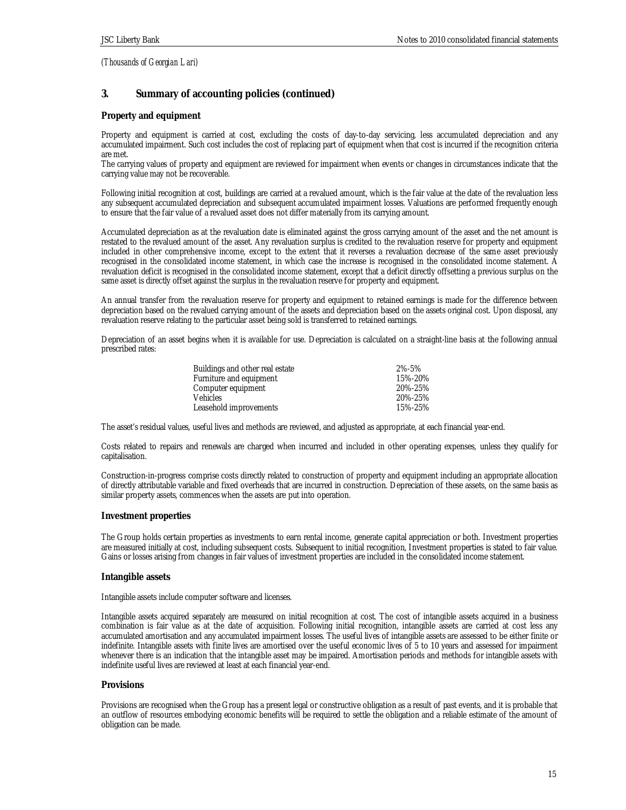### **3. Summary of accounting policies (continued)**

#### **Property and equipment**

Property and equipment is carried at cost, excluding the costs of day-to-day servicing, less accumulated depreciation and any accumulated impairment. Such cost includes the cost of replacing part of equipment when that cost is incurred if the recognition criteria are met.

The carrying values of property and equipment are reviewed for impairment when events or changes in circumstances indicate that the carrying value may not be recoverable.

Following initial recognition at cost, buildings are carried at a revalued amount, which is the fair value at the date of the revaluation less any subsequent accumulated depreciation and subsequent accumulated impairment losses. Valuations are performed frequently enough to ensure that the fair value of a revalued asset does not differ materially from its carrying amount.

Accumulated depreciation as at the revaluation date is eliminated against the gross carrying amount of the asset and the net amount is restated to the revalued amount of the asset. Any revaluation surplus is credited to the revaluation reserve for property and equipment included in other comprehensive income, except to the extent that it reverses a revaluation decrease of the same asset previously recognised in the consolidated income statement, in which case the increase is recognised in the consolidated income statement. A revaluation deficit is recognised in the consolidated income statement, except that a deficit directly offsetting a previous surplus on the same asset is directly offset against the surplus in the revaluation reserve for property and equipment.

An annual transfer from the revaluation reserve for property and equipment to retained earnings is made for the difference between depreciation based on the revalued carrying amount of the assets and depreciation based on the assets original cost. Upon disposal, any revaluation reserve relating to the particular asset being sold is transferred to retained earnings.

Depreciation of an asset begins when it is available for use. Depreciation is calculated on a straight-line basis at the following annual prescribed rates:

| Buildings and other real estate | 2%-5%   |
|---------------------------------|---------|
| Furniture and equipment         | 15%-20% |
| Computer equipment              | 20%-25% |
| Vehicles.                       | 20%-25% |
| Leasehold improvements          | 15%-25% |

The asset's residual values, useful lives and methods are reviewed, and adjusted as appropriate, at each financial year-end.

Costs related to repairs and renewals are charged when incurred and included in other operating expenses, unless they qualify for capitalisation.

Construction-in-progress comprise costs directly related to construction of property and equipment including an appropriate allocation of directly attributable variable and fixed overheads that are incurred in construction. Depreciation of these assets, on the same basis as similar property assets, commences when the assets are put into operation.

#### **Investment properties**

The Group holds certain properties as investments to earn rental income, generate capital appreciation or both. Investment properties are measured initially at cost, including subsequent costs. Subsequent to initial recognition, Investment properties is stated to fair value. Gains or losses arising from changes in fair values of investment properties are included in the consolidated income statement.

#### **Intangible assets**

#### Intangible assets include computer software and licenses.

Intangible assets acquired separately are measured on initial recognition at cost. The cost of intangible assets acquired in a business combination is fair value as at the date of acquisition. Following initial recognition, intangible assets are carried at cost less any accumulated amortisation and any accumulated impairment losses. The useful lives of intangible assets are assessed to be either finite or indefinite. Intangible assets with finite lives are amortised over the useful economic lives of 5 to 10 years and assessed for impairment whenever there is an indication that the intangible asset may be impaired. Amortisation periods and methods for intangible assets with indefinite useful lives are reviewed at least at each financial year-end.

#### **Provisions**

Provisions are recognised when the Group has a present legal or constructive obligation as a result of past events, and it is probable that an outflow of resources embodying economic benefits will be required to settle the obligation and a reliable estimate of the amount of obligation can be made.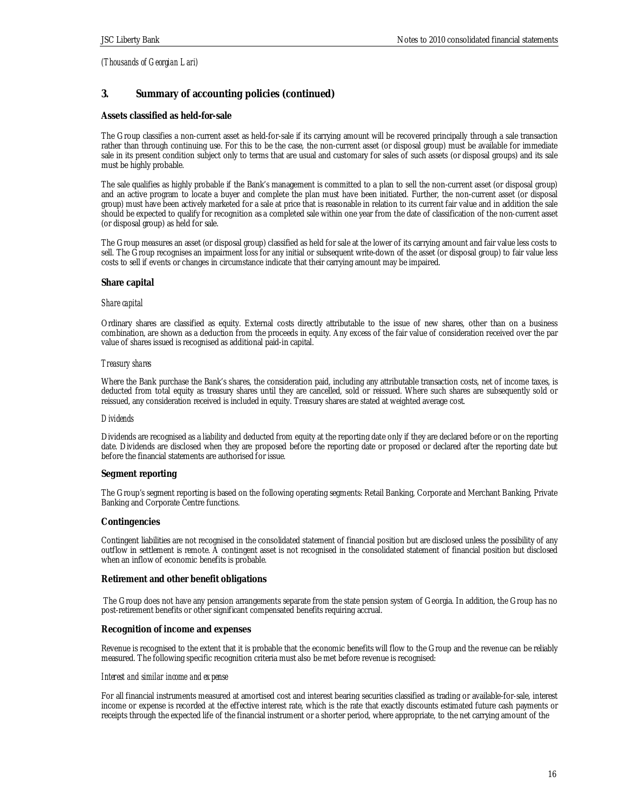### **3. Summary of accounting policies (continued)**

#### **Assets classified as held-for-sale**

The Group classifies a non-current asset as held-for-sale if its carrying amount will be recovered principally through a sale transaction rather than through continuing use. For this to be the case, the non-current asset (or disposal group) must be available for immediate sale in its present condition subject only to terms that are usual and customary for sales of such assets (or disposal groups) and its sale must be highly probable.

The sale qualifies as highly probable if the Bank's management is committed to a plan to sell the non-current asset (or disposal group) and an active program to locate a buyer and complete the plan must have been initiated. Further, the non-current asset (or disposal group) must have been actively marketed for a sale at price that is reasonable in relation to its current fair value and in addition the sale should be expected to qualify for recognition as a completed sale within one year from the date of classification of the non-current asset (or disposal group) as held for sale.

The Group measures an asset (or disposal group) classified as held for sale at the lower of its carrying amount and fair value less costs to sell. The Group recognises an impairment loss for any initial or subsequent write-down of the asset (or disposal group) to fair value less costs to sell if events or changes in circumstance indicate that their carrying amount may be impaired.

#### **Share capital**

#### *Share capital*

Ordinary shares are classified as equity. External costs directly attributable to the issue of new shares, other than on a business combination, are shown as a deduction from the proceeds in equity. Any excess of the fair value of consideration received over the par value of shares issued is recognised as additional paid-in capital.

#### *Treasury shares*

Where the Bank purchase the Bank's shares, the consideration paid, including any attributable transaction costs, net of income taxes, is deducted from total equity as treasury shares until they are cancelled, sold or reissued. Where such shares are subsequently sold or reissued, any consideration received is included in equity. Treasury shares are stated at weighted average cost.

#### *Dividends*

Dividends are recognised as a liability and deducted from equity at the reporting date only if they are declared before or on the reporting date. Dividends are disclosed when they are proposed before the reporting date or proposed or declared after the reporting date but before the financial statements are authorised for issue.

#### **Segment reporting**

The Group's segment reporting is based on the following operating segments: Retail Banking, Corporate and Merchant Banking, Private Banking and Corporate Centre functions.

#### **Contingencies**

Contingent liabilities are not recognised in the consolidated statement of financial position but are disclosed unless the possibility of any outflow in settlement is remote. A contingent asset is not recognised in the consolidated statement of financial position but disclosed when an inflow of economic benefits is probable.

#### **Retirement and other benefit obligations**

 The Group does not have any pension arrangements separate from the state pension system of Georgia. In addition, the Group has no post-retirement benefits or other significant compensated benefits requiring accrual.

#### **Recognition of income and expenses**

Revenue is recognised to the extent that it is probable that the economic benefits will flow to the Group and the revenue can be reliably measured. The following specific recognition criteria must also be met before revenue is recognised:

#### *Interest and similar income and expense*

For all financial instruments measured at amortised cost and interest bearing securities classified as trading or available-for-sale, interest income or expense is recorded at the effective interest rate, which is the rate that exactly discounts estimated future cash payments or receipts through the expected life of the financial instrument or a shorter period, where appropriate, to the net carrying amount of the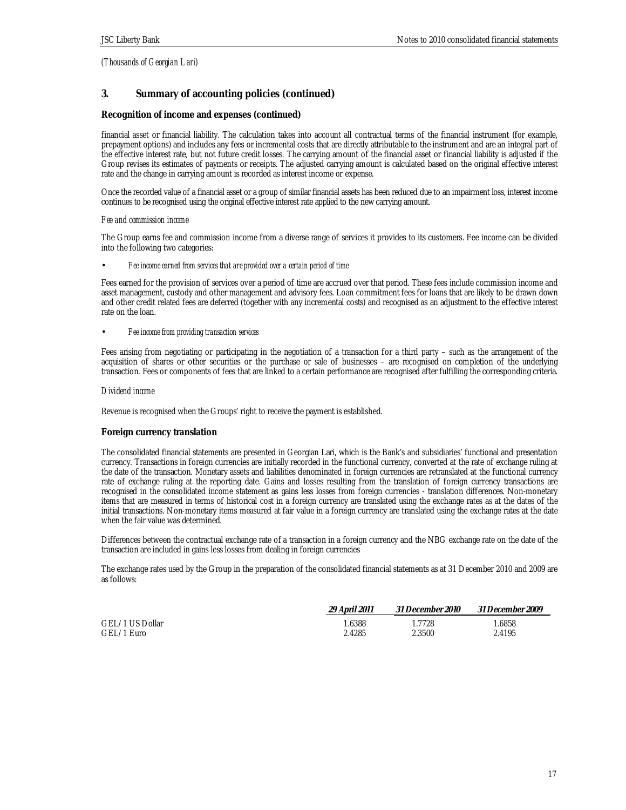## **3. Summary of accounting policies (continued)**

### **Recognition of income and expenses (continued)**

financial asset or financial liability. The calculation takes into account all contractual terms of the financial instrument (for example, prepayment options) and includes any fees or incremental costs that are directly attributable to the instrument and are an integral part of the effective interest rate, but not future credit losses. The carrying amount of the financial asset or financial liability is adjusted if the Group revises its estimates of payments or receipts. The adjusted carrying amount is calculated based on the original effective interest rate and the change in carrying amount is recorded as interest income or expense.

Once the recorded value of a financial asset or a group of similar financial assets has been reduced due to an impairment loss, interest income continues to be recognised using the original effective interest rate applied to the new carrying amount.

#### *Fee and commission income*

The Group earns fee and commission income from a diverse range of services it provides to its customers. Fee income can be divided into the following two categories:

#### • *Fee income earned from services that are provided over a certain period of time*

Fees earned for the provision of services over a period of time are accrued over that period. These fees include commission income and asset management, custody and other management and advisory fees. Loan commitment fees for loans that are likely to be drawn down and other credit related fees are deferred (together with any incremental costs) and recognised as an adjustment to the effective interest rate on the loan.

#### • *Fee income from providing transaction services*

Fees arising from negotiating or participating in the negotiation of a transaction for a third party – such as the arrangement of the acquisition of shares or other securities or the purchase or sale of businesses – are recognised on completion of the underlying transaction. Fees or components of fees that are linked to a certain performance are recognised after fulfilling the corresponding criteria.

#### *Dividend income*

Revenue is recognised when the Groups' right to receive the payment is established.

#### **Foreign currency translation**

The consolidated financial statements are presented in Georgian Lari, which is the Bank's and subsidiaries' functional and presentation currency. Transactions in foreign currencies are initially recorded in the functional currency, converted at the rate of exchange ruling at the date of the transaction. Monetary assets and liabilities denominated in foreign currencies are retranslated at the functional currency rate of exchange ruling at the reporting date. Gains and losses resulting from the translation of foreign currency transactions are recognised in the consolidated income statement as gains less losses from foreign currencies - translation differences. Non-monetary items that are measured in terms of historical cost in a foreign currency are translated using the exchange rates as at the dates of the initial transactions. Non-monetary items measured at fair value in a foreign currency are translated using the exchange rates at the date when the fair value was determined.

Differences between the contractual exchange rate of a transaction in a foreign currency and the NBG exchange rate on the date of the transaction are included in gains less losses from dealing in foreign currencies

The exchange rates used by the Group in the preparation of the consolidated financial statements as at 31 December 2010 and 2009 are as follows:

|                 | <i>29 April 2011</i> | <i>31 December 2010</i> | <i>31 December 2009</i> |
|-----------------|----------------------|-------------------------|-------------------------|
| GEL/1 US Dollar | 0.6388               | 1.7728                  | 1.6858                  |
| GEL/1 Euro      | 2.4285               | 2.3500                  | 2.4195                  |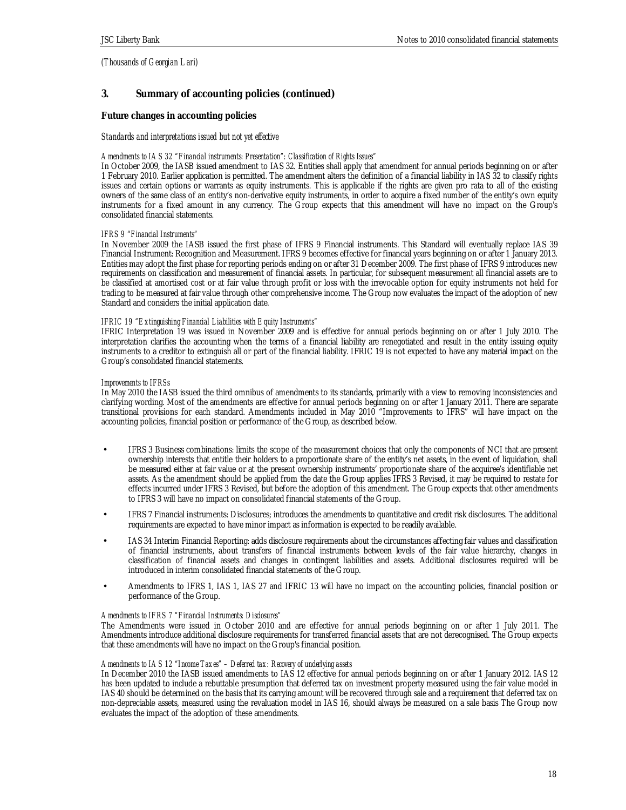## **3. Summary of accounting policies (continued)**

**Future changes in accounting policies** 

#### *Standards and interpretations issued but not yet effective*

#### *Amendments to IAS 32 "Financial instruments: Presentation": Classification of Rights Issues"*

In October 2009, the IASB issued amendment to IAS 32. Entities shall apply that amendment for annual periods beginning on or after 1 February 2010. Earlier application is permitted. The amendment alters the definition of a financial liability in IAS 32 to classify rights issues and certain options or warrants as equity instruments. This is applicable if the rights are given pro rata to all of the existing owners of the same class of an entity's non-derivative equity instruments, in order to acquire a fixed number of the entity's own equity instruments for a fixed amount in any currency. The Group expects that this amendment will have no impact on the Group's consolidated financial statements.

#### *IFRS 9 "Financial Instruments"*

In November 2009 the IASB issued the first phase of IFRS 9 Financial instruments. This Standard will eventually replace IAS 39 Financial Instrument: Recognition and Measurement. IFRS 9 becomes effective for financial years beginning on or after 1 January 2013. Entities may adopt the first phase for reporting periods ending on or after 31 December 2009. The first phase of IFRS 9 introduces new requirements on classification and measurement of financial assets. In particular, for subsequent measurement all financial assets are to be classified at amortised cost or at fair value through profit or loss with the irrevocable option for equity instruments not held for trading to be measured at fair value through other comprehensive income. The Group now evaluates the impact of the adoption of new Standard and considers the initial application date.

#### *IFRIC 19 "Extinguishing Financial Liabilities with Equity Instruments"*

IFRIC Interpretation 19 was issued in November 2009 and is effective for annual periods beginning on or after 1 July 2010. The interpretation clarifies the accounting when the terms of a financial liability are renegotiated and result in the entity issuing equity instruments to a creditor to extinguish all or part of the financial liability. IFRIC 19 is not expected to have any material impact on the Group's consolidated financial statements.

#### *Improvements to IFRSs*

In May 2010 the IASB issued the third omnibus of amendments to its standards, primarily with a view to removing inconsistencies and clarifying wording. Most of the amendments are effective for annual periods beginning on or after 1 January 2011. There are separate transitional provisions for each standard. Amendments included in May 2010 "Improvements to IFRS" will have impact on the accounting policies, financial position or performance of the Group, as described below.

- IFRS 3 Business combinations: limits the scope of the measurement choices that only the components of NCI that are present ownership interests that entitle their holders to a proportionate share of the entity's net assets, in the event of liquidation, shall be measured either at fair value or at the present ownership instruments' proportionate share of the acquiree's identifiable net assets. As the amendment should be applied from the date the Group applies IFRS 3 Revised, it may be required to restate for effects incurred under IFRS 3 Revised, but before the adoption of this amendment. The Group expects that other amendments to IFRS 3 will have no impact on consolidated financial statements of the Group.
- IFRS 7 Financial instruments: Disclosures; introduces the amendments to quantitative and credit risk disclosures. The additional requirements are expected to have minor impact as information is expected to be readily available.
- IAS 34 Interim Financial Reporting: adds disclosure requirements about the circumstances affecting fair values and classification of financial instruments, about transfers of financial instruments between levels of the fair value hierarchy, changes in classification of financial assets and changes in contingent liabilities and assets. Additional disclosures required will be introduced in interim consolidated financial statements of the Group.
- Amendments to IFRS 1, IAS 1, IAS 27 and IFRIC 13 will have no impact on the accounting policies, financial position or performance of the Group.

#### *Amendments to IFRS 7 "Financial Instruments: Disclosures"*

The Amendments were issued in October 2010 and are effective for annual periods beginning on or after 1 July 2011. The Amendments introduce additional disclosure requirements for transferred financial assets that are not derecognised. The Group expects that these amendments will have no impact on the Group's financial position.

#### *Amendments to IAS 12 "Income Taxes" – Deferred tax: Recovery of underlying assets*

In December 2010 the IASB issued amendments to IAS 12 effective for annual periods beginning on or after 1 January 2012. IAS 12 has been updated to include a rebuttable presumption that deferred tax on investment property measured using the fair value model in IAS 40 should be determined on the basis that its carrying amount will be recovered through sale and a requirement that deferred tax on non-depreciable assets, measured using the revaluation model in IAS 16, should always be measured on a sale basis The Group now evaluates the impact of the adoption of these amendments.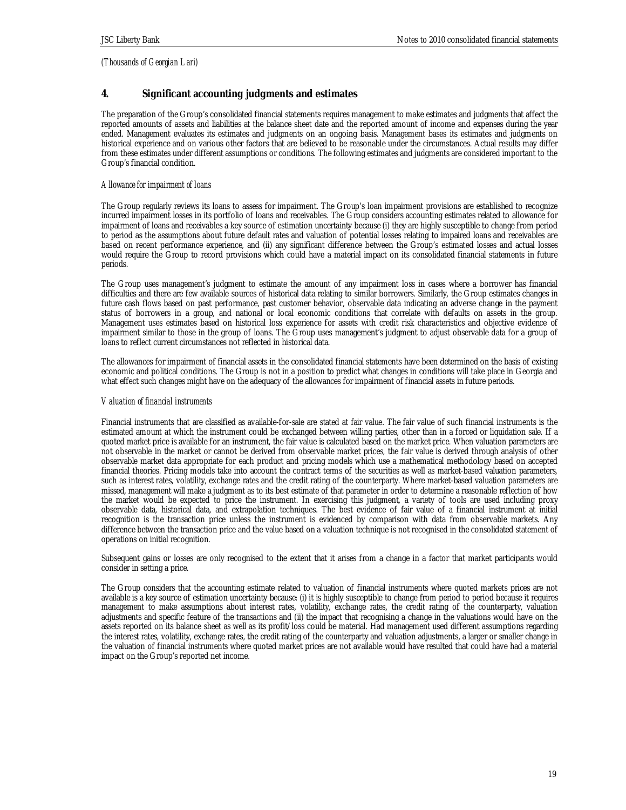### **4. Significant accounting judgments and estimates**

The preparation of the Group's consolidated financial statements requires management to make estimates and judgments that affect the reported amounts of assets and liabilities at the balance sheet date and the reported amount of income and expenses during the year ended. Management evaluates its estimates and judgments on an ongoing basis. Management bases its estimates and judgments on historical experience and on various other factors that are believed to be reasonable under the circumstances. Actual results may differ from these estimates under different assumptions or conditions. The following estimates and judgments are considered important to the Group's financial condition.

#### *Allowance for impairment of loans*

The Group regularly reviews its loans to assess for impairment. The Group's loan impairment provisions are established to recognize incurred impairment losses in its portfolio of loans and receivables. The Group considers accounting estimates related to allowance for impairment of loans and receivables a key source of estimation uncertainty because (i) they are highly susceptible to change from period to period as the assumptions about future default rates and valuation of potential losses relating to impaired loans and receivables are based on recent performance experience, and (ii) any significant difference between the Group's estimated losses and actual losses would require the Group to record provisions which could have a material impact on its consolidated financial statements in future periods.

The Group uses management's judgment to estimate the amount of any impairment loss in cases where a borrower has financial difficulties and there are few available sources of historical data relating to similar borrowers. Similarly, the Group estimates changes in future cash flows based on past performance, past customer behavior, observable data indicating an adverse change in the payment status of borrowers in a group, and national or local economic conditions that correlate with defaults on assets in the group. Management uses estimates based on historical loss experience for assets with credit risk characteristics and objective evidence of impairment similar to those in the group of loans. The Group uses management's judgment to adjust observable data for a group of loans to reflect current circumstances not reflected in historical data.

The allowances for impairment of financial assets in the consolidated financial statements have been determined on the basis of existing economic and political conditions. The Group is not in a position to predict what changes in conditions will take place in Georgia and what effect such changes might have on the adequacy of the allowances for impairment of financial assets in future periods.

#### *Valuation of financial instruments*

Financial instruments that are classified as available-for-sale are stated at fair value. The fair value of such financial instruments is the estimated amount at which the instrument could be exchanged between willing parties, other than in a forced or liquidation sale. If a quoted market price is available for an instrument, the fair value is calculated based on the market price. When valuation parameters are not observable in the market or cannot be derived from observable market prices, the fair value is derived through analysis of other observable market data appropriate for each product and pricing models which use a mathematical methodology based on accepted financial theories. Pricing models take into account the contract terms of the securities as well as market-based valuation parameters, such as interest rates, volatility, exchange rates and the credit rating of the counterparty. Where market-based valuation parameters are missed, management will make a judgment as to its best estimate of that parameter in order to determine a reasonable reflection of how the market would be expected to price the instrument. In exercising this judgment, a variety of tools are used including proxy observable data, historical data, and extrapolation techniques. The best evidence of fair value of a financial instrument at initial recognition is the transaction price unless the instrument is evidenced by comparison with data from observable markets. Any difference between the transaction price and the value based on a valuation technique is not recognised in the consolidated statement of operations on initial recognition.

Subsequent gains or losses are only recognised to the extent that it arises from a change in a factor that market participants would consider in setting a price.

The Group considers that the accounting estimate related to valuation of financial instruments where quoted markets prices are not available is a key source of estimation uncertainty because: (i) it is highly susceptible to change from period to period because it requires management to make assumptions about interest rates, volatility, exchange rates, the credit rating of the counterparty, valuation adjustments and specific feature of the transactions and (ii) the impact that recognising a change in the valuations would have on the assets reported on its balance sheet as well as its profit/loss could be material. Had management used different assumptions regarding the interest rates, volatility, exchange rates, the credit rating of the counterparty and valuation adjustments, a larger or smaller change in the valuation of financial instruments where quoted market prices are not available would have resulted that could have had a material impact on the Group's reported net income.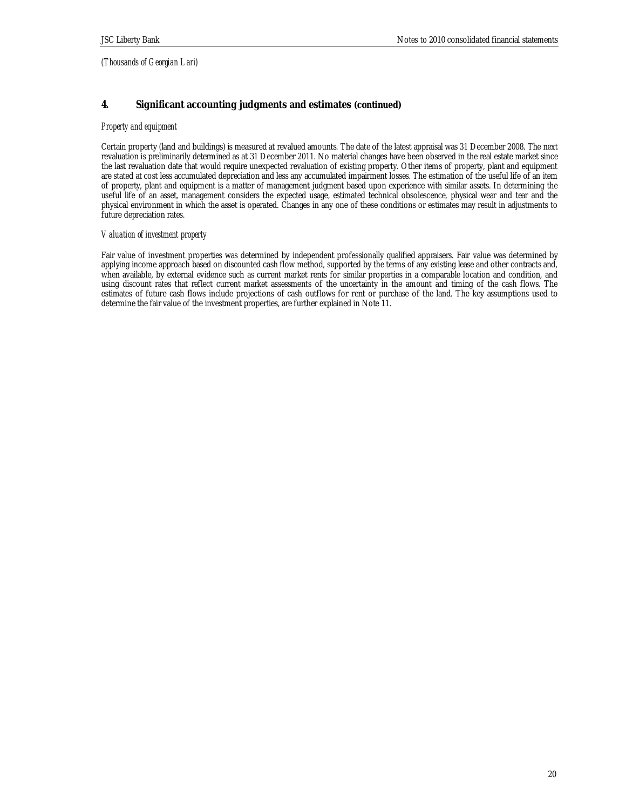## **4. Significant accounting judgments and estimates (continued)**

### *Property and equipment*

Certain property (land and buildings) is measured at revalued amounts. The date of the latest appraisal was 31 December 2008. The next revaluation is preliminarily determined as at 31 December 2011. No material changes have been observed in the real estate market since the last revaluation date that would require unexpected revaluation of existing property. Other items of property, plant and equipment are stated at cost less accumulated depreciation and less any accumulated impairment losses. The estimation of the useful life of an item of property, plant and equipment is a matter of management judgment based upon experience with similar assets. In determining the useful life of an asset, management considers the expected usage, estimated technical obsolescence, physical wear and tear and the physical environment in which the asset is operated. Changes in any one of these conditions or estimates may result in adjustments to future depreciation rates.

### *Valuation of investment property*

Fair value of investment properties was determined by independent professionally qualified appraisers. Fair value was determined by applying income approach based on discounted cash flow method, supported by the terms of any existing lease and other contracts and, when available, by external evidence such as current market rents for similar properties in a comparable location and condition, and using discount rates that reflect current market assessments of the uncertainty in the amount and timing of the cash flows. The estimates of future cash flows include projections of cash outflows for rent or purchase of the land. The key assumptions used to determine the fair value of the investment properties, are further explained in Note 11.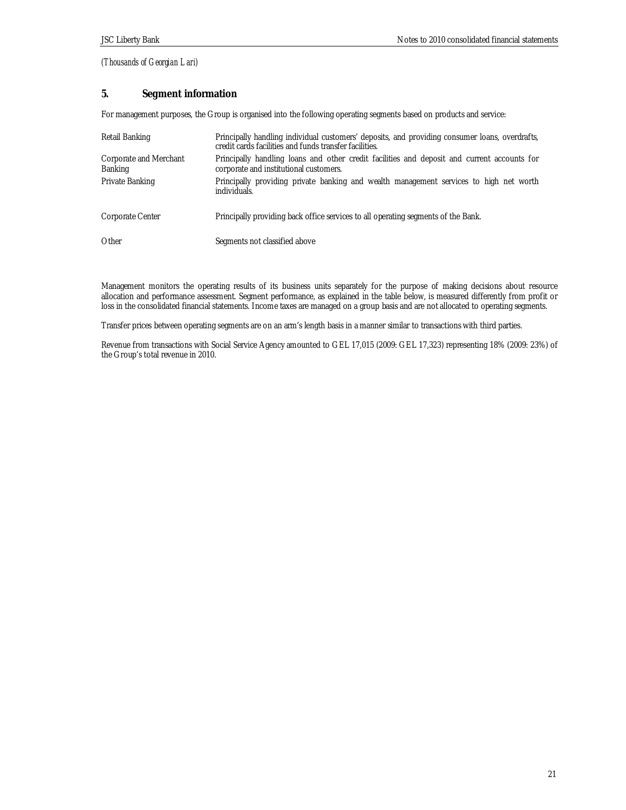## **5. Segment information**

For management purposes, the Group is organised into the following operating segments based on products and service:

| Retail Banking                    | Principally handling individual customers' deposits, and providing consumer loans, overdrafts,<br>credit cards facilities and funds transfer facilities. |
|-----------------------------------|----------------------------------------------------------------------------------------------------------------------------------------------------------|
| Corporate and Merchant<br>Banking | Principally handling loans and other credit facilities and deposit and current accounts for<br>corporate and institutional customers.                    |
| Private Banking                   | Principally providing private banking and wealth management services to high net worth<br>individuals.                                                   |
| Corporate Center                  | Principally providing back office services to all operating segments of the Bank.                                                                        |
| Other                             | Segments not classified above                                                                                                                            |

Management monitors the operating results of its business units separately for the purpose of making decisions about resource allocation and performance assessment. Segment performance, as explained in the table below, is measured differently from profit or loss in the consolidated financial statements. Income taxes are managed on a group basis and are not allocated to operating segments.

Transfer prices between operating segments are on an arm's length basis in a manner similar to transactions with third parties.

Revenue from transactions with Social Service Agency amounted to GEL 17,015 (2009: GEL 17,323) representing 18% (2009: 23%) of the Group's total revenue in 2010.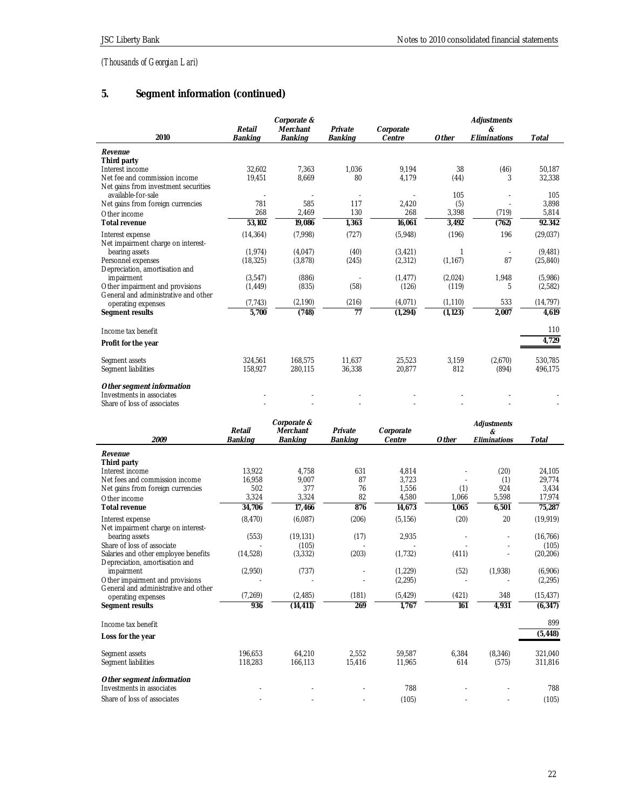## **5. Segment information (continued)**

|                                                                                                                                        |                                            | Corporate &<br>Merchant                  |                              |                                            |                              | Adjustments                          |                                               |
|----------------------------------------------------------------------------------------------------------------------------------------|--------------------------------------------|------------------------------------------|------------------------------|--------------------------------------------|------------------------------|--------------------------------------|-----------------------------------------------|
| 2010                                                                                                                                   | Retail<br>Banking                          | Banking                                  | Private<br><b>Banking</b>    | Corporate<br>Centre                        | Other                        | &<br>Eliminations                    | Total                                         |
| Revenue                                                                                                                                |                                            |                                          |                              |                                            |                              |                                      |                                               |
| Third party<br>Interest income<br>Net fee and commission income<br>Net gains from investment securities                                | 32,602<br>19,451                           | 7,363<br>8,669                           | 1,036<br>80                  | 9,194<br>4,179                             | 38<br>(44)                   | (46)<br>3                            | 50,187<br>32,338                              |
| available-for-sale<br>Net gains from foreign currencies<br>Other income<br>Total revenue                                               | 781<br>268<br>53,102                       | 585<br>2,469<br>19,086                   | 117<br>130<br>1,363          | 2,420<br>268<br>16,061                     | 105<br>(5)<br>3,398<br>3,492 | (719)<br>(762)                       | 105<br>3,898<br>5,814<br>92.342               |
| Interest expense                                                                                                                       | (14, 364)                                  | (7,998)                                  | (727)                        | (5,948)                                    | (196)                        | 196                                  | (29, 037)                                     |
| Net impairment charge on interest-<br>bearing assets<br>Personnel expenses                                                             | (1, 974)<br>(18, 325)                      | (4,047)<br>(3,878)                       | (40)<br>(245)                | (3, 421)<br>(2, 312)                       | $\mathbf{1}$<br>(1, 167)     | 87                                   | (9, 481)<br>(25, 840)                         |
| Depreciation, amortisation and<br>impairment<br>Other impairment and provisions                                                        | (3, 547)<br>(1, 449)                       | (886)<br>(835)                           | (58)                         | (1, 477)<br>(126)                          | (2,024)<br>(119)             | 1,948<br>5                           | (5,986)<br>(2,582)                            |
| General and administrative and other<br>operating expenses<br>Segment results                                                          | (7,743)<br>5,700                           | (2,190)<br>(748)                         | (216)<br>77                  | (4,071)<br>(1, 294)                        | (1, 110)<br>(1, 123)         | 533<br>2.007                         | (14, 797)<br>4,619                            |
| Income tax benefit<br>Profit for the year                                                                                              |                                            |                                          |                              |                                            |                              |                                      | 110<br>4.729                                  |
| Segment assets<br>Segment liabilities                                                                                                  | 324,561<br>158,927                         | 168,575<br>280,115                       | 11,637<br>36,338             | 25,523<br>20,877                           | 3,159<br>812                 | (2,670)<br>(894)                     | 530,785<br>496,175                            |
| Other segment information<br>Investments in associates<br>Share of loss of associates                                                  |                                            |                                          |                              |                                            |                              |                                      |                                               |
| 2009                                                                                                                                   | Retail<br>Banking                          | Corporate &<br>Merchant<br>Banking       | Private<br>Banking           | Corporate<br>Centre                        | Other                        | Adjustments<br>&<br>Eliminations     | Total                                         |
| Revenue                                                                                                                                |                                            |                                          |                              |                                            |                              |                                      |                                               |
| Third party<br>Interest income<br>Net fees and commission income<br>Net gains from foreign currencies<br>Other income<br>Total revenue | 13,922<br>16,958<br>502<br>3,324<br>34,706 | 4,758<br>9.007<br>377<br>3,324<br>17,466 | 631<br>87<br>76<br>82<br>876 | 4,814<br>3,723<br>1,556<br>4,580<br>14,673 | (1)<br>1,066<br>1,065        | (20)<br>(1)<br>924<br>5,598<br>6,501 | 24,105<br>29,774<br>3,434<br>17,974<br>75,287 |
| Interest expense                                                                                                                       | (8, 470)                                   | (6,087)                                  | (206)                        | (5, 156)                                   | (20)                         | 20                                   | (19, 919)                                     |
| Net impairment charge on interest-<br>bearing assets                                                                                   | (553)                                      | (19, 131)                                | (17)                         | 2,935                                      |                              |                                      | (16, 766)                                     |
| Share of loss of associate<br>Salaries and other employee benefits                                                                     | (14, 528)                                  | (105)<br>(3,332)                         | (203)                        | (1, 732)                                   | (411)                        |                                      | (105)<br>(20, 206)                            |
| Depreciation, amortisation and<br>impairment<br>Other impairment and provisions                                                        | (2,950)                                    | (737)                                    |                              | (1,229)<br>(2, 295)                        | (52)                         | (1,938)                              | (6,906)<br>(2, 295)                           |
| General and administrative and other<br>operating expenses                                                                             | (7,269)                                    | (2, 485)                                 | (181)                        | (5, 429)                                   | (421)                        | 348                                  | (15, 437)                                     |
| Segment results                                                                                                                        | 936                                        | (14.411)                                 | 269                          | 1.767                                      | 161                          | 4.931                                | (6, 347)                                      |
| Income tax benefit<br>Loss for the year                                                                                                |                                            |                                          |                              |                                            |                              |                                      | 899<br>(5, 448)                               |

Segment assets 196,653 64,210 2,552 59,587 6,384 (8,346) 321,040<br>Segment liabilities 118,283 166,113 15,416 11,965 614 (575) 311,816 Segment liabilities **Other segment information** Investments in associates - - - 788 - - 788 Share of loss of associates and the contract of loss of associates (105) (105) (105)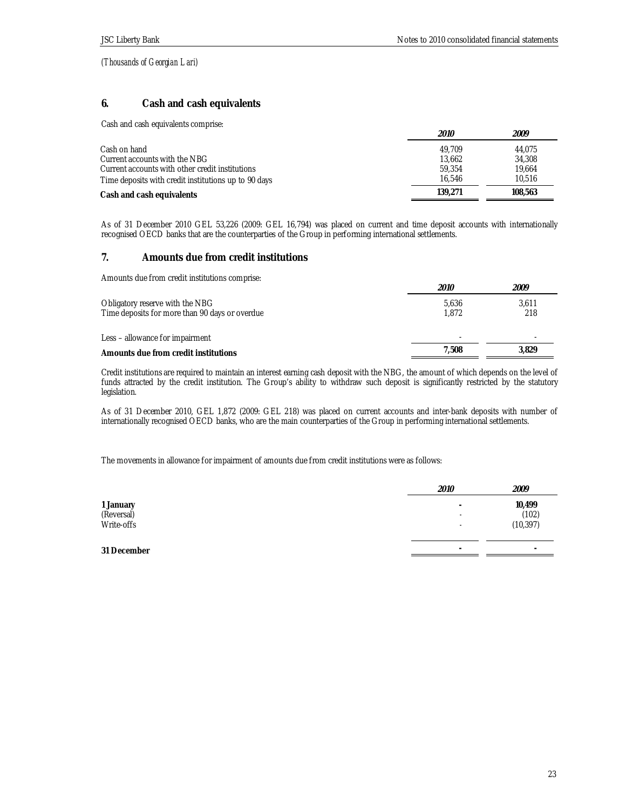### **6. Cash and cash equivalents**

Cash and cash equivalents comprise:

|                                                      | 2010    | 2009    |
|------------------------------------------------------|---------|---------|
| Cash on hand                                         | 49.709  | 44.075  |
| Current accounts with the NBG                        | 13.662  | 34,308  |
| Current accounts with other credit institutions      | 59.354  | 19.664  |
| Time deposits with credit institutions up to 90 days | 16.546  | 10.516  |
| Cash and cash equivalents                            | 139.271 | 108.563 |

As of 31 December 2010 GEL 53,226 (2009: GEL 16,794) was placed on current and time deposit accounts with internationally recognised OECD banks that are the counterparties of the Group in performing international settlements.

#### **7. Amounts due from credit institutions**

Amounts due from credit institutions comprise:

|                                                | 2010  | 2009  |
|------------------------------------------------|-------|-------|
| Obligatory reserve with the NBG                | 5.636 | 3.611 |
| Time deposits for more than 90 days or overdue | 1.872 | 218   |
| Less – allowance for impairment                |       |       |
| Amounts due from credit institutions           | 7.508 | 3.829 |

Credit institutions are required to maintain an interest earning cash deposit with the NBG, the amount of which depends on the level of funds attracted by the credit institution. The Group's ability to withdraw such deposit is significantly restricted by the statutory legislation.

As of 31 December 2010, GEL 1,872 (2009: GEL 218) was placed on current accounts and inter-bank deposits with number of internationally recognised OECD banks, who are the main counterparties of the Group in performing international settlements.

The movements in allowance for impairment of amounts due from credit institutions were as follows:

|                                       | 2010 | 2009                         |
|---------------------------------------|------|------------------------------|
| 1 January<br>(Reversal)<br>Write-offs | -    | 10,499<br>(102)<br>(10, 397) |
| 31 December                           | -    | -                            |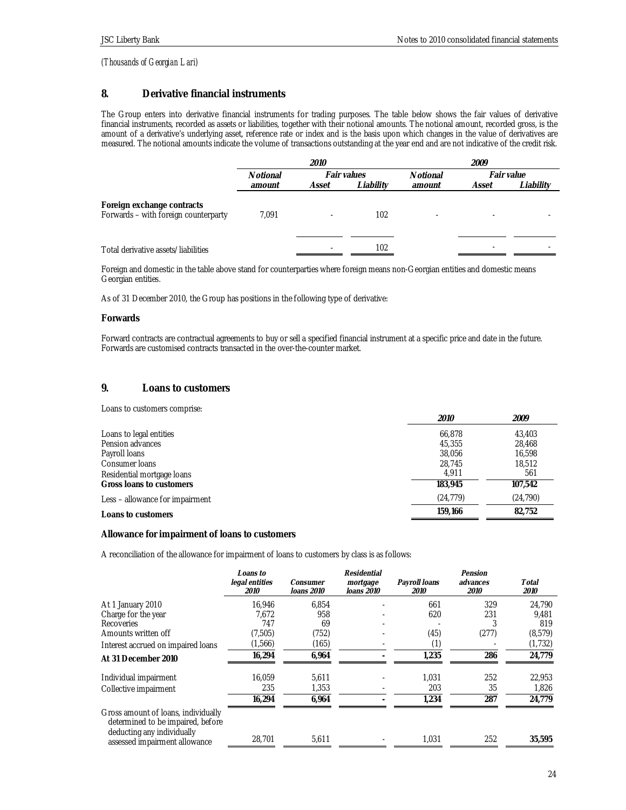### **8. Derivative financial instruments**

The Group enters into derivative financial instruments for trading purposes. The table below shows the fair values of derivative financial instruments, recorded as assets or liabilities, together with their notional amounts. The notional amount, recorded gross, is the amount of a derivative's underlying asset, reference rate or index and is the basis upon which changes in the value of derivatives are measured. The notional amounts indicate the volume of transactions outstanding at the year end and are not indicative of the credit risk.

|                                                                    | 2010     |       | 2009        |                        |       |           |
|--------------------------------------------------------------------|----------|-------|-------------|------------------------|-------|-----------|
|                                                                    | Notional |       | Fair values | Fair value<br>Notional |       |           |
|                                                                    | amount   | Asset | Liability   | amount                 | Asset | Liability |
| Foreign exchange contracts<br>Forwards - with foreign counterparty | 7.091    |       | 102         |                        |       |           |
| Total derivative assets/liabilities                                |          |       | 102         |                        |       |           |

Foreign and domestic in the table above stand for counterparties where foreign means non-Georgian entities and domestic means Georgian entities.

As of 31 December 2010, the Group has positions in the following type of derivative:

#### **Forwards**

Forward contracts are contractual agreements to buy or sell a specified financial instrument at a specific price and date in the future. Forwards are customised contracts transacted in the over-the-counter market.

## **9. Loans to customers**

Loans to customers comprise:

|                                 | <i>2010</i> | <i>2009</i> |
|---------------------------------|-------------|-------------|
| Loans to legal entities         | 66.878      | 43.403      |
| Pension advances                | 45,355      | 28,468      |
| Payroll Ioans                   | 38.056      | 16.598      |
| Consumer Ioans                  | 28.745      | 18,512      |
| Residential mortgage loans      | 4.911       | 561         |
| Gross loans to customers        | 183,945     | 107.542     |
| Less – allowance for impairment | (24, 779)   | (24, 790)   |
| Loans to customers              | 159.166     | 82.752      |
|                                 |             |             |

#### **Allowance for impairment of loans to customers**

A reconciliation of the allowance for impairment of loans to customers by class is as follows:

|                                                                                                                                         | Loans to                      |                        | Residential            | Pension                      |                  |               |
|-----------------------------------------------------------------------------------------------------------------------------------------|-------------------------------|------------------------|------------------------|------------------------------|------------------|---------------|
|                                                                                                                                         | legal entities<br><i>2010</i> | Consumer<br>loans 2010 | mortgage<br>loans 2010 | Payroll Ioans<br><i>2010</i> | advances<br>2010 | Total<br>2010 |
| At 1 January 2010                                                                                                                       | 16.946                        | 6.854                  |                        | 661                          | 329              | 24,790        |
| Charge for the year                                                                                                                     | 7,672                         | 958                    |                        | 620                          | 231              | 9,481         |
| Recoveries                                                                                                                              | 747                           | 69                     |                        |                              |                  | 819           |
| Amounts written off                                                                                                                     | (7,505)                       | (752)                  |                        | (45)                         | (277)            | (8,579)       |
| Interest accrued on impaired loans                                                                                                      | (1,566)                       | (165)                  |                        | (1)                          |                  | (1, 732)      |
| At 31 December 2010                                                                                                                     | 16,294                        | 6,964                  |                        | 1.235                        | 286              | 24,779        |
| Individual impairment                                                                                                                   | 16.059                        | 5,611                  |                        | 1.031                        | 252              | 22,953        |
| Collective impairment                                                                                                                   | 235                           | 1,353                  |                        | 203                          | 35               | 1,826         |
|                                                                                                                                         | 16,294                        | 6,964                  |                        | 1,234                        | 287              | 24,779        |
| Gross amount of loans, individually<br>determined to be impaired, before<br>deducting any individually<br>assessed impairment allowance | 28.701                        | 5,611                  |                        | 1,031                        | 252              | 35,595        |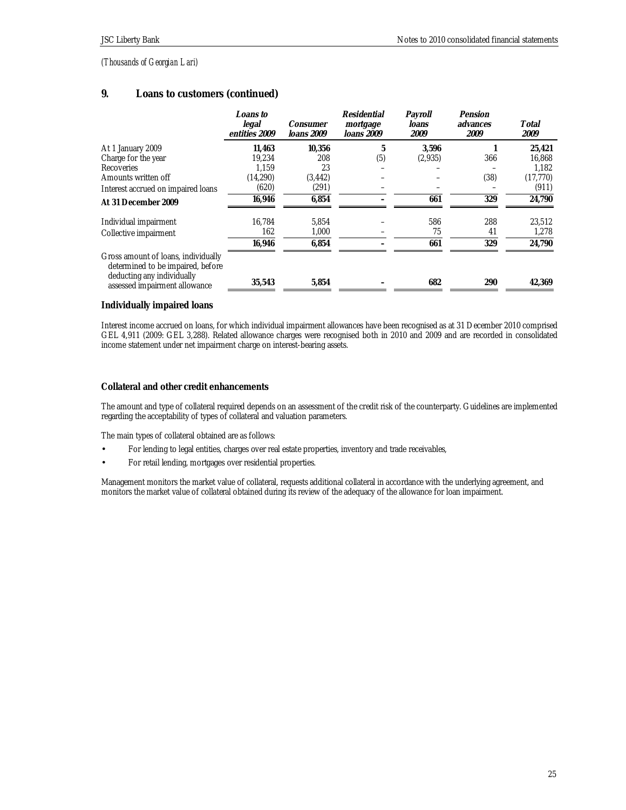## **9. Loans to customers (continued)**

|                                                                                                        | Loans to<br>legal<br>entities 2009 | Consumer<br>loans 2009 | Residential<br>mortgage<br><i>loans</i> 2009 | Payroll<br>loans<br>2009 | Pension<br>advances<br>2009 | Total<br>2009 |
|--------------------------------------------------------------------------------------------------------|------------------------------------|------------------------|----------------------------------------------|--------------------------|-----------------------------|---------------|
| At 1 January 2009                                                                                      | 11,463                             | 10,356                 | 5                                            | 3,596                    |                             | 25,421        |
| Charge for the year                                                                                    | 19,234                             | 208                    | (5)                                          | (2,935)                  | 366                         | 16,868        |
| Recoveries                                                                                             | 1.159                              | 23                     |                                              |                          |                             | 1,182         |
| Amounts written off                                                                                    | (14, 290)                          | (3, 442)               |                                              |                          | (38)                        | (17, 770)     |
| Interest accrued on impaired loans                                                                     | (620)                              | (291)                  |                                              |                          |                             | (911)         |
| At 31 December 2009                                                                                    | 16,946                             | 6.854                  |                                              | 661                      | 329                         | 24,790        |
| Individual impairment                                                                                  | 16.784                             | 5,854                  |                                              | 586                      | 288                         | 23,512        |
| Collective impairment                                                                                  | 162                                | 1,000                  |                                              | 75                       | 41                          | 1,278         |
|                                                                                                        | 16,946                             | 6,854                  |                                              | 661                      | 329                         | 24,790        |
| Gross amount of loans, individually<br>determined to be impaired, before<br>deducting any individually | 35,543                             | 5,854                  |                                              | 682                      | 290                         | 42,369        |
| assessed impairment allowance                                                                          |                                    |                        |                                              |                          |                             |               |

**Individually impaired loans** 

Interest income accrued on loans, for which individual impairment allowances have been recognised as at 31 December 2010 comprised GEL 4,911 (2009: GEL 3,288). Related allowance charges were recognised both in 2010 and 2009 and are recorded in consolidated income statement under net impairment charge on interest-bearing assets.

**Collateral and other credit enhancements** 

The amount and type of collateral required depends on an assessment of the credit risk of the counterparty. Guidelines are implemented regarding the acceptability of types of collateral and valuation parameters.

The main types of collateral obtained are as follows:

- For lending to legal entities, charges over real estate properties, inventory and trade receivables,
- For retail lending, mortgages over residential properties.

Management monitors the market value of collateral, requests additional collateral in accordance with the underlying agreement, and monitors the market value of collateral obtained during its review of the adequacy of the allowance for loan impairment.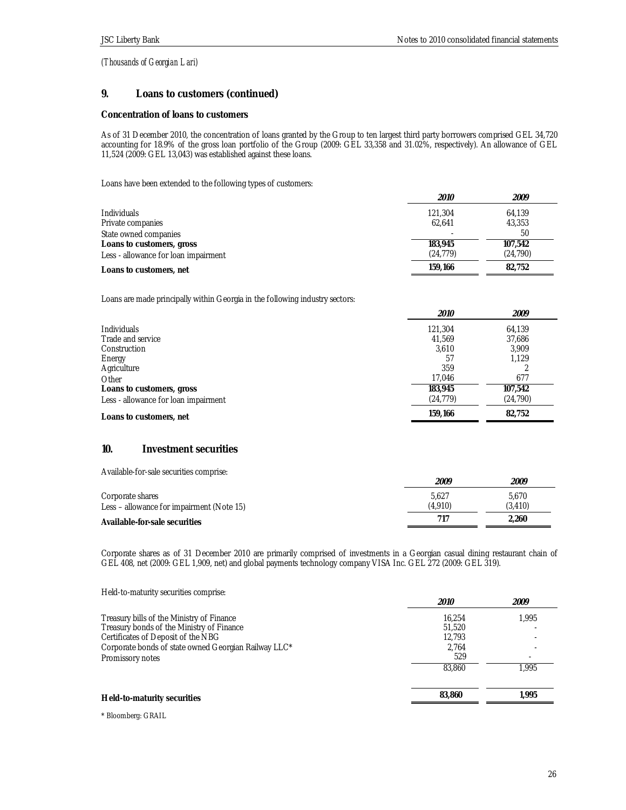### **9. Loans to customers (continued)**

#### **Concentration of loans to customers**

As of 31 December 2010, the concentration of loans granted by the Group to ten largest third party borrowers comprised GEL 34,720 accounting for 18.9% of the gross loan portfolio of the Group (2009: GEL 33,358 and 31.02%, respectively). An allowance of GEL 11,524 (2009: GEL 13,043) was established against these loans.

Loans have been extended to the following types of customers:

|                                                                   | <i>2010</i>         | <i>2009</i>          |
|-------------------------------------------------------------------|---------------------|----------------------|
| <b>Individuals</b>                                                | 121,304             | 64.139               |
| Private companies                                                 | 62.641              | 43,353               |
| State owned companies                                             |                     | 50                   |
| Loans to customers, gross<br>Less - allowance for loan impairment | 183,945<br>(24.779) | 107.542<br>(24, 790) |
| Loans to customers, net                                           | 159,166             | 82.752               |

Loans are made principally within Georgia in the following industry sectors:

|                                      | 2010      | 2009      |
|--------------------------------------|-----------|-----------|
| <b>Individuals</b>                   | 121,304   | 64,139    |
| Trade and service                    | 41.569    | 37,686    |
| Construction                         | 3,610     | 3,909     |
| Energy                               | 57        | 1.129     |
| Agriculture                          | 359       |           |
| Other                                | 17.046    | 677       |
| Loans to customers, gross            | 183,945   | 107,542   |
| Less - allowance for loan impairment | (24, 779) | (24, 790) |
| Loans to customers, net              | 159,166   | 82.752    |

### **10. Investment securities**

Available-for-sale securities comprise:

|                                           | 2009    | 2009    |
|-------------------------------------------|---------|---------|
| Corporate shares                          | 5.627   | 5.670   |
| Less – allowance for impairment (Note 15) | (4.910) | (3.410) |
| Available-for-sale securities             | 717     | 2.260   |

Corporate shares as of 31 December 2010 are primarily comprised of investments in a Georgian casual dining restaurant chain of GEL 408, net (2009: GEL 1,909, net) and global payments technology company VISA Inc. GEL 272 (2009: GEL 319).

| <i>2010</i> | 2009  |
|-------------|-------|
| 16.254      | 1.995 |
| 51,520      |       |
| 12.793      |       |
| 2.764       |       |
| 529         |       |
| 83,860      | 1.995 |
| 83,860      | 1.995 |
|             |       |

\* Bloomberg: GRAIL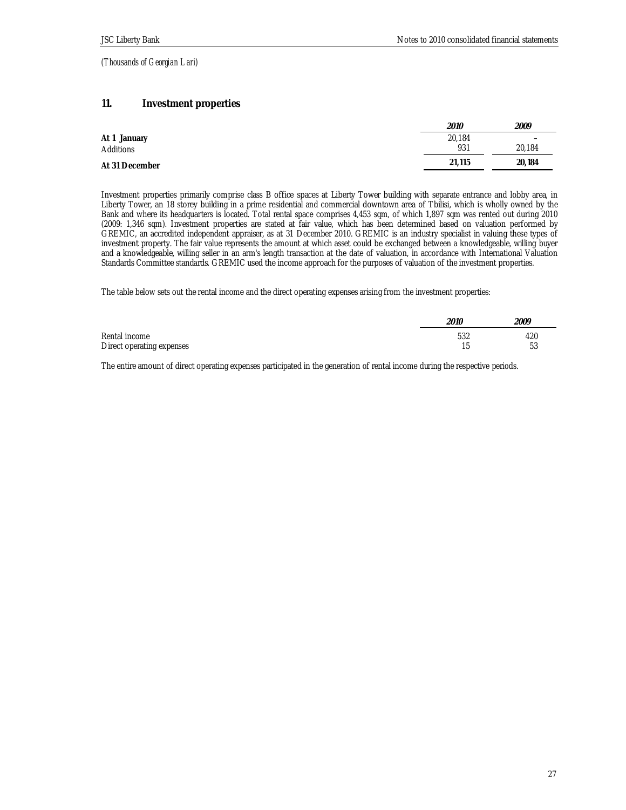## **11. Investment properties**

|                | 2010   | 2009                     |
|----------------|--------|--------------------------|
| At 1 January   | 20,184 | $\overline{\phantom{0}}$ |
| Additions      | 931    | 20.184                   |
| At 31 December | 21,115 | 20.184                   |

Investment properties primarily comprise class B office spaces at Liberty Tower building with separate entrance and lobby area, in Liberty Tower, an 18 storey building in a prime residential and commercial downtown area of Tbilisi, which is wholly owned by the Bank and where its headquarters is located. Total rental space comprises 4,453 sqm, of which 1,897 sqm was rented out during 2010 (2009: 1,346 sqm). Investment properties are stated at fair value, which has been determined based on valuation performed by GREMIC, an accredited independent appraiser, as at 31 December 2010. GREMIC is an industry specialist in valuing these types of investment property. The fair value represents the amount at which asset could be exchanged between a knowledgeable, willing buyer and a knowledgeable, willing seller in an arm's length transaction at the date of valuation, in accordance with International Valuation Standards Committee standards. GREMIC used the income approach for the purposes of valuation of the investment properties.

The table below sets out the rental income and the direct operating expenses arising from the investment properties:

|                                            | <i>2010</i> | 2009      |
|--------------------------------------------|-------------|-----------|
| Rental income<br>Direct operating expenses | 532         | 420<br>53 |

The entire amount of direct operating expenses participated in the generation of rental income during the respective periods.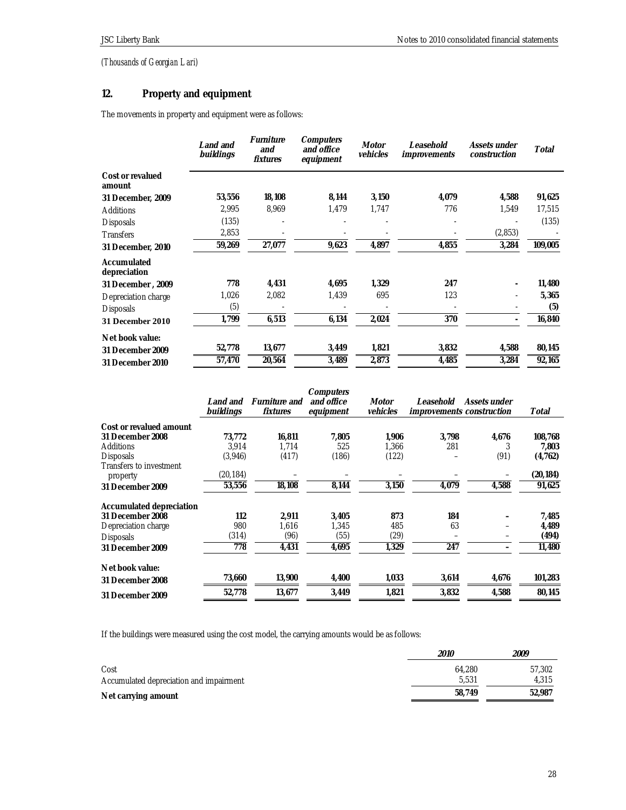## **12. Property and equipment**

The movements in property and equipment were as follows:

|                             | Land and<br>buildings | Furniture<br>and<br>fixtures | Computers<br>and office<br>equipment | Motor<br>vehicles | Leasehold<br><i>improvements</i> | Assets under<br>construction | Total   |
|-----------------------------|-----------------------|------------------------------|--------------------------------------|-------------------|----------------------------------|------------------------------|---------|
| Cost or revalued<br>amount  |                       |                              |                                      |                   |                                  |                              |         |
| 31 December, 2009           | 53,556                | 18,108                       | 8,144                                | 3,150             | 4,079                            | 4,588                        | 91,625  |
| <b>Additions</b>            | 2,995                 | 8,969                        | 1,479                                | 1,747             | 776                              | 1,549                        | 17,515  |
| <b>Disposals</b>            | (135)                 |                              |                                      |                   |                                  |                              | (135)   |
| <b>Transfers</b>            | 2,853                 |                              |                                      |                   |                                  | (2,853)                      |         |
| 31 December, 2010           | 59,269                | 27,077                       | 9,623                                | 4,897             | 4,855                            | 3,284                        | 109,005 |
| Accumulated<br>depreciation |                       |                              |                                      |                   |                                  |                              |         |
| 31 December, 2009           | 778                   | 4,431                        | 4,695                                | 1,329             | 247                              |                              | 11,480  |
| Depreciation charge         | 1,026                 | 2,082                        | 1,439                                | 695               | 123                              |                              | 5,365   |
| <b>Disposals</b>            | (5)                   |                              |                                      |                   |                                  |                              | (5)     |
| <b>31 December 2010</b>     | 1,799                 | 6,513                        | 6,134                                | 2,024             | 370                              |                              | 16,840  |
| Net book value:             |                       |                              |                                      |                   |                                  |                              |         |
| 31 December 2009            | 52,778                | 13,677                       | 3,449                                | 1,821             | 3,832                            | 4,588                        | 80,145  |
| 31 December 2010            | 57,470                | 20,564                       | 3,489                                | 2,873             | 4,485                            | 3.284                        | 92,165  |

|                                     | Land and<br>buildings | Furniture and<br>fixtures | Computers<br>and office<br>equipment | Motor<br>vehicles | Leasehold<br><i>improvements construction</i> | Assets under | Total     |
|-------------------------------------|-----------------------|---------------------------|--------------------------------------|-------------------|-----------------------------------------------|--------------|-----------|
| Cost or revalued amount             |                       |                           |                                      |                   |                                               |              |           |
| 31 December 2008                    | 73.772                | 16,811                    | 7,805                                | 1.906             | 3.798                                         | 4,676        | 108,768   |
| Additions                           | 3,914                 | 1.714                     | 525                                  | 1.366             | 281                                           |              | 7,803     |
| <b>Disposals</b>                    | (3,946)               | (417)                     | (186)                                | (122)             |                                               | (91)         | (4,762)   |
| Transfers to investment<br>property | (20,184)              |                           |                                      |                   |                                               |              | (20, 184) |
| 31 December 2009                    | 53,556                | 18,108                    | 8,144                                | 3,150             | 4,079                                         | 4,588        | 91,625    |
| Accumulated depreciation            |                       |                           |                                      |                   |                                               |              |           |
| 31 December 2008                    | 112                   | 2,911                     | 3,405                                | 873               | 184                                           |              | 7,485     |
| Depreciation charge                 | 980                   | 1.616                     | 1.345                                | 485               | 63                                            |              | 4,489     |
| <b>Disposals</b>                    | (314)                 | (96)                      | (55)                                 | (29)              |                                               |              | (494)     |
| 31 December 2009                    | 778                   | 4,431                     | 4,695                                | 1,329             | 247                                           |              | 11,480    |
| Net book value:                     |                       |                           |                                      |                   |                                               |              |           |
| 31 December 2008                    | 73,660                | 13,900                    | 4,400                                | 1,033             | 3,614                                         | 4,676        | 101,283   |
| 31 December 2009                    | 52,778                | 13,677                    | 3,449                                | 1,821             | 3,832                                         | 4,588        | 80,145    |

If the buildings were measured using the cost model, the carrying amounts would be as follows:

|                                         | <i>2010</i> | <i>2009</i> |
|-----------------------------------------|-------------|-------------|
| Cost                                    | 64.280      | 57,302      |
| Accumulated depreciation and impairment | 5.531       | 4.315       |
| Net carrying amount                     | 58.749      | 52.987      |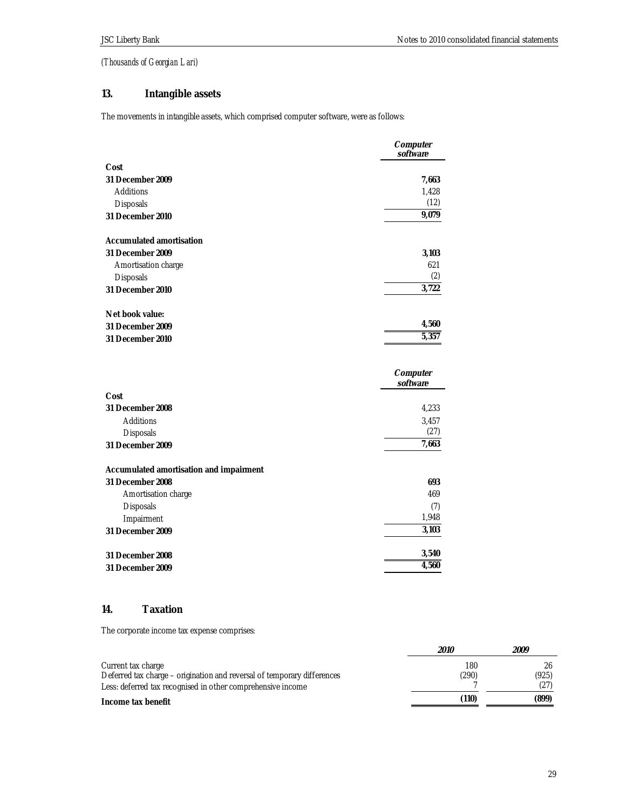## **13. Intangible assets**

## The movements in intangible assets, which comprised computer software, were as follows:

|                                         | Computer<br>software |
|-----------------------------------------|----------------------|
| Cost                                    |                      |
| 31 December 2009                        | 7,663                |
| Additions                               | 1,428                |
| Disposals                               | (12)                 |
| 31 December 2010                        | $\frac{1}{9,079}$    |
| Accumulated amortisation                |                      |
| 31 December 2009                        | 3,103                |
| Amortisation charge                     | 621                  |
| Disposals                               | (2)                  |
| 31 December 2010                        | 3,722                |
| Net book value:                         |                      |
| 31 December 2009                        | 4,560                |
| 31 December 2010                        | 5,357                |
|                                         | Computer<br>software |
| Cost                                    |                      |
| 31 December 2008                        | 4,233                |
| Additions                               | 3,457                |
| <b>Disposals</b>                        | (27)                 |
| 31 December 2009                        | 7,663                |
| Accumulated amortisation and impairment |                      |
| 31 December 2008                        | 693                  |
| Amortisation charge                     | 469                  |
| <b>Disposals</b>                        | (7)                  |
| Impairment                              | 1,948                |
| 31 December 2009                        | 3,103                |
| 31 December 2008                        | 3,540                |
| 31 December 2009                        | 4,560                |

## **14. Taxation**

The corporate income tax expense comprises:

|                                                                         | 2010  | 2009  |
|-------------------------------------------------------------------------|-------|-------|
| Current tax charge                                                      | 180   | 26    |
| Deferred tax charge – origination and reversal of temporary differences | (290) | (925) |
| Less: deferred tax recognised in other comprehensive income             |       |       |
| Income tax benefit                                                      | (110) | (899) |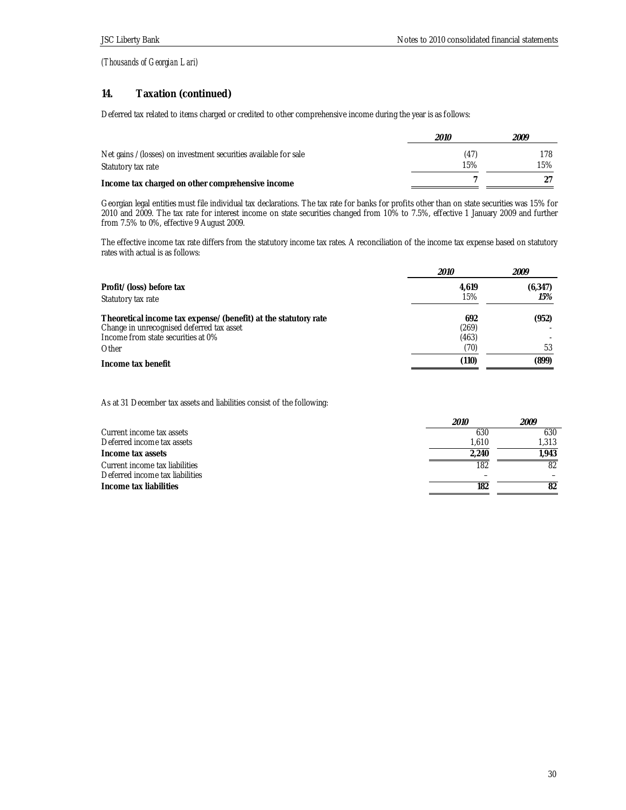## **14. Taxation (continued)**

Deferred tax related to items charged or credited to other comprehensive income during the year is as follows:

|                                                                  | 2010 | 2009 |
|------------------------------------------------------------------|------|------|
| Net gains / (losses) on investment securities available for sale | (47) | 178  |
| Statutory tax rate                                               | 15%  | 15%  |
| Income tax charged on other comprehensive income                 |      |      |

Georgian legal entities must file individual tax declarations. The tax rate for banks for profits other than on state securities was 15% for 2010 and 2009. The tax rate for interest income on state securities changed from 10% to 7.5%, effective 1 January 2009 and further from 7.5% to 0%, effective 9 August 2009.

The effective income tax rate differs from the statutory income tax rates. A reconciliation of the income tax expense based on statutory rates with actual is as follows:

|                                                                                                                                                            | 2010                          | 2009            |
|------------------------------------------------------------------------------------------------------------------------------------------------------------|-------------------------------|-----------------|
| Profit/(loss) before tax<br>Statutory tax rate                                                                                                             | 4.619<br>15%                  | (6, 347)<br>15% |
| Theoretical income tax expense/(benefit) at the statutory rate<br>Change in unrecognised deferred tax asset<br>Income from state securities at 0%<br>Other | 692<br>(269)<br>(463)<br>(70) | (952)<br>53     |
| Income tax benefit                                                                                                                                         | (110)                         | (899)           |

As at 31 December tax assets and liabilities consist of the following:

|                                 | 2010  | 2009  |
|---------------------------------|-------|-------|
| Current income tax assets       | 630   | 630   |
| Deferred income tax assets      | 1.610 | 1.313 |
| Income tax assets               | 2.240 | 1.943 |
| Current income tax liabilities  | 182   | 82    |
| Deferred income tax liabilities |       |       |
| Income tax liabilities          | 182   | 82    |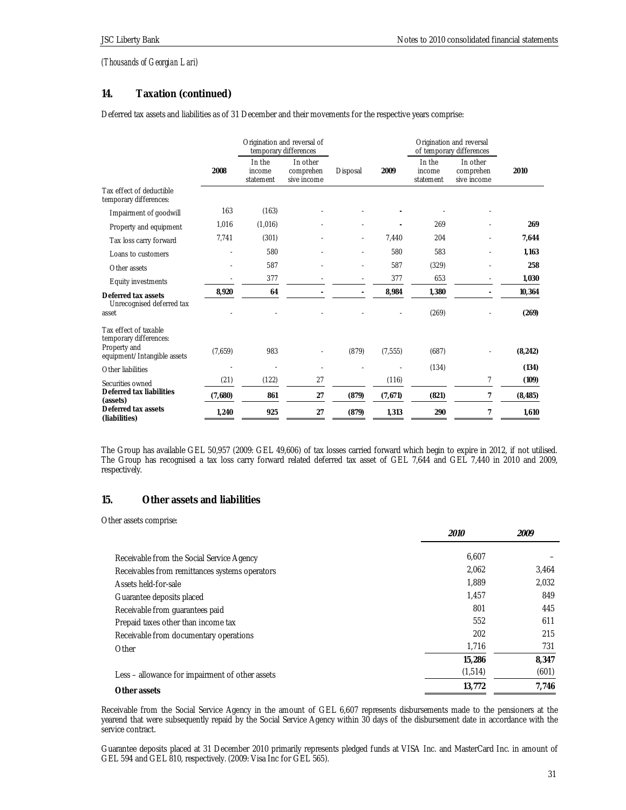### **14. Taxation (continued)**

Deferred tax assets and liabilities as of 31 December and their movements for the respective years comprise:

|                                                    |         | Origination and reversal of<br>temporary differences |                                      |          |          |                               | Origination and reversal<br>of temporary differences |          |
|----------------------------------------------------|---------|------------------------------------------------------|--------------------------------------|----------|----------|-------------------------------|------------------------------------------------------|----------|
|                                                    | 2008    | In the<br>income<br>statement                        | In other<br>comprehen<br>sive income | Disposal | 2009     | In the<br>income<br>statement | In other<br>comprehen<br>sive income                 | 2010     |
| Tax effect of deductible<br>temporary differences: |         |                                                      |                                      |          |          |                               |                                                      |          |
| Impairment of goodwill                             | 163     | (163)                                                |                                      |          |          |                               |                                                      |          |
| Property and equipment                             | 1,016   | (1,016)                                              |                                      |          |          | 269                           |                                                      | 269      |
| Tax loss carry forward                             | 7,741   | (301)                                                |                                      |          | 7,440    | 204                           |                                                      | 7,644    |
| Loans to customers                                 |         | 580                                                  |                                      | ٠        | 580      | 583                           |                                                      | 1,163    |
| Other assets                                       |         | 587                                                  |                                      |          | 587      | (329)                         |                                                      | 258      |
| Equity investments                                 |         | 377                                                  |                                      |          | 377      | 653                           |                                                      | 1,030    |
| Deferred tax assets                                | 8,920   | 64                                                   |                                      |          | 8,984    | 1,380                         |                                                      | 10,364   |
| Unrecognised deferred tax<br>asset                 |         |                                                      |                                      |          |          | (269)                         |                                                      | (269)    |
| Tax effect of taxable<br>temporary differences:    |         |                                                      |                                      |          |          |                               |                                                      |          |
| Property and<br>equipment/Intangible assets        | (7,659) | 983                                                  | i,                                   | (879)    | (7, 555) | (687)                         |                                                      | (8, 242) |
| Other liabilities                                  |         | $\overline{\phantom{a}}$                             |                                      |          |          | (134)                         |                                                      | (134)    |
| Securities owned                                   | (21)    | (122)                                                | 27                                   |          | (116)    |                               | 7                                                    | (109)    |
| Deferred tax liabilities<br>(assets)               | (7,680) | 861                                                  | 27                                   | (879)    | (7,671)  | (821)                         | 7                                                    | (8, 485) |
| Deferred tax assets<br>(liabilities)               | 1,240   | 925                                                  | 27                                   | (879)    | 1,313    | 290                           | 7                                                    | 1,610    |

The Group has available GEL 50,957 (2009: GEL 49,606) of tax losses carried forward which begin to expire in 2012, if not utilised. The Group has recognised a tax loss carry forward related deferred tax asset of GEL 7,644 and GEL 7,440 in 2010 and 2009, respectively.

## **15. Other assets and liabilities**

| Other assets comprise:                          |         |       |
|-------------------------------------------------|---------|-------|
|                                                 | 2010    | 2009  |
| Receivable from the Social Service Agency       | 6,607   |       |
| Receivables from remittances systems operators  | 2,062   | 3,464 |
| Assets held-for-sale                            | 1,889   | 2,032 |
| Guarantee deposits placed                       | 1.457   | 849   |
| Receivable from quarantees paid                 | 801     | 445   |
| Prepaid taxes other than income tax             | 552     | 611   |
| Receivable from documentary operations          | 202     | 215   |
| Other                                           | 1,716   | 731   |
|                                                 | 15,286  | 8,347 |
| Less – allowance for impairment of other assets | (1,514) | (601) |
| Other assets                                    | 13.772  | 7,746 |
|                                                 |         |       |

Receivable from the Social Service Agency in the amount of GEL 6,607 represents disbursements made to the pensioners at the yearend that were subsequently repaid by the Social Service Agency within 30 days of the disbursement date in accordance with the service contract.

Guarantee deposits placed at 31 December 2010 primarily represents pledged funds at VISA Inc. and MasterCard Inc. in amount of GEL 594 and GEL 810, respectively. (2009: Visa Inc for GEL 565).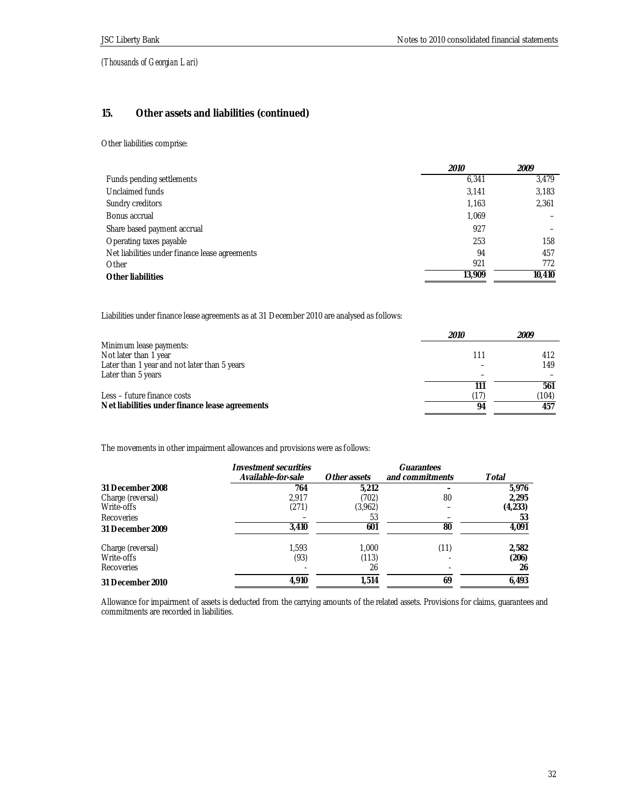## **15. Other assets and liabilities (continued)**

Other liabilities comprise:

|                                                | 2010   | 2009   |
|------------------------------------------------|--------|--------|
| Funds pending settlements                      | 6,341  | 3,479  |
| Unclaimed funds                                | 3,141  | 3,183  |
| Sundry creditors                               | 1,163  | 2,361  |
| Bonus accrual                                  | 1.069  |        |
| Share based payment accrual                    | 927    |        |
| Operating taxes payable                        | 253    | 158    |
| Net liabilities under finance lease agreements | 94     | 457    |
| Other                                          | 921    | 772    |
| Other liabilities                              | 13,909 | 10.410 |

Liabilities under finance lease agreements as at 31 December 2010 are analysed as follows:

|                                                | 2010 | 2009  |
|------------------------------------------------|------|-------|
| Minimum lease payments:                        |      |       |
| Not later than 1 year                          | 111  | 412   |
| Later than 1 year and not later than 5 years   |      | 149   |
| Later than 5 years                             |      |       |
|                                                | 111  | 561   |
| Less – future finance costs                    | (17) | (104) |
| Net liabilities under finance lease agreements | 94   | 457   |

The movements in other impairment allowances and provisions were as follows:

|                   | Investment securities<br>Available-for-sale | Other assets | Guarantees<br>and commitments | Total   |
|-------------------|---------------------------------------------|--------------|-------------------------------|---------|
| 31 December 2008  | 764                                         | 5,212        |                               | 5.976   |
| Charge (reversal) | 2.917                                       | (702)        | 80                            | 2.295   |
| Write-offs        | (271)                                       | (3,962)      |                               | (4,233) |
| Recoveries        |                                             | 53           |                               | 53      |
| 31 December 2009  | 3,410                                       | 601          | 80                            | 4,091   |
| Charge (reversal) | 1.593                                       | 1.000        | (11)                          | 2,582   |
| Write-offs        | (93)                                        | (113)        |                               | (206)   |
| Recoveries        |                                             | 26           |                               | 26      |
| 31 December 2010  | 4,910                                       | 1.514        | 69                            | 6,493   |

Allowance for impairment of assets is deducted from the carrying amounts of the related assets. Provisions for claims, guarantees and commitments are recorded in liabilities.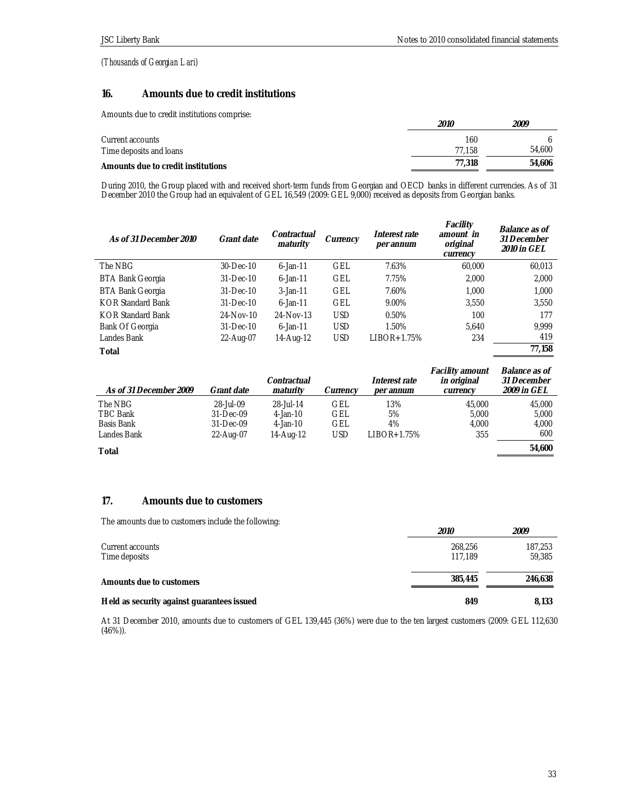### **16. Amounts due to credit institutions**

Amounts due to credit institutions comprise:

|                                    | 2010   | 2009   |
|------------------------------------|--------|--------|
| Current accounts                   | 160    |        |
| Time deposits and loans            | 77.158 | 54,600 |
| Amounts due to credit institutions | 77.318 | 54.606 |

During 2010, the Group placed with and received short-term funds from Georgian and OECD banks in different currencies. As of 31 December 2010 the Group had an equivalent of GEL 16,549 (2009: GEL 9,000) received as deposits from Georgian banks.

| As of 31 December 2010   | Grant date | Contractual<br>maturity | Currency   | Interest rate<br>per annum | Facility<br>amount in<br>original<br>currency | Balance as of<br>31 December<br>2010 in GEL |
|--------------------------|------------|-------------------------|------------|----------------------------|-----------------------------------------------|---------------------------------------------|
| The NBG                  | 30-Dec-10  | $6 - Jan - 11$          | GEL        | 7.63%                      | 60,000                                        | 60,013                                      |
| <b>BTA Bank Georgia</b>  | 31-Dec-10  | $6 - Jan - 11$          | GEL        | 7.75%                      | 2,000                                         | 2,000                                       |
| <b>BTA Bank Georgia</b>  | 31-Dec-10  | $3$ -Jan-11             | GEL        | 7.60%                      | 1.000                                         | 1.000                                       |
| <b>KOR Standard Bank</b> | 31-Dec-10  | $6$ -Jan-11             | <b>GEL</b> | 9.00%                      | 3.550                                         | 3,550                                       |
| <b>KOR Standard Bank</b> | 24-Nov-10  | 24-Nov-13               | <b>USD</b> | 0.50%                      | 100                                           | 177                                         |
| Bank Of Georgia          | 31-Dec-10  | $6$ -Jan-11             | <b>USD</b> | 1.50%                      | 5.640                                         | 9.999                                       |
| Landes Bank              | 22-Aug-07  | 14-Aug-12               | <b>USD</b> | $LIBOR+1.75%$              | 234                                           | 419                                         |
| Total                    |            |                         |            |                            |                                               | 77.158                                      |

| As of 31 December 2009                                  | Grant date                                       | Contractual<br>maturity                                 | Currency                 | Interest rate<br>per annum       | <i>Facility amount</i><br>in original<br>currency | Balance as of<br>31 December<br>2009 in GEL |
|---------------------------------------------------------|--------------------------------------------------|---------------------------------------------------------|--------------------------|----------------------------------|---------------------------------------------------|---------------------------------------------|
| The NBG<br><b>TBC Bank</b><br>Basis Bank<br>Landes Bank | 28-Jul-09<br>31-Dec-09<br>31-Dec-09<br>22-Aug-07 | 28-Jul-14<br>$4$ -Jan-10<br>$4 - Jan - 10$<br>14-Aug-12 | GEL<br>GEL<br>GEL<br>USD | 13%<br>5%<br>4%<br>$LIBOR+1.75%$ | 45,000<br>5.000<br>4.000<br>355                   | 45,000<br>5.000<br>4,000<br>600             |
| Total                                                   |                                                  |                                                         |                          |                                  |                                                   | 54,600                                      |

## **17. Amounts due to customers**

The amounts due to customers include the following:

|                                            | 2010               | <i>2009</i>       |
|--------------------------------------------|--------------------|-------------------|
| Current accounts<br>Time deposits          | 268,256<br>117.189 | 187,253<br>59,385 |
| Amounts due to customers                   | 385,445            | 246.638           |
| Held as security against guarantees issued | 849                | 8.133             |

At 31 December 2010, amounts due to customers of GEL 139,445 (36%) were due to the ten largest customers (2009: GEL 112,630 (46%)).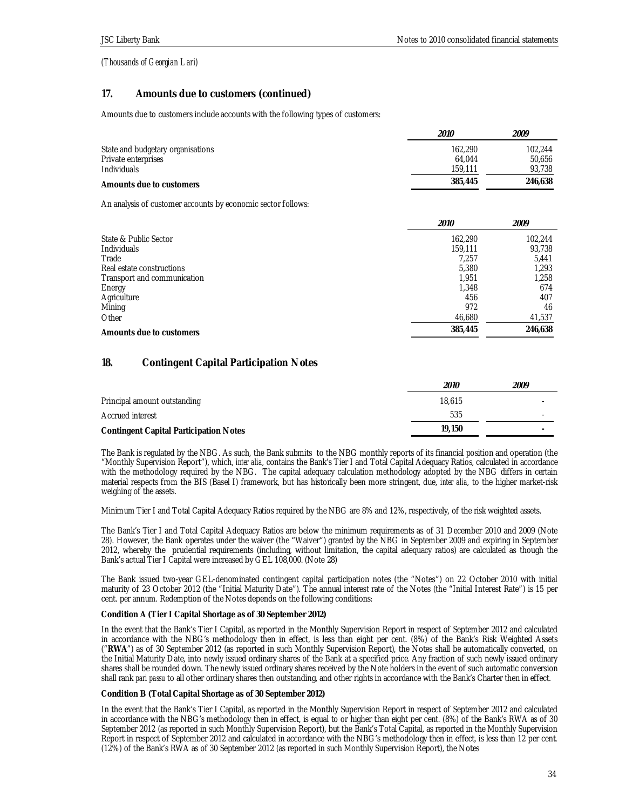### **17. Amounts due to customers (continued)**

Amounts due to customers include accounts with the following types of customers:

|                                   | 2010    | 2009    |
|-----------------------------------|---------|---------|
| State and budgetary organisations | 162.290 | 102.244 |
| Private enterprises               | 64.044  | 50.656  |
| <b>Individuals</b>                | 159.111 | 93.738  |
| Amounts due to customers          | 385,445 | 246.638 |

An analysis of customer accounts by economic sector follows:

|                             | <i>2010</i> | 2009    |
|-----------------------------|-------------|---------|
| State & Public Sector       | 162.290     | 102,244 |
| <b>Individuals</b>          | 159.111     | 93,738  |
| Trade                       | 7.257       | 5.441   |
| Real estate constructions   | 5,380       | 1,293   |
| Transport and communication | 1.951       | 1,258   |
| Energy                      | 1,348       | 674     |
| Agriculture                 | 456         | 407     |
| Mining                      | 972         | 46      |
| Other                       | 46,680      | 41,537  |
| Amounts due to customers    | 385,445     | 246,638 |

## **18. Contingent Capital Participation Notes**

|                                        | <i>2010</i> | <i>2009</i> |
|----------------------------------------|-------------|-------------|
| Principal amount outstanding           | 18.615      |             |
| Accrued interest                       | 535         |             |
| Contingent Capital Participation Notes | 19,150      | -           |

The Bank is regulated by the NBG. As such, the Bank submits to the NBG monthly reports of its financial position and operation (the "Monthly Supervision Report"), which, *inter alia*, contains the Bank's Tier I and Total Capital Adequacy Ratios, calculated in accordance with the methodology required by the NBG. The capital adequacy calculation methodology adopted by the NBG differs in certain material respects from the BIS (Basel I) framework, but has historically been more stringent, due, *inter alia*, to the higher market-risk weighing of the assets.

Minimum Tier I and Total Capital Adequacy Ratios required by the NBG are 8% and 12%, respectively, of the risk weighted assets.

The Bank's Tier I and Total Capital Adequacy Ratios are below the minimum requirements as of 31 December 2010 and 2009 (Note 28). However, the Bank operates under the waiver (the "Waiver") granted by the NBG in September 2009 and expiring in September 2012, whereby the prudential requirements (including, without limitation, the capital adequacy ratios) are calculated as though the Bank's actual Tier I Capital were increased by GEL 108,000. (Note 28)

The Bank issued two-year GEL-denominated contingent capital participation notes (the "Notes") on 22 October 2010 with initial maturity of 23 October 2012 (the "Initial Maturity Date"). The annual interest rate of the Notes (the "Initial Interest Rate") is 15 per cent. per annum. Redemption of the Notes depends on the following conditions:

**Condition A (Tier I Capital Shortage as of 30 September 2012)** 

In the event that the Bank's Tier I Capital, as reported in the Monthly Supervision Report in respect of September 2012 and calculated in accordance with the NBG's methodology then in effect, is less than eight per cent. (8%) of the Bank's Risk Weighted Assets ("**RWA**") as of 30 September 2012 (as reported in such Monthly Supervision Report), the Notes shall be automatically converted, on the Initial Maturity Date, into newly issued ordinary shares of the Bank at a specified price. Any fraction of such newly issued ordinary shares shall be rounded down. The newly issued ordinary shares received by the Note holders in the event of such automatic conversion shall rank *pari passu* to all other ordinary shares then outstanding, and other rights in accordance with the Bank's Charter then in effect.

**Condition B (Total Capital Shortage as of 30 September 2012)** 

In the event that the Bank's Tier I Capital, as reported in the Monthly Supervision Report in respect of September 2012 and calculated in accordance with the NBG's methodology then in effect, is equal to or higher than eight per cent. (8%) of the Bank's RWA as of 30 September 2012 (as reported in such Monthly Supervision Report), but the Bank's Total Capital, as reported in the Monthly Supervision Report in respect of September 2012 and calculated in accordance with the NBG's methodology then in effect, is less than 12 per cent. (12%) of the Bank's RWA as of 30 September 2012 (as reported in such Monthly Supervision Report), the Notes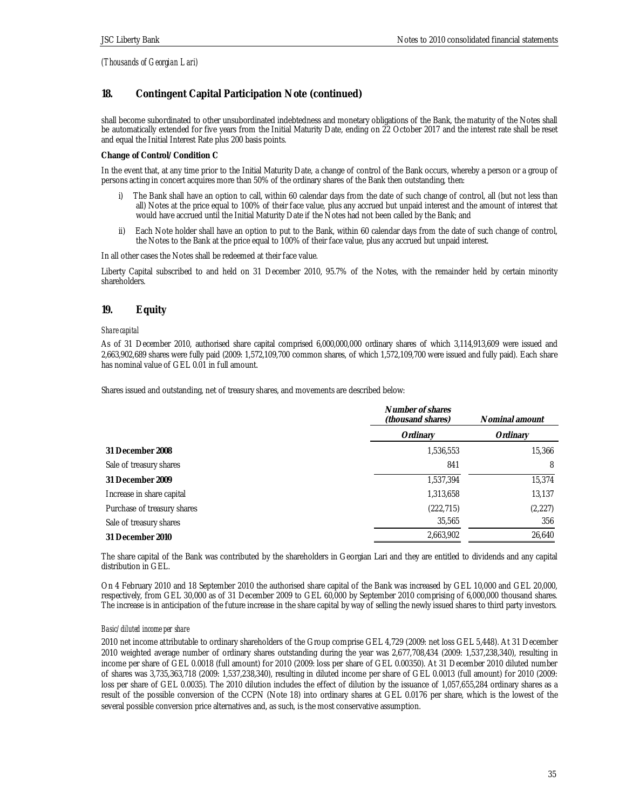### **18. Contingent Capital Participation Note (continued)**

shall become subordinated to other unsubordinated indebtedness and monetary obligations of the Bank, the maturity of the Notes shall be automatically extended for five years from the Initial Maturity Date, ending on 22 October 2017 and the interest rate shall be reset and equal the Initial Interest Rate plus 200 basis points.

#### **Change of Control/Condition C**

In the event that, at any time prior to the Initial Maturity Date, a change of control of the Bank occurs, whereby a person or a group of persons acting in concert acquires more than 50% of the ordinary shares of the Bank then outstanding, then:

- i) The Bank shall have an option to call, within 60 calendar days from the date of such change of control, all (but not less than all) Notes at the price equal to 100% of their face value, plus any accrued but unpaid interest and the amount of interest that would have accrued until the Initial Maturity Date if the Notes had not been called by the Bank; and
- ii) Each Note holder shall have an option to put to the Bank, within 60 calendar days from the date of such change of control, the Notes to the Bank at the price equal to 100% of their face value, plus any accrued but unpaid interest.

In all other cases the Notes shall be redeemed at their face value.

Liberty Capital subscribed to and held on 31 December 2010, 95.7% of the Notes, with the remainder held by certain minority shareholders.

### **19. Equity**

#### *Share capital*

As of 31 December 2010, authorised share capital comprised 6,000,000,000 ordinary shares of which 3,114,913,609 were issued and 2,663,902,689 shares were fully paid (2009: 1,572,109,700 common shares, of which 1,572,109,700 were issued and fully paid). Each share has nominal value of GEL 0.01 in full amount.

Shares issued and outstanding, net of treasury shares, and movements are described below:

|                             | Number of shares<br>(thousand shares) | Nominal amount |  |
|-----------------------------|---------------------------------------|----------------|--|
|                             | Ordinary                              | Ordinary       |  |
| 31 December 2008            | 1,536,553                             | 15,366         |  |
| Sale of treasury shares     | 841                                   | 8              |  |
| 31 December 2009            | 1,537,394                             | 15,374         |  |
| Increase in share capital   | 1,313,658                             | 13,137         |  |
| Purchase of treasury shares | (222, 715)                            | (2, 227)       |  |
| Sale of treasury shares     | 35,565                                | 356            |  |
| 31 December 2010            | 2,663,902                             | 26,640         |  |

The share capital of the Bank was contributed by the shareholders in Georgian Lari and they are entitled to dividends and any capital distribution in GEL.

On 4 February 2010 and 18 September 2010 the authorised share capital of the Bank was increased by GEL 10,000 and GEL 20,000, respectively, from GEL 30,000 as of 31 December 2009 to GEL 60,000 by September 2010 comprising of 6,000,000 thousand shares. The increase is in anticipation of the future increase in the share capital by way of selling the newly issued shares to third party investors.

#### *Basic/diluted income per share*

2010 net income attributable to ordinary shareholders of the Group comprise GEL 4,729 (2009: net loss GEL 5,448). At 31 December 2010 weighted average number of ordinary shares outstanding during the year was 2,677,708,434 (2009: 1,537,238,340), resulting in income per share of GEL 0.0018 (full amount) for 2010 (2009: loss per share of GEL 0.00350). At 31 December 2010 diluted number of shares was 3,735,363,718 (2009: 1,537,238,340), resulting in diluted income per share of GEL 0.0013 (full amount) for 2010 (2009: loss per share of GEL 0.0035). The 2010 dilution includes the effect of dilution by the issuance of 1,057,655,284 ordinary shares as a result of the possible conversion of the CCPN (Note 18) into ordinary shares at GEL 0.0176 per share, which is the lowest of the several possible conversion price alternatives and, as such, is the most conservative assumption.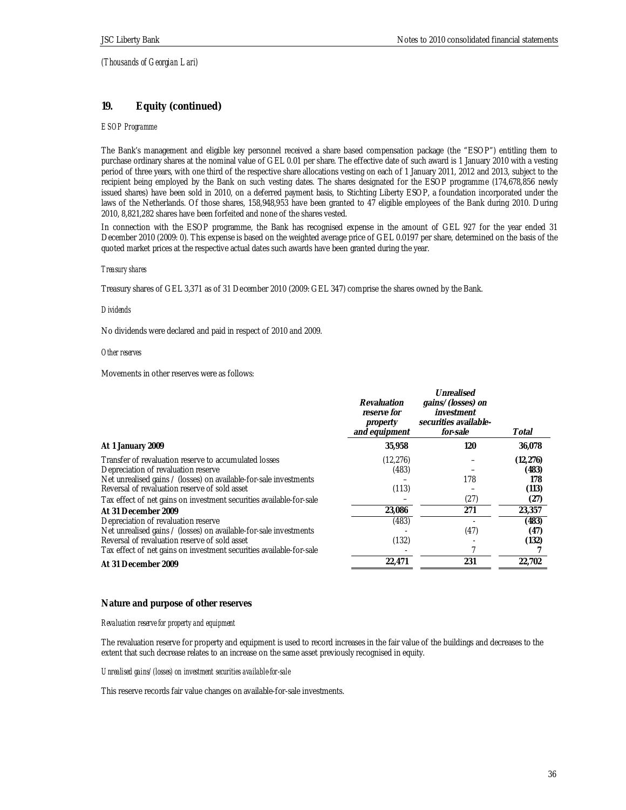## **19. Equity (continued)**

#### *ESOP Programme*

The Bank's management and eligible key personnel received a share based compensation package (the "ESOP") entitling them to purchase ordinary shares at the nominal value of GEL 0.01 per share. The effective date of such award is 1 January 2010 with a vesting period of three years, with one third of the respective share allocations vesting on each of 1 January 2011, 2012 and 2013, subject to the recipient being employed by the Bank on such vesting dates. The shares designated for the ESOP programme (174,678,856 newly issued shares) have been sold in 2010, on a deferred payment basis, to Stichting Liberty ESOP, a foundation incorporated under the laws of the Netherlands. Of those shares, 158,948,953 have been granted to 47 eligible employees of the Bank during 2010. During 2010, 8,821,282 shares have been forfeited and none of the shares vested.

In connection with the ESOP programme, the Bank has recognised expense in the amount of GEL 927 for the year ended 31 December 2010 (2009: 0). This expense is based on the weighted average price of GEL 0.0197 per share, determined on the basis of the quoted market prices at the respective actual dates such awards have been granted during the year.

#### *Treasury shares*

Treasury shares of GEL 3,371 as of 31 December 2010 (2009: GEL 347) comprise the shares owned by the Bank.

#### *Dividends*

No dividends were declared and paid in respect of 2010 and 2009.

#### *Other reserves*

Movements in other reserves were as follows:

|                                                                                                                                                                                                                                  | Revaluation<br>reserve for<br>property<br>and equipment | Unrealised<br>gains/(losses) on<br>investment<br>securities available-<br>for-sale | Total                              |
|----------------------------------------------------------------------------------------------------------------------------------------------------------------------------------------------------------------------------------|---------------------------------------------------------|------------------------------------------------------------------------------------|------------------------------------|
| At 1 January 2009                                                                                                                                                                                                                | 35,958                                                  | 120                                                                                | 36,078                             |
| Transfer of revaluation reserve to accumulated losses<br>Depreciation of revaluation reserve<br>Net unrealised gains / (losses) on available-for-sale investments<br>Reversal of revaluation reserve of sold asset               | (12, 276)<br>(483)<br>(113)                             | 178                                                                                | (12, 276)<br>(483)<br>178<br>(113) |
| Tax effect of net gains on investment securities available-for-sale                                                                                                                                                              |                                                         | (27)                                                                               | (27)                               |
| At 31 December 2009                                                                                                                                                                                                              | 23,086                                                  | 271                                                                                | 23,357                             |
| Depreciation of revaluation reserve<br>Net unrealised gains / (losses) on available-for-sale investments<br>Reversal of revaluation reserve of sold asset<br>Tax effect of net gains on investment securities available-for-sale | (483)<br>(132)                                          | (47)                                                                               | (483)<br>(47)<br>(132)             |
| At 31 December 2009                                                                                                                                                                                                              | 22.471                                                  | 231                                                                                | 22.702                             |
|                                                                                                                                                                                                                                  |                                                         |                                                                                    |                                    |

#### **Nature and purpose of other reserves**

#### *Revaluation reserve for property and equipment*

The revaluation reserve for property and equipment is used to record increases in the fair value of the buildings and decreases to the extent that such decrease relates to an increase on the same asset previously recognised in equity.

*Unrealised gains/(losses) on investment securities available-for-sale* 

This reserve records fair value changes on available-for-sale investments.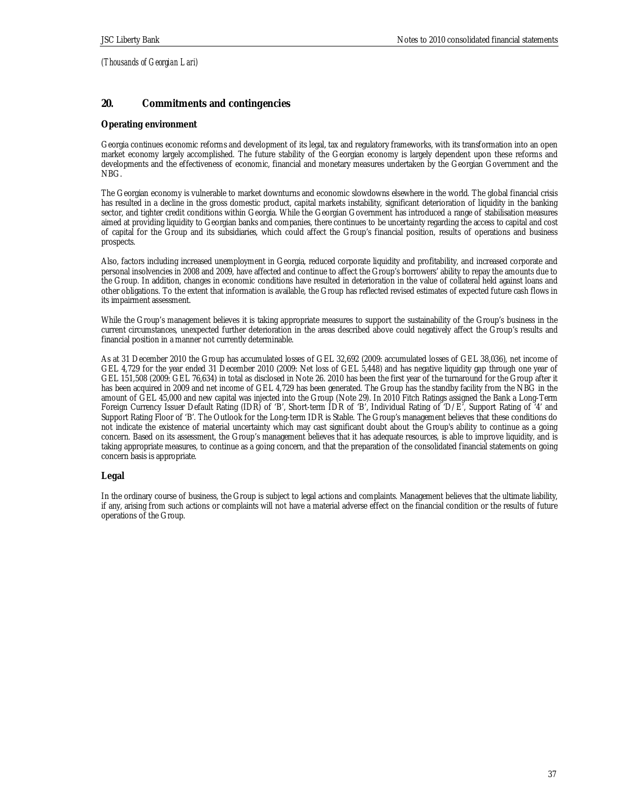## **20. Commitments and contingencies**

### **Operating environment**

Georgia continues economic reforms and development of its legal, tax and regulatory frameworks, with its transformation into an open market economy largely accomplished. The future stability of the Georgian economy is largely dependent upon these reforms and developments and the effectiveness of economic, financial and monetary measures undertaken by the Georgian Government and the NBG.

The Georgian economy is vulnerable to market downturns and economic slowdowns elsewhere in the world. The global financial crisis has resulted in a decline in the gross domestic product, capital markets instability, significant deterioration of liquidity in the banking sector, and tighter credit conditions within Georgia. While the Georgian Government has introduced a range of stabilisation measures aimed at providing liquidity to Georgian banks and companies, there continues to be uncertainty regarding the access to capital and cost of capital for the Group and its subsidiaries, which could affect the Group's financial position, results of operations and business prospects.

Also, factors including increased unemployment in Georgia, reduced corporate liquidity and profitability, and increased corporate and personal insolvencies in 2008 and 2009, have affected and continue to affect the Group's borrowers' ability to repay the amounts due to the Group. In addition, changes in economic conditions have resulted in deterioration in the value of collateral held against loans and other obligations. To the extent that information is available, the Group has reflected revised estimates of expected future cash flows in its impairment assessment.

While the Group's management believes it is taking appropriate measures to support the sustainability of the Group's business in the current circumstances, unexpected further deterioration in the areas described above could negatively affect the Group's results and financial position in a manner not currently determinable.

As at 31 December 2010 the Group has accumulated losses of GEL 32,692 (2009: accumulated losses of GEL 38,036), net income of GEL 4,729 for the year ended 31 December 2010 (2009: Net loss of GEL 5,448) and has negative liquidity gap through one year of GEL 151,508 (2009: GEL 76,634) in total as disclosed in Note 26. 2010 has been the first year of the turnaround for the Group after it has been acquired in 2009 and net income of GEL 4,729 has been generated. The Group has the standby facility from the NBG in the amount of GEL 45,000 and new capital was injected into the Group (Note 29). In 2010 Fitch Ratings assigned the Bank a Long-Term Foreign Currency Issuer Default Rating (IDR) of 'B', Short-term IDR of 'B', Individual Rating of 'D/E', Support Rating of '4' and Support Rating Floor of 'B'. The Outlook for the Long-term IDR is Stable. The Group's management believes that these conditions do not indicate the existence of material uncertainty which may cast significant doubt about the Group's ability to continue as a going concern. Based on its assessment, the Group's management believes that it has adequate resources, is able to improve liquidity, and is taking appropriate measures, to continue as a going concern, and that the preparation of the consolidated financial statements on going concern basis is appropriate.

#### **Legal**

In the ordinary course of business, the Group is subject to legal actions and complaints. Management believes that the ultimate liability, if any, arising from such actions or complaints will not have a material adverse effect on the financial condition or the results of future operations of the Group.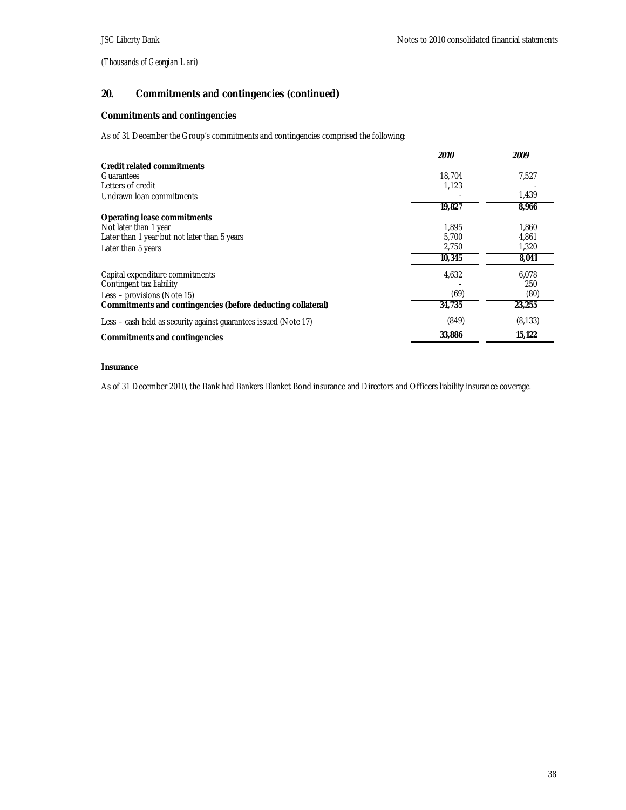## **20. Commitments and contingencies (continued)**

## **Commitments and contingencies**

As of 31 December the Group's commitments and contingencies comprised the following:

|                                                                  | 2010   | 2009     |
|------------------------------------------------------------------|--------|----------|
| Credit related commitments                                       |        |          |
| Guarantees                                                       | 18.704 | 7,527    |
| Letters of credit                                                | 1,123  |          |
| Undrawn Ioan commitments                                         |        | 1,439    |
|                                                                  | 19,827 | 8,966    |
| Operating lease commitments                                      |        |          |
| Not later than 1 year                                            | 1.895  | 1.860    |
| Later than 1 year but not later than 5 years                     | 5,700  | 4,861    |
| Later than 5 years                                               | 2.750  | 1,320    |
|                                                                  | 10,345 | 8,041    |
| Capital expenditure commitments                                  | 4,632  | 6,078    |
| Contingent tax liability                                         |        | 250      |
| Less – provisions (Note 15)                                      | (69)   | (80)     |
| Commitments and contingencies (before deducting collateral)      | 34,735 | 23,255   |
| Less – cash held as security against guarantees issued (Note 17) | (849)  | (8, 133) |
| Commitments and contingencies                                    | 33,886 | 15,122   |

#### **Insurance**

As of 31 December 2010, the Bank had Bankers Blanket Bond insurance and Directors and Officers liability insurance coverage.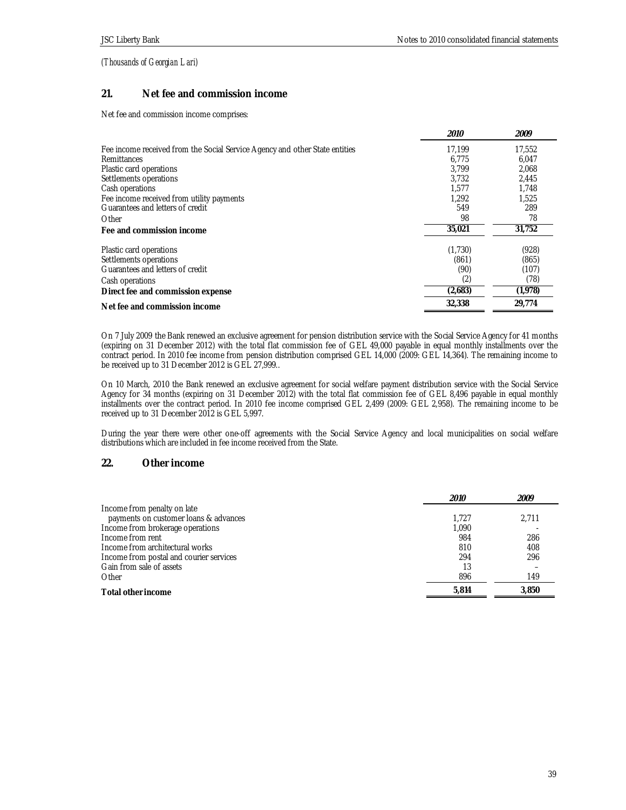## **21. Net fee and commission income**

Net fee and commission income comprises:

|                                                                             | <i>2010</i> | <i>2009</i> |
|-----------------------------------------------------------------------------|-------------|-------------|
| Fee income received from the Social Service Agency and other State entities | 17.199      | 17,552      |
| Remittances                                                                 | 6.775       | 6.047       |
| Plastic card operations                                                     | 3.799       | 2.068       |
| Settlements operations                                                      | 3.732       | 2,445       |
| Cash operations                                                             | 1.577       | 1.748       |
| Fee income received from utility payments                                   | 1.292       | 1.525       |
| Guarantees and letters of credit                                            | 549         | 289         |
| Other                                                                       | 98          | 78          |
| Fee and commission income                                                   | 35,021      | 31,752      |
| Plastic card operations                                                     | (1,730)     | (928)       |
| Settlements operations                                                      | (861)       | (865)       |
| Guarantees and letters of credit                                            | (90)        | (107)       |
| Cash operations                                                             | (2)         | (78)        |
| Direct fee and commission expense                                           | (2,683)     | (1,978)     |
| Net fee and commission income                                               | 32,338      | 29,774      |

On 7 July 2009 the Bank renewed an exclusive agreement for pension distribution service with the Social Service Agency for 41 months (expiring on 31 December 2012) with the total flat commission fee of GEL 49,000 payable in equal monthly installments over the contract period. In 2010 fee income from pension distribution comprised GEL 14,000 (2009: GEL 14,364). The remaining income to be received up to 31 December 2012 is GEL 27,999..

On 10 March, 2010 the Bank renewed an exclusive agreement for social welfare payment distribution service with the Social Service Agency for 34 months (expiring on 31 December 2012) with the total flat commission fee of GEL 8,496 payable in equal monthly installments over the contract period. In 2010 fee income comprised GEL 2,499 (2009: GEL 2,958). The remaining income to be received up to 31 December 2012 is GEL 5,997.

During the year there were other one-off agreements with the Social Service Agency and local municipalities on social welfare distributions which are included in fee income received from the State.

## **22. Other income**

|                                         | <i>2010</i> | 2009  |
|-----------------------------------------|-------------|-------|
| Income from penalty on late             |             |       |
| payments on customer loans & advances   | 1.727       | 2,711 |
| Income from brokerage operations        | 1.090       |       |
| Income from rent                        | 984         | 286   |
| Income from architectural works         | 810         | 408   |
| Income from postal and courier services | 294         | 296   |
| Gain from sale of assets                | 13          |       |
| Other                                   | 896         | 149   |
| Total other income                      | 5.814       | 3.850 |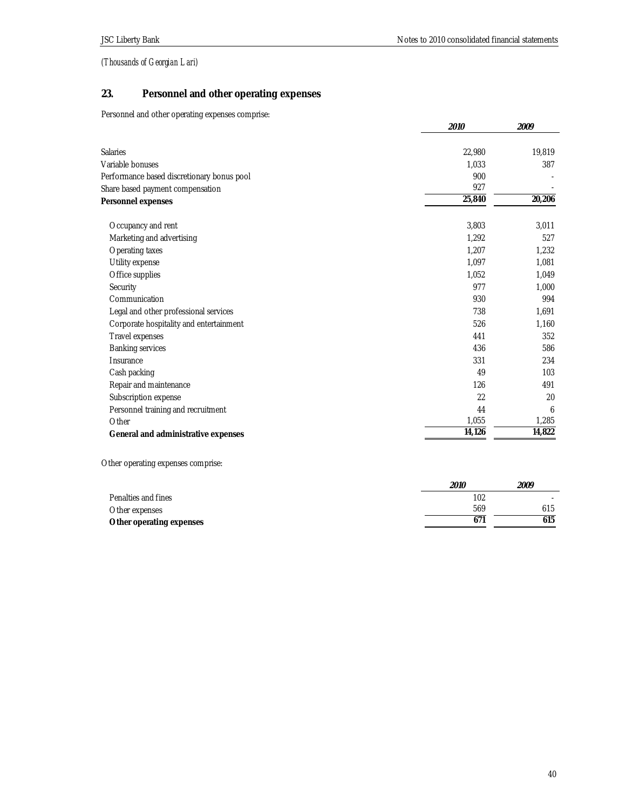## **23. Personnel and other operating expenses**

Personnel and other operating expenses comprise:

|                                            | 2010   | 2009   |
|--------------------------------------------|--------|--------|
|                                            |        |        |
| <b>Salaries</b>                            | 22,980 | 19,819 |
| Variable bonuses                           | 1,033  | 387    |
| Performance based discretionary bonus pool | 900    |        |
| Share based payment compensation           | 927    |        |
| Personnel expenses                         | 25,840 | 20,206 |
| Occupancy and rent                         | 3,803  | 3,011  |
| Marketing and advertising                  | 1,292  | 527    |
| Operating taxes                            | 1,207  | 1,232  |
| Utility expense                            | 1,097  | 1,081  |
| Office supplies                            | 1,052  | 1,049  |
| Security                                   | 977    | 1,000  |
| Communication                              | 930    | 994    |
| Legal and other professional services      | 738    | 1,691  |
| Corporate hospitality and entertainment    | 526    | 1,160  |
| Travel expenses                            | 441    | 352    |
| <b>Banking services</b>                    | 436    | 586    |
| Insurance                                  | 331    | 234    |
| Cash packing                               | 49     | 103    |
| Repair and maintenance                     | 126    | 491    |
| Subscription expense                       | 22     | 20     |
| Personnel training and recruitment         | 44     | 6      |
| Other                                      | 1,055  | 1,285  |
| General and administrative expenses        | 14,126 | 14,822 |

Other operating expenses comprise:

|                          | <i>2010</i> | <i>2009</i> |
|--------------------------|-------------|-------------|
| Penalties and fines      | 102         |             |
| Other expenses           | 569         | 615         |
| Other operating expenses |             | 615         |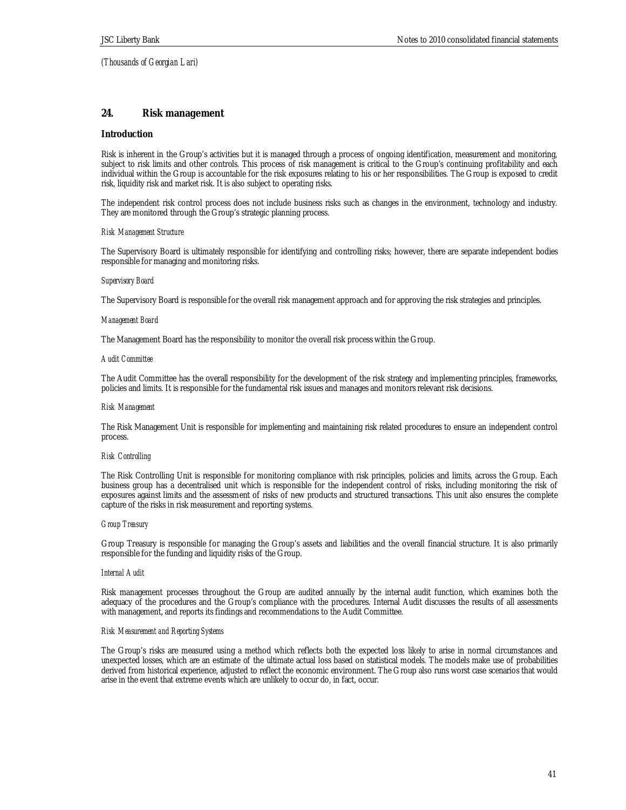#### **24. Risk management**

#### **Introduction**

Risk is inherent in the Group's activities but it is managed through a process of ongoing identification, measurement and monitoring, subject to risk limits and other controls. This process of risk management is critical to the Group's continuing profitability and each individual within the Group is accountable for the risk exposures relating to his or her responsibilities. The Group is exposed to credit risk, liquidity risk and market risk. It is also subject to operating risks.

The independent risk control process does not include business risks such as changes in the environment, technology and industry. They are monitored through the Group's strategic planning process.

#### *Risk Management Structure*

The Supervisory Board is ultimately responsible for identifying and controlling risks; however, there are separate independent bodies responsible for managing and monitoring risks.

#### *Supervisory Board*

The Supervisory Board is responsible for the overall risk management approach and for approving the risk strategies and principles.

#### *Management Board*

The Management Board has the responsibility to monitor the overall risk process within the Group.

#### *Audit Committee*

The Audit Committee has the overall responsibility for the development of the risk strategy and implementing principles, frameworks, policies and limits. It is responsible for the fundamental risk issues and manages and monitors relevant risk decisions.

#### *Risk Management*

The Risk Management Unit is responsible for implementing and maintaining risk related procedures to ensure an independent control process.

#### *Risk Controlling*

The Risk Controlling Unit is responsible for monitoring compliance with risk principles, policies and limits, across the Group. Each business group has a decentralised unit which is responsible for the independent control of risks, including monitoring the risk of exposures against limits and the assessment of risks of new products and structured transactions. This unit also ensures the complete capture of the risks in risk measurement and reporting systems.

#### *Group Treasury*

Group Treasury is responsible for managing the Group's assets and liabilities and the overall financial structure. It is also primarily responsible for the funding and liquidity risks of the Group.

#### *Internal Audit*

Risk management processes throughout the Group are audited annually by the internal audit function, which examines both the adequacy of the procedures and the Group's compliance with the procedures. Internal Audit discusses the results of all assessments with management, and reports its findings and recommendations to the Audit Committee.

#### *Risk Measurement and Reporting Systems*

The Group's risks are measured using a method which reflects both the expected loss likely to arise in normal circumstances and unexpected losses, which are an estimate of the ultimate actual loss based on statistical models. The models make use of probabilities derived from historical experience, adjusted to reflect the economic environment. The Group also runs worst case scenarios that would arise in the event that extreme events which are unlikely to occur do, in fact, occur.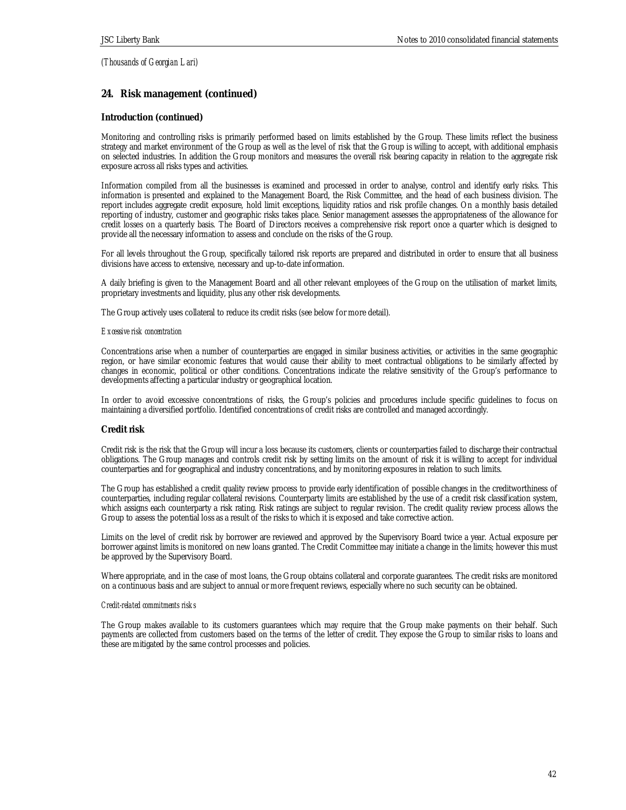### **24. Risk management (continued)**

#### **Introduction (continued)**

Monitoring and controlling risks is primarily performed based on limits established by the Group. These limits reflect the business strategy and market environment of the Group as well as the level of risk that the Group is willing to accept, with additional emphasis on selected industries. In addition the Group monitors and measures the overall risk bearing capacity in relation to the aggregate risk exposure across all risks types and activities.

Information compiled from all the businesses is examined and processed in order to analyse, control and identify early risks. This information is presented and explained to the Management Board, the Risk Committee, and the head of each business division. The report includes aggregate credit exposure, hold limit exceptions, liquidity ratios and risk profile changes. On a monthly basis detailed reporting of industry, customer and geographic risks takes place. Senior management assesses the appropriateness of the allowance for credit losses on a quarterly basis. The Board of Directors receives a comprehensive risk report once a quarter which is designed to provide all the necessary information to assess and conclude on the risks of the Group.

For all levels throughout the Group, specifically tailored risk reports are prepared and distributed in order to ensure that all business divisions have access to extensive, necessary and up-to-date information.

A daily briefing is given to the Management Board and all other relevant employees of the Group on the utilisation of market limits, proprietary investments and liquidity, plus any other risk developments.

The Group actively uses collateral to reduce its credit risks (see below for more detail).

#### *Excessive risk concentration*

Concentrations arise when a number of counterparties are engaged in similar business activities, or activities in the same geographic region, or have similar economic features that would cause their ability to meet contractual obligations to be similarly affected by changes in economic, political or other conditions. Concentrations indicate the relative sensitivity of the Group's performance to developments affecting a particular industry or geographical location.

In order to avoid excessive concentrations of risks, the Group's policies and procedures include specific guidelines to focus on maintaining a diversified portfolio. Identified concentrations of credit risks are controlled and managed accordingly.

#### **Credit risk**

Credit risk is the risk that the Group will incur a loss because its customers, clients or counterparties failed to discharge their contractual obligations. The Group manages and controls credit risk by setting limits on the amount of risk it is willing to accept for individual counterparties and for geographical and industry concentrations, and by monitoring exposures in relation to such limits.

The Group has established a credit quality review process to provide early identification of possible changes in the creditworthiness of counterparties, including regular collateral revisions. Counterparty limits are established by the use of a credit risk classification system, which assigns each counterparty a risk rating. Risk ratings are subject to regular revision. The credit quality review process allows the Group to assess the potential loss as a result of the risks to which it is exposed and take corrective action.

Limits on the level of credit risk by borrower are reviewed and approved by the Supervisory Board twice a year. Actual exposure per borrower against limits is monitored on new loans granted. The Credit Committee may initiate a change in the limits; however this must be approved by the Supervisory Board.

Where appropriate, and in the case of most loans, the Group obtains collateral and corporate guarantees. The credit risks are monitored on a continuous basis and are subject to annual or more frequent reviews, especially where no such security can be obtained.

#### *Credit-related commitments risks*

The Group makes available to its customers guarantees which may require that the Group make payments on their behalf. Such payments are collected from customers based on the terms of the letter of credit. They expose the Group to similar risks to loans and these are mitigated by the same control processes and policies.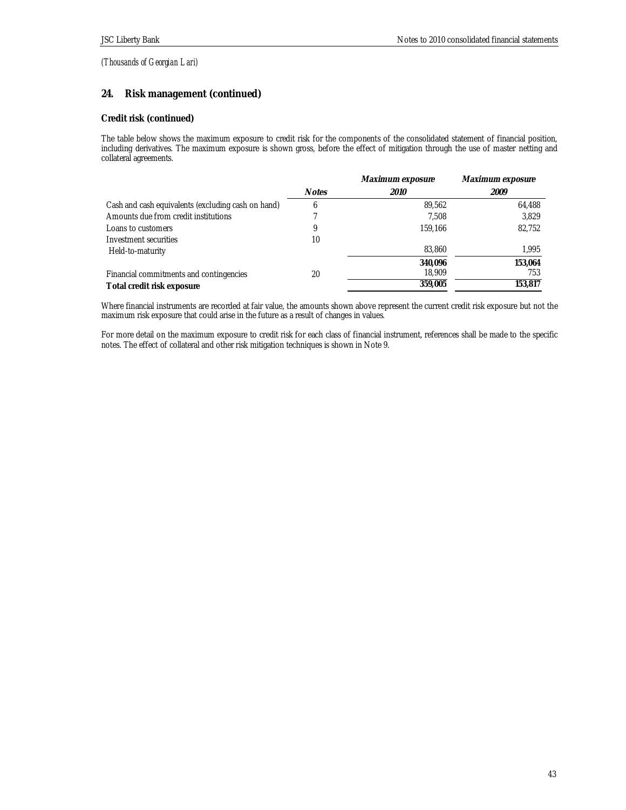## **24. Risk management (continued)**

### **Credit risk (continued)**

The table below shows the maximum exposure to credit risk for the components of the consolidated statement of financial position, including derivatives. The maximum exposure is shown gross, before the effect of mitigation through the use of master netting and collateral agreements.

|                                                    |              | Maximum exposure | Maximum exposure |
|----------------------------------------------------|--------------|------------------|------------------|
|                                                    | <b>Notes</b> | <i>2010</i>      | 2009             |
| Cash and cash equivalents (excluding cash on hand) | 6            | 89,562           | 64,488           |
| Amounts due from credit institutions               |              | 7,508            | 3,829            |
| Loans to customers                                 | 9            | 159.166          | 82,752           |
| Investment securities                              | 10           |                  |                  |
| Held-to-maturity                                   |              | 83,860           | 1.995            |
|                                                    |              | 340.096          | 153,064          |
| Financial commitments and contingencies            | 20           | 18.909           | 753              |
| Total credit risk exposure                         |              | 359,005          | 153.817          |

Where financial instruments are recorded at fair value, the amounts shown above represent the current credit risk exposure but not the maximum risk exposure that could arise in the future as a result of changes in values.

For more detail on the maximum exposure to credit risk for each class of financial instrument, references shall be made to the specific notes. The effect of collateral and other risk mitigation techniques is shown in Note 9.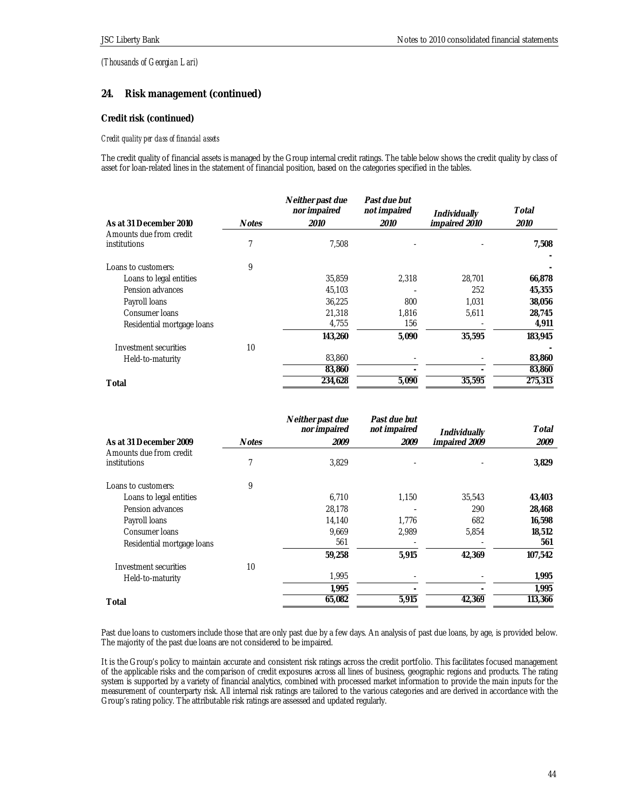### **24. Risk management (continued)**

### **Credit risk (continued)**

#### *Credit quality per class of financial assets*

The credit quality of financial assets is managed by the Group internal credit ratings. The table below shows the credit quality by class of asset for loan-related lines in the statement of financial position, based on the categories specified in the tables.

|                                         |       | Neither past due<br>nor impaired | Past due but<br>not impaired | Individually  | Total   |
|-----------------------------------------|-------|----------------------------------|------------------------------|---------------|---------|
| As at 31 December 2010                  | Notes | <i>2010</i>                      | <i>2010</i>                  | impaired 2010 | 2010    |
| Amounts due from credit<br>institutions |       | 7.508                            |                              |               | 7,508   |
| Loans to customers:                     | 9     |                                  |                              |               |         |
| Loans to legal entities                 |       | 35,859                           | 2.318                        | 28.701        | 66,878  |
| Pension advances                        |       | 45,103                           |                              | 252           | 45,355  |
| Payroll loans                           |       | 36,225                           | 800                          | 1,031         | 38,056  |
| Consumer Joans                          |       | 21,318                           | 1,816                        | 5,611         | 28,745  |
| Residential mortgage loans              |       | 4,755                            | 156                          |               | 4,911   |
|                                         |       | 143.260                          | 5.090                        | 35,595        | 183,945 |
| Investment securities                   | 10    |                                  |                              |               |         |
| Held-to-maturity                        |       | 83,860                           |                              |               | 83,860  |
|                                         |       | 83,860                           |                              |               | 83,860  |
| Total                                   |       | 234,628                          | 5,090                        | 35,595        | 275,313 |

|                                         |       | Neither past due<br>nor impaired | Past due but<br>not impaired | Individually  | Total   |
|-----------------------------------------|-------|----------------------------------|------------------------------|---------------|---------|
| As at 31 December 2009                  | Notes | 2009                             | 2009                         | impaired 2009 | 2009    |
| Amounts due from credit<br>institutions |       | 3,829                            |                              |               | 3,829   |
| Loans to customers:                     | 9     |                                  |                              |               |         |
| Loans to legal entities                 |       | 6,710                            | 1,150                        | 35,543        | 43,403  |
| Pension advances                        |       | 28,178                           |                              | 290           | 28,468  |
| Payroll loans                           |       | 14,140                           | 1.776                        | 682           | 16,598  |
| Consumer Ioans                          |       | 9,669                            | 2,989                        | 5,854         | 18,512  |
| Residential mortgage loans              |       | 561                              |                              |               | 561     |
|                                         |       | 59,258                           | 5,915                        | 42,369        | 107,542 |
| Investment securities                   | 10    |                                  |                              |               |         |
| Held-to-maturity                        |       | 1,995                            |                              |               | 1,995   |
|                                         |       | 1,995                            |                              |               | 1,995   |
| Total                                   |       | 65,082                           | 5,915                        | 42,369        | 113,366 |

Past due loans to customers include those that are only past due by a few days. An analysis of past due loans, by age, is provided below. The majority of the past due loans are not considered to be impaired.

It is the Group's policy to maintain accurate and consistent risk ratings across the credit portfolio. This facilitates focused management of the applicable risks and the comparison of credit exposures across all lines of business, geographic regions and products. The rating system is supported by a variety of financial analytics, combined with processed market information to provide the main inputs for the measurement of counterparty risk. All internal risk ratings are tailored to the various categories and are derived in accordance with the Group's rating policy. The attributable risk ratings are assessed and updated regularly.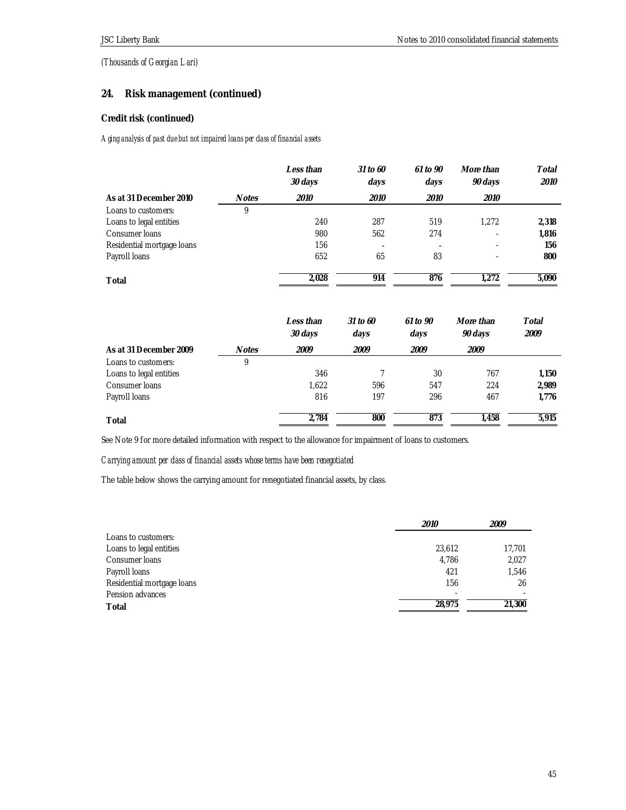## **24. Risk management (continued)**

## **Credit risk (continued)**

*Aging analysis of past due but not impaired loans per class of financial assets*

|                            |              | Less than<br>30 days | 31 to 60<br>days         | 61 to 90<br>days | More than<br>90 days | Total<br>2010 |
|----------------------------|--------------|----------------------|--------------------------|------------------|----------------------|---------------|
| As at 31 December 2010     | <b>Notes</b> | 2010                 | 2010                     | 2010             | 2010                 |               |
| Loans to customers:        | 9            |                      |                          |                  |                      |               |
| Loans to legal entities    |              | 240                  | 287                      | 519              | 1.272                | 2,318         |
| Consumer Ioans             |              | 980                  | 562                      | 274              | ۰                    | 1,816         |
| Residential mortgage loans |              | 156                  | $\overline{\phantom{0}}$ |                  |                      | 156           |
| Payroll loans              |              | 652                  | 65                       | 83               | -                    | 800           |
| Total                      |              | 2,028                | 914                      | 876              | 1.272                | 5,090         |

|                         |              | Less than<br>30 days | 31 to 60<br>days | 61 to 90<br>days | More than<br>90 days | Total<br>2009 |
|-------------------------|--------------|----------------------|------------------|------------------|----------------------|---------------|
| As at 31 December 2009  | <b>Notes</b> | 2009                 | 2009             | 2009             | 2009                 |               |
| Loans to customers:     | 9            |                      |                  |                  |                      |               |
| Loans to legal entities |              | 346                  |                  | 30               | 767                  | 1.150         |
| Consumer Ioans          |              | 1,622                | 596              | 547              | 224                  | 2,989         |
| Payroll loans           |              | 816                  | 197              | 296              | 467                  | 1.776         |
| Total                   |              | 2,784                | 800              | 873              | 1.458                | 5.915         |

See Note 9 for more detailed information with respect to the allowance for impairment of loans to customers.

*Carrying amount per class of financial assets whose terms have been renegotiated* 

The table below shows the carrying amount for renegotiated financial assets, by class.

|                            | 2010   | 2009   |
|----------------------------|--------|--------|
| Loans to customers:        |        |        |
| Loans to legal entities    | 23,612 | 17,701 |
| Consumer Ioans             | 4,786  | 2,027  |
| Payroll loans              | 421    | 1,546  |
| Residential mortgage loans | 156    | 26     |
| Pension advances           |        |        |
| Total                      | 28.975 | 21,300 |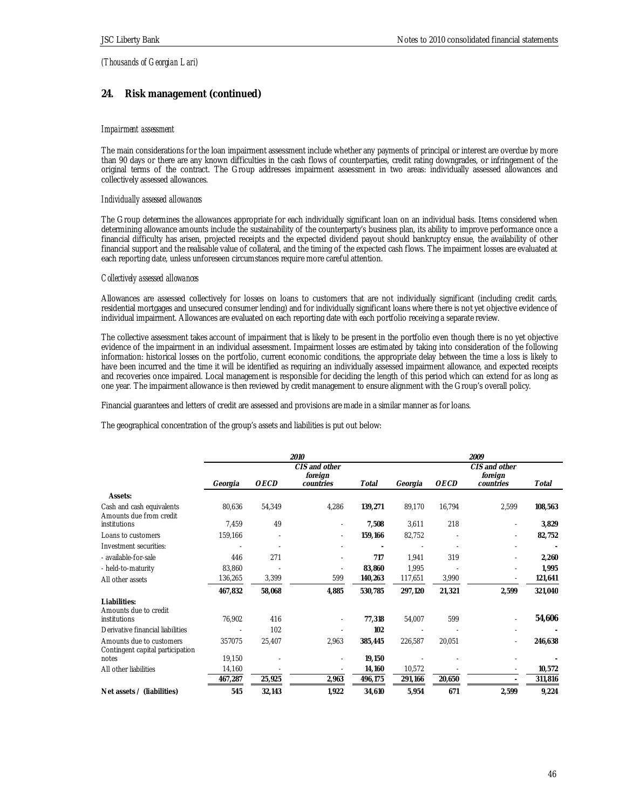### **24. Risk management (continued)**

#### *Impairment assessment*

The main considerations for the loan impairment assessment include whether any payments of principal or interest are overdue by more than 90 days or there are any known difficulties in the cash flows of counterparties, credit rating downgrades, or infringement of the original terms of the contract. The Group addresses impairment assessment in two areas: individually assessed allowances and collectively assessed allowances.

#### *Individually assessed allowances*

The Group determines the allowances appropriate for each individually significant loan on an individual basis. Items considered when determining allowance amounts include the sustainability of the counterparty's business plan, its ability to improve performance once a financial difficulty has arisen, projected receipts and the expected dividend payout should bankruptcy ensue, the availability of other financial support and the realisable value of collateral, and the timing of the expected cash flows. The impairment losses are evaluated at each reporting date, unless unforeseen circumstances require more careful attention.

#### *Collectively assessed allowances*

Allowances are assessed collectively for losses on loans to customers that are not individually significant (including credit cards, residential mortgages and unsecured consumer lending) and for individually significant loans where there is not yet objective evidence of individual impairment. Allowances are evaluated on each reporting date with each portfolio receiving a separate review.

The collective assessment takes account of impairment that is likely to be present in the portfolio even though there is no yet objective evidence of the impairment in an individual assessment. Impairment losses are estimated by taking into consideration of the following information: historical losses on the portfolio, current economic conditions, the appropriate delay between the time a loss is likely to have been incurred and the time it will be identified as requiring an individually assessed impairment allowance, and expected receipts and recoveries once impaired. Local management is responsible for deciding the length of this period which can extend for as long as one year. The impairment allowance is then reviewed by credit management to ensure alignment with the Group's overall policy.

Financial guarantees and letters of credit are assessed and provisions are made in a similar manner as for loans.

The geographical concentration of the group's assets and liabilities is put out below:

|                                                              | 2010    |             |                          |         |                          | 2009        |           |         |  |
|--------------------------------------------------------------|---------|-------------|--------------------------|---------|--------------------------|-------------|-----------|---------|--|
|                                                              |         |             | CIS and other<br>foreign |         | CIS and other<br>foreign |             |           |         |  |
|                                                              | Georgia | <b>OECD</b> | countries                | Total   | Georgia                  | <b>OECD</b> | countries | Total   |  |
| Assets:                                                      |         |             |                          |         |                          |             |           |         |  |
| Cash and cash equivalents<br>Amounts due from credit         | 80,636  | 54,349      | 4,286                    | 139,271 | 89,170                   | 16,794      | 2,599     | 108,563 |  |
| institutions                                                 | 7,459   | 49          | ٠                        | 7,508   | 3,611                    | 218         | ٠         | 3,829   |  |
| Loans to customers                                           | 159,166 |             | $\overline{\phantom{0}}$ | 159,166 | 82,752                   |             | ٠         | 82,752  |  |
| Investment securities:                                       |         |             |                          |         |                          |             |           |         |  |
| - available-for-sale                                         | 446     | 271         | ٠                        | 717     | 1,941                    | 319         | ٠         | 2,260   |  |
| - held-to-maturity                                           | 83,860  |             |                          | 83,860  | 1,995                    |             |           | 1,995   |  |
| All other assets                                             | 136,265 | 3,399       | 599                      | 140,263 | 117,651                  | 3,990       |           | 121,641 |  |
|                                                              | 467,832 | 58,068      | 4,885                    | 530,785 | 297,120                  | 21,321      | 2,599     | 321,040 |  |
| Liabilities:<br>Amounts due to credit                        |         |             |                          |         |                          |             |           |         |  |
| institutions                                                 | 76,902  | 416         |                          | 77,318  | 54,007                   | 599         | ٠         | 54,606  |  |
| Derivative financial liabilities                             |         | 102         |                          | 102     |                          |             |           |         |  |
| Amounts due to customers<br>Contingent capital participation | 357075  | 25,407      | 2,963                    | 385,445 | 226,587                  | 20,051      |           | 246,638 |  |
| notes                                                        | 19,150  |             | ٠                        | 19,150  |                          |             |           |         |  |
| All other liabilities                                        | 14,160  |             |                          | 14,160  | 10,572                   |             | ٠         | 10,572  |  |
|                                                              | 467,287 | 25,925      | 2,963                    | 496,175 | 291,166                  | 20,650      |           | 311,816 |  |
| Net assets / (liabilities)                                   | 545     | 32,143      | 1,922                    | 34,610  | 5,954                    | 671         | 2,599     | 9,224   |  |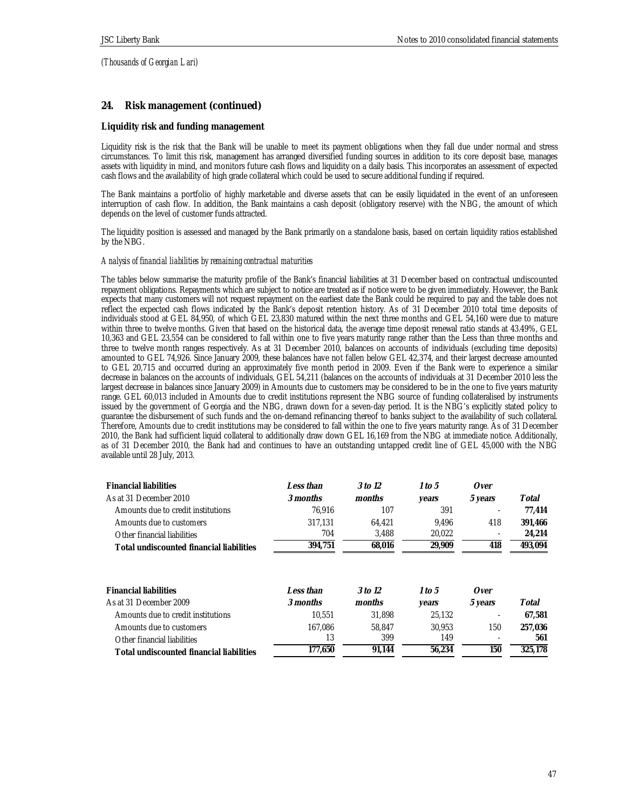## **24. Risk management (continued)**

#### **Liquidity risk and funding management**

Liquidity risk is the risk that the Bank will be unable to meet its payment obligations when they fall due under normal and stress circumstances. To limit this risk, management has arranged diversified funding sources in addition to its core deposit base, manages assets with liquidity in mind, and monitors future cash flows and liquidity on a daily basis. This incorporates an assessment of expected cash flows and the availability of high grade collateral which could be used to secure additional funding if required.

The Bank maintains a portfolio of highly marketable and diverse assets that can be easily liquidated in the event of an unforeseen interruption of cash flow. In addition, the Bank maintains a cash deposit (obligatory reserve) with the NBG, the amount of which depends on the level of customer funds attracted.

The liquidity position is assessed and managed by the Bank primarily on a standalone basis, based on certain liquidity ratios established by the NBG.

#### *Analysis of financial liabilities by remaining contractual maturities*

The tables below summarise the maturity profile of the Bank's financial liabilities at 31 December based on contractual undiscounted repayment obligations. Repayments which are subject to notice are treated as if notice were to be given immediately. However, the Bank expects that many customers will not request repayment on the earliest date the Bank could be required to pay and the table does not reflect the expected cash flows indicated by the Bank's deposit retention history. As of 31 December 2010 total time deposits of individuals stood at GEL 84,950, of which GEL 23,830 matured within the next three months and GEL 54,160 were due to mature within three to twelve months. Given that based on the historical data, the average time deposit renewal ratio stands at 43.49%, GEL 10,363 and GEL 23,554 can be considered to fall within one to five years maturity range rather than the Less than three months and three to twelve month ranges respectively. As at 31 December 2010, balances on accounts of individuals (excluding time deposits) amounted to GEL 74,926. Since January 2009, these balances have not fallen below GEL 42,374, and their largest decrease amounted to GEL 20,715 and occurred during an approximately five month period in 2009. Even if the Bank were to experience a similar decrease in balances on the accounts of individuals, GEL 54,211 (balances on the accounts of individuals at 31 December 2010 less the largest decrease in balances since January 2009) in Amounts due to customers may be considered to be in the one to five years maturity range. GEL 60,013 included in Amounts due to credit institutions represent the NBG source of funding collateralised by instruments issued by the government of Georgia and the NBG, drawn down for a seven-day period. It is the NBG's explicitly stated policy to guarantee the disbursement of such funds and the on-demand refinancing thereof to banks subject to the availability of such collateral. Therefore, Amounts due to credit institutions may be considered to fall within the one to five years maturity range. As of 31 December 2010, the Bank had sufficient liquid collateral to additionally draw down GEL 16,169 from the NBG at immediate notice. Additionally, as of 31 December 2010, the Bank had and continues to have an outstanding untapped credit line of GEL 45,000 with the NBG available until 28 July, 2013.

| <b>Financial liabilities</b>             | Less than | 3 to 12 | 1 to 5 | Over           |         |
|------------------------------------------|-----------|---------|--------|----------------|---------|
| As at 31 December 2010                   | 3 months  | months  | years  | 5 years        | Total   |
| Amounts due to credit institutions       | 76,916    | 107     | 391    |                | 77,414  |
| Amounts due to customers                 | 317.131   | 64.421  | 9.496  | 418            | 391,466 |
| Other financial liabilities              | 704       | 3,488   | 20,022 | $\blacksquare$ | 24,214  |
| Total undiscounted financial liabilities | 394.751   | 68,016  | 29,909 | 418            | 493,094 |
|                                          |           |         |        |                |         |
| <b>Financial liabilities</b>             | Less than | 3 to 12 | 1 to 5 | Over           |         |
| As at 31 December 2009                   | 3 months  | months  | years  | 5 years        | Total   |
| Amounts due to credit institutions       | 10.551    | 31,898  | 25,132 | ٠              | 67.581  |
| Amounts due to customers                 | 167.086   | 58.847  | 30.953 | 150            | 257.036 |
| Other financial liabilities              | 13        | 399     | 149    |                | 561     |
| Total undiscounted financial liabilities | 177.650   | 91.144  | 56.234 | 150            | 325,178 |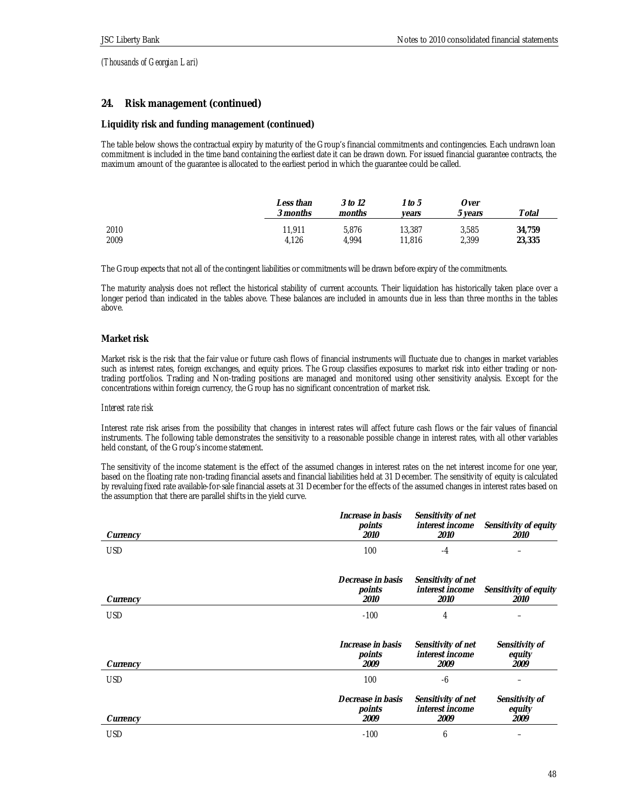## **24. Risk management (continued)**

#### **Liquidity risk and funding management (continued)**

The table below shows the contractual expiry by maturity of the Group's financial commitments and contingencies. Each undrawn loan commitment is included in the time band containing the earliest date it can be drawn down. For issued financial guarantee contracts, the maximum amount of the guarantee is allocated to the earliest period in which the guarantee could be called.

|      | ∟ess than<br>3 months | 3 to 12<br>months | ' to 5<br>vears | Over<br>5 vears | $\tau_{\mathit{otal}}$ |
|------|-----------------------|-------------------|-----------------|-----------------|------------------------|
| 2010 | 11.911                | 5.876             | 13,387          | 3,585           | 34,759                 |
| 2009 | 4.126                 | 4.994             | 11.816          | 2.399           | 23,335                 |

The Group expects that not all of the contingent liabilities or commitments will be drawn before expiry of the commitments.

The maturity analysis does not reflect the historical stability of current accounts. Their liquidation has historically taken place over a longer period than indicated in the tables above. These balances are included in amounts due in less than three months in the tables above.

#### **Market risk**

Market risk is the risk that the fair value or future cash flows of financial instruments will fluctuate due to changes in market variables such as interest rates, foreign exchanges, and equity prices. The Group classifies exposures to market risk into either trading or nontrading portfolios. Trading and Non-trading positions are managed and monitored using other sensitivity analysis. Except for the concentrations within foreign currency, the Group has no significant concentration of market risk.

#### *Interest rate risk*

Interest rate risk arises from the possibility that changes in interest rates will affect future cash flows or the fair values of financial instruments. The following table demonstrates the sensitivity to a reasonable possible change in interest rates, with all other variables held constant, of the Group's income statement.

The sensitivity of the income statement is the effect of the assumed changes in interest rates on the net interest income for one year, based on the floating rate non-trading financial assets and financial liabilities held at 31 December. The sensitivity of equity is calculated by revaluing fixed rate available-for-sale financial assets at 31 December for the effects of the assumed changes in interest rates based on the assumption that there are parallel shifts in the yield curve.

| Currency   | Increase in basis<br>points<br>2010 | Sensitivity of net<br>interest income<br>2010 | Sensitivity of equity<br><i>2010</i> |
|------------|-------------------------------------|-----------------------------------------------|--------------------------------------|
| <b>USD</b> | 100                                 | -4                                            |                                      |
| Currency   | Decrease in basis<br>points<br>2010 | Sensitivity of net<br>interest income<br>2010 | Sensitivity of equity<br><i>2010</i> |
| <b>USD</b> | $-100$                              | 4                                             |                                      |
| Currency   | Increase in basis<br>points<br>2009 | Sensitivity of net<br>interest income<br>2009 | Sensitivity of<br>equity<br>2009     |
| <b>USD</b> | 100                                 | -6                                            |                                      |
| Currency   | Decrease in basis<br>points<br>2009 | Sensitivity of net<br>interest income<br>2009 | Sensitivity of<br>equity<br>2009     |
| <b>USD</b> | $-100$                              | 6                                             |                                      |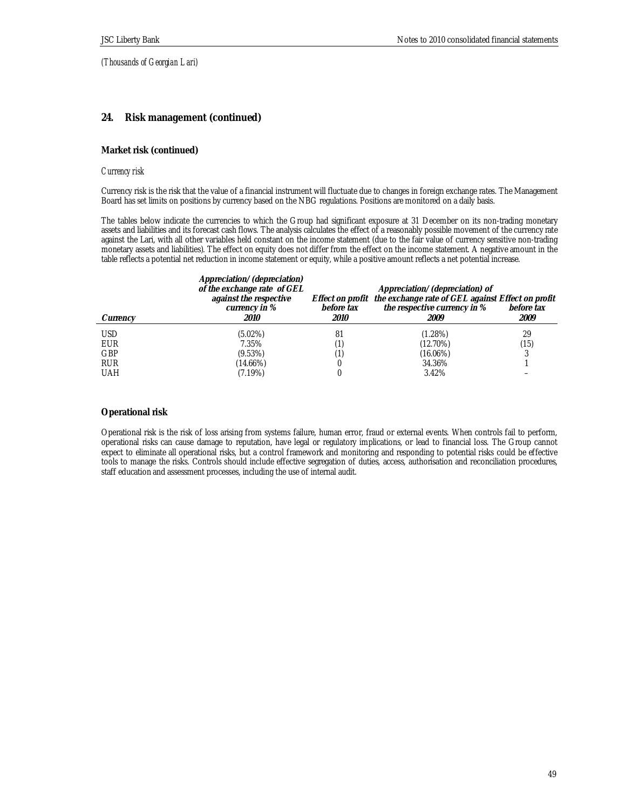## **24. Risk management (continued)**

### **Market risk (continued)**

#### *Currency risk*

Currency risk is the risk that the value of a financial instrument will fluctuate due to changes in foreign exchange rates. The Management Board has set limits on positions by currency based on the NBG regulations. Positions are monitored on a daily basis.

The tables below indicate the currencies to which the Group had significant exposure at 31 December on its non-trading monetary assets and liabilities and its forecast cash flows. The analysis calculates the effect of a reasonably possible movement of the currency rate against the Lari, with all other variables held constant on the income statement (due to the fair value of currency sensitive non-trading monetary assets and liabilities). The effect on equity does not differ from the effect on the income statement. A negative amount in the table reflects a potential net reduction in income statement or equity, while a positive amount reflects a net potential increase.

| Currency                                             | Appreciation/(depreciation)<br>of the exchange rate of GEL<br>against the respective<br>currency in %<br><i>2010</i> | before tax<br><i>2010</i> | Appreciation/(depreciation) of<br>Effect on profit the exchange rate of GEL against Effect on profit<br>the respective currency in %<br><i>2009</i> | before tax<br>2009 |
|------------------------------------------------------|----------------------------------------------------------------------------------------------------------------------|---------------------------|-----------------------------------------------------------------------------------------------------------------------------------------------------|--------------------|
| <b>USD</b><br><b>EUR</b><br><b>GBP</b><br><b>RUR</b> | $(5.02\%)$<br>7.35%<br>$(9.53\%)$<br>(14.66%)                                                                        | -81                       | (1.28%)<br>(12.70%)<br>$(16.06\%)$<br>34.36%                                                                                                        | 29<br>(15)         |
| <b>UAH</b>                                           | (7.19%)                                                                                                              |                           | 3.42%                                                                                                                                               |                    |

#### **Operational risk**

Operational risk is the risk of loss arising from systems failure, human error, fraud or external events. When controls fail to perform, operational risks can cause damage to reputation, have legal or regulatory implications, or lead to financial loss. The Group cannot expect to eliminate all operational risks, but a control framework and monitoring and responding to potential risks could be effective tools to manage the risks. Controls should include effective segregation of duties, access, authorisation and reconciliation procedures, staff education and assessment processes, including the use of internal audit.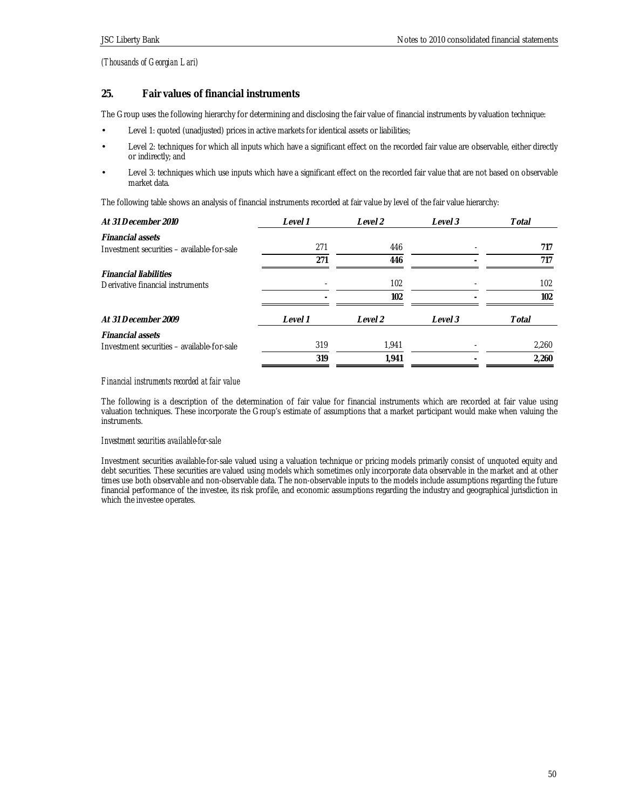### **25. Fair values of financial instruments**

The Group uses the following hierarchy for determining and disclosing the fair value of financial instruments by valuation technique:

- Level 1: quoted (unadjusted) prices in active markets for identical assets or liabilities;
- Level 2: techniques for which all inputs which have a significant effect on the recorded fair value are observable, either directly or indirectly; and
- Level 3: techniques which use inputs which have a significant effect on the recorded fair value that are not based on observable market data.

The following table shows an analysis of financial instruments recorded at fair value by level of the fair value hierarchy:

| At 31 December 2010                        | Level 1 | Level 2 | Level 3 | Total |
|--------------------------------------------|---------|---------|---------|-------|
| <b>Financial assets</b>                    |         |         |         |       |
| Investment securities – available-for-sale | 271     | 446     |         | 717   |
|                                            | 271     | 446     |         | 717   |
| <b>Financial liabilities</b>               |         |         |         |       |
| Derivative financial instruments           |         | 102     |         | 102   |
|                                            |         | 102     |         | 102   |
| At 31 December 2009                        | Level 1 | Level 2 | Level 3 | Total |
| <b>Financial assets</b>                    |         |         |         |       |
| Investment securities – available-for-sale | 319     | 1,941   |         | 2,260 |
|                                            | 319     | 1,941   |         | 2,260 |

#### *Financial instruments recorded at fair value*

The following is a description of the determination of fair value for financial instruments which are recorded at fair value using valuation techniques. These incorporate the Group's estimate of assumptions that a market participant would make when valuing the instruments.

#### *Investment securities available-for-sale*

Investment securities available-for-sale valued using a valuation technique or pricing models primarily consist of unquoted equity and debt securities. These securities are valued using models which sometimes only incorporate data observable in the market and at other times use both observable and non-observable data. The non-observable inputs to the models include assumptions regarding the future financial performance of the investee, its risk profile, and economic assumptions regarding the industry and geographical jurisdiction in which the investee operates.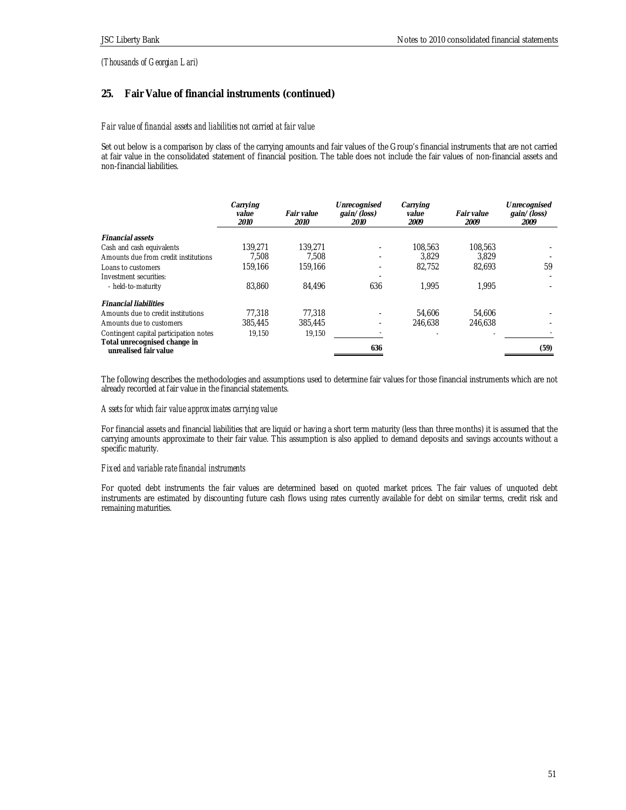## **25. Fair Value of financial instruments (continued)**

#### *Fair value of financial assets and liabilities not carried at fair value*

Set out below is a comparison by class of the carrying amounts and fair values of the Group's financial instruments that are not carried at fair value in the consolidated statement of financial position. The table does not include the fair values of non-financial assets and non-financial liabilities.

|                                                       | Carrying<br>value<br>2010 | <i>Fair value</i><br>2010 | Unrecognised<br>qain/(loss)<br>2010 | Carrying<br>value<br>2009 | Fair value<br>2009 | Unrecognised<br>$qain/$ (loss)<br>2009 |
|-------------------------------------------------------|---------------------------|---------------------------|-------------------------------------|---------------------------|--------------------|----------------------------------------|
| <b>Financial assets</b>                               |                           |                           |                                     |                           |                    |                                        |
| Cash and cash equivalents                             | 139.271                   | 139.271                   |                                     | 108.563                   | 108.563            |                                        |
| Amounts due from credit institutions                  | 7.508                     | 7.508                     |                                     | 3.829                     | 3.829              |                                        |
| Loans to customers                                    | 159.166                   | 159.166                   |                                     | 82.752                    | 82.693             | 59                                     |
| Investment securities:                                |                           |                           |                                     |                           |                    |                                        |
| - held-to-maturity                                    | 83,860                    | 84.496                    | 636                                 | 1.995                     | 1.995              |                                        |
| <b>Financial liabilities</b>                          |                           |                           |                                     |                           |                    |                                        |
| Amounts due to credit institutions                    | 77,318                    | 77,318                    |                                     | 54.606                    | 54.606             |                                        |
| Amounts due to customers                              | 385,445                   | 385,445                   |                                     | 246.638                   | 246.638            |                                        |
| Contingent capital participation notes                | 19.150                    | 19.150                    |                                     |                           |                    |                                        |
| Total unrecognised change in<br>unrealised fair value |                           |                           | 636                                 |                           |                    | (59)                                   |

The following describes the methodologies and assumptions used to determine fair values for those financial instruments which are not already recorded at fair value in the financial statements.

#### *Assets for which fair value approximates carrying value*

For financial assets and financial liabilities that are liquid or having a short term maturity (less than three months) it is assumed that the carrying amounts approximate to their fair value. This assumption is also applied to demand deposits and savings accounts without a specific maturity.

#### *Fixed and variable rate financial instruments*

For quoted debt instruments the fair values are determined based on quoted market prices. The fair values of unquoted debt instruments are estimated by discounting future cash flows using rates currently available for debt on similar terms, credit risk and remaining maturities.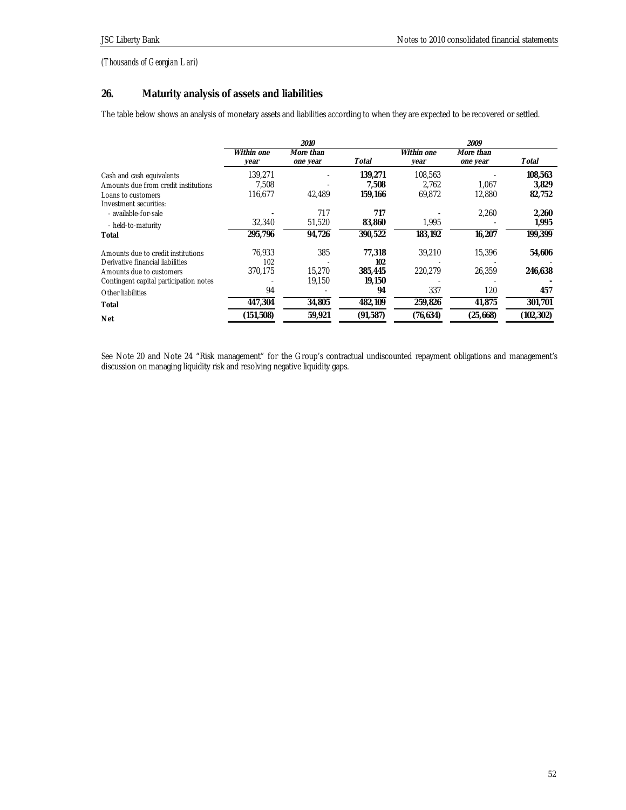## **26. Maturity analysis of assets and liabilities**

The table below shows an analysis of monetary assets and liabilities according to when they are expected to be recovered or settled.

|                                        |                    | 2010                  |           |                    | 2009                  |            |
|----------------------------------------|--------------------|-----------------------|-----------|--------------------|-----------------------|------------|
|                                        | Within one<br>year | More than<br>one year | Total     | Within one<br>year | More than<br>one year | Total      |
| Cash and cash equivalents              | 139.271            |                       | 139.271   | 108.563            |                       | 108,563    |
| Amounts due from credit institutions   | 7.508              |                       | 7.508     | 2.762              | 1.067                 | 3.829      |
| Loans to customers                     | 116.677            | 42.489                | 159,166   | 69,872             | 12,880                | 82,752     |
| Investment securities:                 |                    |                       |           |                    |                       |            |
| - available-for-sale                   |                    | 717                   | 717       |                    | 2,260                 | 2,260      |
| - held-to-maturity                     | 32,340             | 51,520                | 83,860    | 1.995              |                       | 1,995      |
| Total                                  | 295.796            | 94,726                | 390,522   | 183,192            | 16,207                | 199.399    |
| Amounts due to credit institutions     | 76.933             | 385                   | 77,318    | 39.210             | 15,396                | 54,606     |
| Derivative financial liabilities       | 102                |                       | 102       |                    |                       |            |
| Amounts due to customers               | 370,175            | 15,270                | 385,445   | 220.279            | 26.359                | 246.638    |
| Contingent capital participation notes |                    | 19.150                | 19,150    |                    |                       |            |
| Other liabilities                      | 94                 |                       | 94        | 337                | 120                   | 457        |
| Total                                  | 447,304            | 34,805                | 482,109   | 259.826            | 41.875                | 301,701    |
| <b>Net</b>                             | (151,508)          | 59,921                | (91, 587) | (76, 634)          | (25, 668)             | (102, 302) |

See Note 20 and Note 24 "Risk management" for the Group's contractual undiscounted repayment obligations and management's discussion on managing liquidity risk and resolving negative liquidity gaps.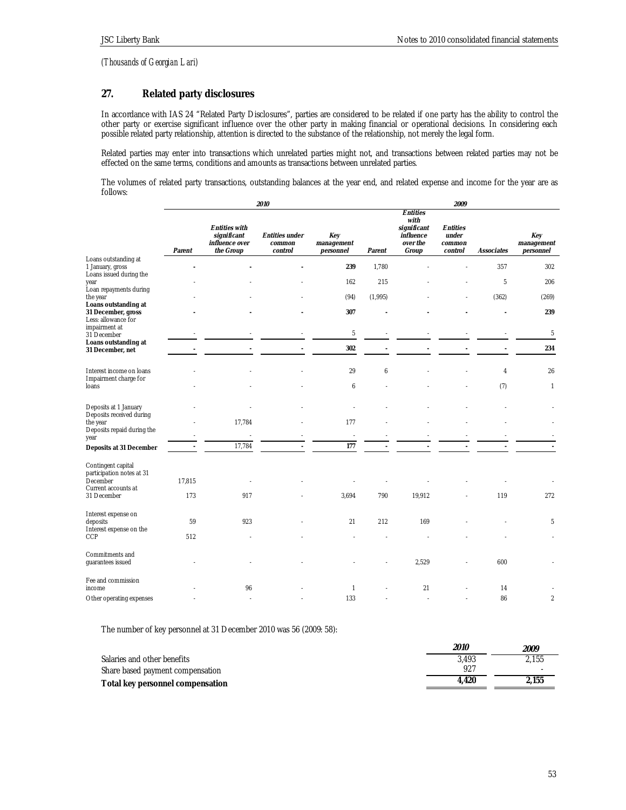## **27. Related party disclosures**

In accordance with IAS 24 "Related Party Disclosures", parties are considered to be related if one party has the ability to control the other party or exercise significant influence over the other party in making financial or operational decisions. In considering each possible related party relationship, attention is directed to the substance of the relationship, not merely the legal form.

Related parties may enter into transactions which unrelated parties might not, and transactions between related parties may not be effected on the same terms, conditions and amounts as transactions between unrelated parties.

The volumes of related party transactions, outstanding balances at the year end, and related expense and income for the year are as follows:

|                                                                   | <i>2010</i> |                                                                    |                                     |                                |         |                                                                   |                                        |            |                                |
|-------------------------------------------------------------------|-------------|--------------------------------------------------------------------|-------------------------------------|--------------------------------|---------|-------------------------------------------------------------------|----------------------------------------|------------|--------------------------------|
|                                                                   | Parent      | <b>Entities with</b><br>significant<br>influence over<br>the Group | Entities under<br>common<br>control | Key<br>management<br>personnel | Parent  | Entities<br>with<br>significant<br>influence<br>over the<br>Group | Entities<br>under<br>common<br>control | Associates | Key<br>management<br>personnel |
| Loans outstanding at<br>1 January, gross                          |             |                                                                    |                                     | 239                            | 1,780   |                                                                   |                                        | 357        | 302                            |
| Loans issued during the<br>year                                   |             |                                                                    |                                     | 162                            | 215     |                                                                   |                                        | 5          | 206                            |
| Loan repayments during<br>the year                                |             |                                                                    |                                     | (94)                           | (1,995) |                                                                   |                                        | (362)      | (269)                          |
| Loans outstanding at<br>31 December, gross<br>Less: allowance for |             |                                                                    |                                     | 307                            |         |                                                                   |                                        |            | 239                            |
| impairment at<br>31 December                                      |             |                                                                    |                                     | 5                              |         |                                                                   |                                        |            | 5                              |
| Loans outstanding at<br>31 December, net                          |             |                                                                    |                                     | 302                            |         |                                                                   |                                        |            | 234                            |
| Interest income on loans<br>Impairment charge for                 |             |                                                                    |                                     | 29                             | 6       |                                                                   |                                        | 4          | 26                             |
| loans                                                             |             |                                                                    |                                     | 6                              |         |                                                                   |                                        | (7)        | $\mathbf{1}$                   |
| Deposits at 1 January<br>Deposits received during                 |             |                                                                    |                                     |                                |         |                                                                   |                                        |            |                                |
| the year<br>Deposits repaid during the<br>year                    |             | 17,784                                                             |                                     | 177<br>$\sim$                  |         |                                                                   |                                        |            |                                |
| Deposits at 31 December                                           |             | 17,784                                                             |                                     | 177                            |         |                                                                   |                                        |            |                                |
| Contingent capital<br>participation notes at 31<br>December       | 17,815      |                                                                    |                                     |                                |         |                                                                   |                                        |            |                                |
| Current accounts at<br>31 December                                | 173         | 917                                                                |                                     | 3,694                          | 790     | 19,912                                                            |                                        | 119        | 272                            |
| Interest expense on<br>deposits<br>Interest expense on the        | 59          | 923                                                                |                                     | 21                             | 212     | 169                                                               |                                        |            | 5                              |
| CCP                                                               | 512         |                                                                    |                                     |                                |         |                                                                   |                                        |            |                                |
| Commitments and<br>guarantees issued                              |             |                                                                    |                                     |                                |         | 2,529                                                             |                                        | 600        |                                |
| Fee and commission<br>income                                      |             | 96                                                                 |                                     | 1                              |         | 21                                                                |                                        | 14         |                                |
| Other operating expenses                                          |             | $\ddot{\phantom{1}}$                                               |                                     | 133                            |         |                                                                   |                                        | 86         | $\overline{c}$                 |

The number of key personnel at 31 December 2010 was 56 (2009: 58):

|                                  | <i>2010</i> | 2009  |
|----------------------------------|-------------|-------|
| Salaries and other benefits      | 3.493       | 2.155 |
| Share based payment compensation | 927         |       |
| Total key personnel compensation | 4.420       | 2.155 |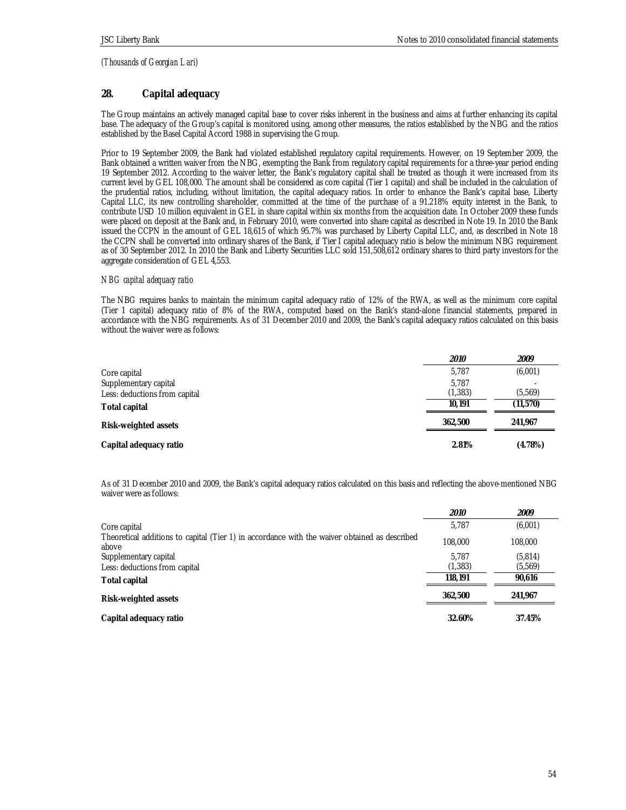## **28. Capital adequacy**

The Group maintains an actively managed capital base to cover risks inherent in the business and aims at further enhancing its capital base. The adequacy of the Group's capital is monitored using, among other measures, the ratios established by the NBG and the ratios established by the Basel Capital Accord 1988 in supervising the Group.

Prior to 19 September 2009, the Bank had violated established regulatory capital requirements. However, on 19 September 2009, the Bank obtained a written waiver from the NBG, exempting the Bank from regulatory capital requirements for a three-year period ending 19 September 2012. According to the waiver letter, the Bank's regulatory capital shall be treated as though it were increased from its current level by GEL 108,000. The amount shall be considered as core capital (Tier 1 capital) and shall be included in the calculation of the prudential ratios, including, without limitation, the capital adequacy ratios. In order to enhance the Bank's capital base, Liberty Capital LLC, its new controlling shareholder, committed at the time of the purchase of a 91.218% equity interest in the Bank, to contribute USD 10 million equivalent in GEL in share capital within six months from the acquisition date. In October 2009 these funds were placed on deposit at the Bank and, in February 2010, were converted into share capital as described in Note 19. In 2010 the Bank issued the CCPN in the amount of GEL 18,615 of which 95.7% was purchased by Liberty Capital LLC, and, as described in Note 18 the CCPN shall be converted into ordinary shares of the Bank, if Tier I capital adequacy ratio is below the minimum NBG requirement as of 30 September 2012. In 2010 the Bank and Liberty Securities LLC sold 151,508,612 ordinary shares to third party investors for the aggregate consideration of GEL 4,553.

### *NBG capital adequacy ratio*

The NBG requires banks to maintain the minimum capital adequacy ratio of 12% of the RWA, as well as the minimum core capital (Tier 1 capital) adequacy ratio of 8% of the RWA, computed based on the Bank's stand-alone financial statements, prepared in accordance with the NBG requirements. As of 31 December 2010 and 2009, the Bank's capital adequacy ratios calculated on this basis without the waiver were as follows:

|                               | 2010     | 2009     |
|-------------------------------|----------|----------|
| Core capital                  | 5,787    | (6,001)  |
| Supplementary capital         | 5.787    |          |
| Less: deductions from capital | (1, 383) | (5,569)  |
| Total capital                 | 10.191   | (11,570) |
| Risk-weighted assets          | 362,500  | 241.967  |
| Capital adequacy ratio        | 2.81%    | (4.78%)  |

As of 31 December 2010 and 2009, the Bank's capital adequacy ratios calculated on this basis and reflecting the above-mentioned NBG waiver were as follows:

|                                                                                                        | 2010     | 2009    |
|--------------------------------------------------------------------------------------------------------|----------|---------|
| Core capital                                                                                           | 5.787    | (6,001) |
| Theoretical additions to capital (Tier 1) in accordance with the waiver obtained as described<br>above | 108,000  | 108,000 |
| Supplementary capital                                                                                  | 5.787    | (5,814) |
| Less: deductions from capital                                                                          | (1, 383) | (5,569) |
| Total capital                                                                                          | 118,191  | 90.616  |
| Risk-weighted assets                                                                                   | 362.500  | 241.967 |
| Capital adequacy ratio                                                                                 | 32.60%   | 37.45%  |